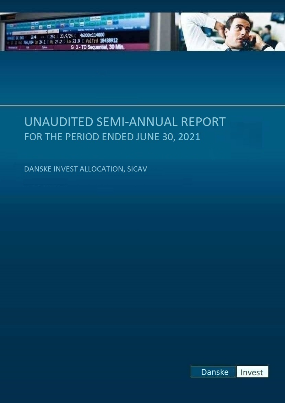

# UNAUDITED SEMI-ANNUAL REPORT FOR THE PERIOD ENDED JUNE 30, 2021

DANSKE INVEST ALLOCATION, SICAV

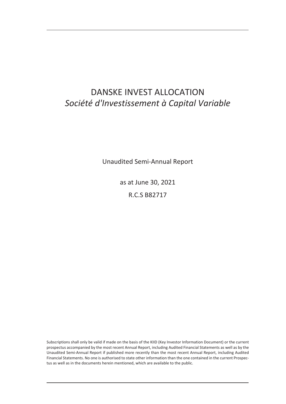# DANSKE INVEST ALLOCATION *Société d'Investissement à Capital Variable*

Unaudited Semi-Annual Report

as at June 30, 2021

R.C.S B82717

Subscriptions shall only be valid if made on the basis of the KIID (Key Investor Information Document) or the current prospectus accompanied by the most recent Annual Report, including Audited Financial Statements as well as by the Unaudited Semi-Annual Report if published more recently than the most recent Annual Report, including Audited Financial Statements. No one is authorised to state other information than the one contained in the current Prospectus as well as in the documents herein mentioned, which are available to the public.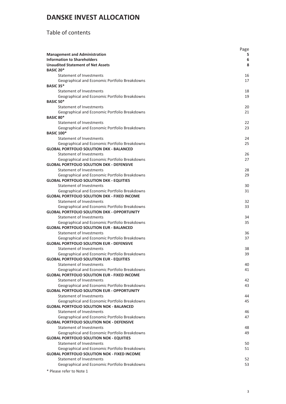### Table of contents

|                                                                                                      | Page     |
|------------------------------------------------------------------------------------------------------|----------|
| <b>Management and Administration</b>                                                                 | 5.       |
| <b>Information to Shareholders</b>                                                                   | 6        |
| <b>Unaudited Statement of Net Assets</b>                                                             | 8        |
| <b>BASIC 20*</b>                                                                                     |          |
| Statement of Investments                                                                             | 16       |
| Geographical and Economic Portfolio Breakdowns<br>BASIC 35*                                          | 17       |
| Statement of Investments                                                                             | 18       |
| Geographical and Economic Portfolio Breakdowns                                                       | 19       |
| <b>BASIC 50*</b>                                                                                     |          |
| Statement of Investments                                                                             | 20       |
| Geographical and Economic Portfolio Breakdowns                                                       | 21       |
| <b>BASIC 80*</b>                                                                                     |          |
| Statement of Investments                                                                             | 22       |
| Geographical and Economic Portfolio Breakdowns                                                       | 23       |
| <b>BASIC 100*</b>                                                                                    |          |
| Statement of Investments                                                                             | 24       |
| Geographical and Economic Portfolio Breakdowns                                                       | 25       |
| <b>GLOBAL PORTFOLIO SOLUTION DKK - BALANCED</b>                                                      |          |
| Statement of Investments                                                                             | 26       |
| Geographical and Economic Portfolio Breakdowns                                                       | 27       |
| <b>GLOBAL PORTFOLIO SOLUTION DKK - DEFENSIVE</b>                                                     |          |
| Statement of Investments                                                                             | 28       |
| Geographical and Economic Portfolio Breakdowns                                                       | 29       |
| <b>GLOBAL PORTFOLIO SOLUTION DKK - EQUITIES</b>                                                      |          |
| Statement of Investments<br>Geographical and Economic Portfolio Breakdowns                           | 30<br>31 |
| <b>GLOBAL PORTFOLIO SOLUTION DKK - FIXED INCOME</b>                                                  |          |
| Statement of Investments                                                                             | 32       |
| Geographical and Economic Portfolio Breakdowns                                                       | 33       |
| <b>GLOBAL PORTFOLIO SOLUTION DKK - OPPORTUNITY</b>                                                   |          |
| Statement of Investments                                                                             | 34       |
| Geographical and Economic Portfolio Breakdowns                                                       | 35       |
| <b>GLOBAL PORTFOLIO SOLUTION EUR - BALANCED</b>                                                      |          |
| Statement of Investments                                                                             | 36       |
| Geographical and Economic Portfolio Breakdowns                                                       | 37       |
| <b>GLOBAL PORTFOLIO SOLUTION EUR - DEFENSIVE</b>                                                     |          |
| <b>Statement of Investments</b>                                                                      | 38       |
| Geographical and Economic Portfolio Breakdowns                                                       | 39       |
| <b>GLOBAL PORTFOLIO SOLUTION EUR - EQUITIES</b>                                                      |          |
| Statement of Investments                                                                             | 40       |
| Geographical and Economic Portfolio Breakdowns                                                       | 41       |
| <b>GLOBAL PORTFOLIO SOLUTION EUR - FIXED INCOME</b><br>Statement of Investments                      |          |
|                                                                                                      | 42<br>43 |
| Geographical and Economic Portfolio Breakdowns<br><b>GLOBAL PORTFOLIO SOLUTION EUR - OPPORTUNITY</b> |          |
| Statement of Investments                                                                             | 44       |
| Geographical and Economic Portfolio Breakdowns                                                       | 45       |
| <b>GLOBAL PORTFOLIO SOLUTION NOK - BALANCED</b>                                                      |          |
| Statement of Investments                                                                             | 46       |
| Geographical and Economic Portfolio Breakdowns                                                       | 47       |
| <b>GLOBAL PORTFOLIO SOLUTION NOK - DEFENSIVE</b>                                                     |          |
| <b>Statement of Investments</b>                                                                      | 48       |
| Geographical and Economic Portfolio Breakdowns                                                       | 49       |
| <b>GLOBAL PORTFOLIO SOLUTION NOK - EQUITIES</b>                                                      |          |
| Statement of Investments                                                                             | 50       |
| Geographical and Economic Portfolio Breakdowns                                                       | 51       |
| <b>GLOBAL PORTFOLIO SOLUTION NOK - FIXED INCOME</b>                                                  |          |
| Statement of Investments                                                                             | 52       |
| Geographical and Economic Portfolio Breakdowns                                                       | 53       |
|                                                                                                      |          |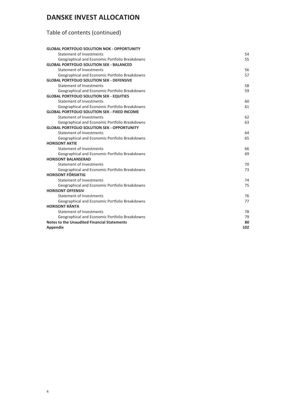# Table of contents (continued)

| <b>GLOBAL PORTFOLIO SOLUTION NOK - OPPORTUNITY</b>  |     |
|-----------------------------------------------------|-----|
| <b>Statement of Investments</b>                     | 54  |
| Geographical and Economic Portfolio Breakdowns      | 55  |
| <b>GLOBAL PORTFOLIO SOLUTION SEK - BALANCED</b>     |     |
| <b>Statement of Investments</b>                     | 56  |
| Geographical and Economic Portfolio Breakdowns      | 57  |
| <b>GLOBAL PORTFOLIO SOLUTION SEK - DEFENSIVE</b>    |     |
| <b>Statement of Investments</b>                     | 58  |
| Geographical and Economic Portfolio Breakdowns      | 59  |
| <b>GLOBAL PORTFOLIO SOLUTION SEK - EQUITIES</b>     |     |
| <b>Statement of Investments</b>                     | 60  |
| Geographical and Economic Portfolio Breakdowns      | 61  |
| <b>GLOBAL PORTFOLIO SOLUTION SEK - FIXED INCOME</b> |     |
| <b>Statement of Investments</b>                     | 62  |
| Geographical and Economic Portfolio Breakdowns      | 63  |
| <b>GLOBAL PORTFOLIO SOLUTION SEK - OPPORTUNITY</b>  |     |
| Statement of Investments                            | 64  |
| Geographical and Economic Portfolio Breakdowns      | 65  |
| <b>HORISONT AKTIE</b>                               |     |
| <b>Statement of Investments</b>                     | 66  |
| Geographical and Economic Portfolio Breakdowns      | 69  |
| <b>HORISONT BALANSERAD</b>                          |     |
| <b>Statement of Investments</b>                     | 70  |
| Geographical and Economic Portfolio Breakdowns      | 73  |
| <b>HORISONT FÖRSIKTIG</b>                           |     |
| <b>Statement of Investments</b>                     | 74  |
| Geographical and Economic Portfolio Breakdowns      | 75  |
| <b>HORISONT OFFENSIV</b>                            |     |
| <b>Statement of Investments</b>                     | 76  |
| Geographical and Economic Portfolio Breakdowns      | 77  |
| <b>HORISONT RÄNTA</b>                               |     |
| <b>Statement of Investments</b>                     | 78  |
| Geographical and Economic Portfolio Breakdowns      | 79  |
| <b>Notes to the Unaudited Financial Statements</b>  | 80  |
| Appendix                                            | 102 |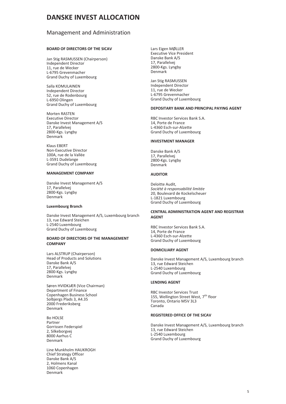### <span id="page-4-0"></span>Management and Administration

### **BOARD OF DIRECTORS OF THE SICAV**

Jan Stig RASMUSSEN (Chairperson) Independent Director 11, rue de Wecker L-6795 Grevenmacher Grand Duchy of Luxembourg

Salla KOMULAINEN Independent Director 52, rue de Rodenbourg L-6950 Olingen Grand Duchy of Luxembourg

Morten RASTEN Executive Director Danske Invest Management A/S 17, Parallelvej 2800-Kgs. Lyngby Denmark

Klaus EBERT Non-Executive Director 100A, rue de la Vallée L-3591 Dudelange Grand Duchy of Luxembourg

### **MANAGEMENT COMPANY**

Danske Invest Management A/S 17, Parallelvej 2800-Kgs. Lyngby Denmark

### **Luxembourg Branch**

Danske Invest Management A/S, Luxembourg branch 13, rue Edward Steichen L-2540 Luxembourg Grand Duchy of Luxembourg

### **BOARD OF DIRECTORS OF THE MANAGEMENT COMPANY**

Lars ALSTRUP (Chairperson) Head of Products and Solutions Danske Bank A/S 17, Parallelvej 2800-Kgs. Lyngby Denmark

Søren HVIDKJÆR (Vice Chairman) Department of Finance Copenhagen Business School Solbjergs Plads 3, A4.35 2000 Frederiksberg Denmark

Bo HOLSE Partner Gorrissen Federspiel 2, Silkeborgvej 8000 Aarhus C Denmark

Line Munkholm HAUKROGH Chief Strategy Officer Danske Bank A/S 2, Holmens Kanal 1060 Copenhagen Denmark

Lars Eigen MØLLER Executive Vice President Danske Bank A/S 17, Parallelvej 2800-Kgs. Lyngby Denmark

Jan Stig RASMUSSEN Independent Director 11, rue de Wecker L-6795 Grevenmacher Grand Duchy of Luxembourg

### **DEPOSITARY BANK AND PRINCIPAL PAYING AGENT**

RBC Investor Services Bank S.A. 14, Porte de France L-4360 Esch-sur-Alzette Grand Duchy of Luxembourg

### **INVESTMENT MANAGER**

Danske Bank A/S 17, Parallelvej 2800-Kgs. Lyngby Denmark

### **AUDITOR**

Deloitte Audit, *Société à responsabilité limitée* 20, Boulevard de Kockelscheuer L-1821 Luxembourg Grand Duchy of Luxembourg

### **CENTRAL ADMINISTRATION AGENT AND REGISTRAR AGENT**

RBC Investor Services Bank S.A. 14, Porte de France L-4360 Esch-sur-Alzette Grand Duchy of Luxembourg

### **DOMICILIARY AGENT**

Danske Invest Management A/S, Luxembourg branch 13, rue Edward Steichen L-2540 Luxembourg Grand Duchy of Luxembourg

### **LENDING AGENT**

RBC Investor Services Trust 155, Wellington Street West, 7<sup>th</sup> floor Toronto, Ontario M5V 3L3 Canada

### **REGISTERED OFFICE OF THE SICAV**

Danske Invest Management A/S, Luxembourg branch 13, rue Edward Steichen L-2540 Luxembourg Grand Duchy of Luxembourg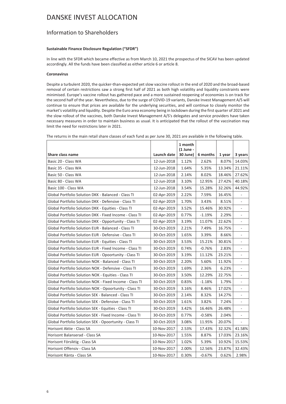### <span id="page-5-0"></span>Information to Shareholders

### **Sustainable Finance Disclosure Regulation ("SFDR")**

In line with the SFDR which became effective as from March 10, 2021 the prospectus of the SICAV has been updated accordingly. All the funds have been classified as either article 6 or article 8.

### **Coronavirus**

Despite a turbulent 2020, the quicker-than-expected yet slow vaccine rollout in the end of 2020 and the broad-based removal of certain restrictions saw a strong first half of 2021 as both high volatility and liquidity constraints were minimised. Europe's vaccine rollout has gathered pace and a more sustained reopening of economies is on track for the second half of the year. Nevertheless, due to the surge of COVID-19 variants, Danske Invest Management A/S will continue to ensure that prices are available for the underlying securities, and will continue to closely monitor the market's volatility and liquidity. Despite the Euro area economy being in lockdown during the first quarter of 2021 and the slow rollout of the vaccines, both Danske Invest Management A/S's delegates and service providers have taken necessary measures in order to maintain business as usual. It is anticipated that the rollout of the vaccination may limit the need for restrictions later in 2021.

| Share class name                                        | Launch date | 1 month<br>$(1$ June -<br>30 June) | 6 months | 1 year | 3 years                  |
|---------------------------------------------------------|-------------|------------------------------------|----------|--------|--------------------------|
| Basic 20 - Class WA                                     | 12-Jun-2018 | 1.12%                              | 2.62%    | 8.07%  | 14.03%                   |
| Basic 35 - Class WA                                     | 12-Jun-2018 | 1.64%                              | 5.35%    | 13.34% | 21.11%                   |
| Basic 50 - Class WA                                     | 12-Jun-2018 | 2.14%                              | 8.02%    | 18.46% | 27.62%                   |
| Basic 80 - Class WA                                     | 12-Jun-2018 | 3.10%                              | 12.95%   | 27.42% | 40.18%                   |
| Basic 100 - Class WA                                    | 12-Jun-2018 | 3.54%                              | 15.28%   | 32.26% | 44.92%                   |
| Global Portfolio Solution DKK - Balanced - Class TI     | 02-Apr-2019 | 2.22%                              | 7.59%    | 16.45% |                          |
| Global Portfolio Solution DKK - Defensive - Class TI    | 02-Apr-2019 | 1.70%                              | 3.43%    | 8.51%  | $\sim$                   |
| Global Portfolio Solution DKK - Equities - Class TI     | 02-Apr-2019 | 3.52%                              | 15.46%   | 30.92% |                          |
| Global Portfolio Solution DKK - Fixed Income - Class TI | 02-Apr-2019 | 0.77%                              | $-1.19%$ | 2.29%  |                          |
| Global Portfolio Solution DKK - Opportunity - Class TI  | 02-Apr-2019 | 3.19%                              | 11.07%   | 22.62% | $\overline{\phantom{a}}$ |
| Global Portfolio Solution EUR - Balanced - Class TI     | 30-Oct-2019 | 2.21%                              | 7.49%    | 16.75% |                          |
| Global Portfolio Solution EUR - Defensive - Class TI    | 30-Oct-2019 | 1.65%                              | 3.39%    | 8.66%  |                          |
| Global Portfolio Solution EUR - Equities - Class TI     | 30-Oct-2019 | 3.53%                              | 15.21%   | 30.81% | $\overline{\phantom{m}}$ |
| Global Portfolio Solution EUR - Fixed Income - Class TI | 30-Oct-2019 | 0.74%                              | $-0.76%$ | 2.83%  | $\bar{a}$                |
| Global Portfolio Solution EUR - Opoortunity - Class TI  | 30-Oct-2019 | 3.19%                              | 11.12%   | 23.21% |                          |
| Global Portfolio Solution NOK - Balanced - Class TI     | 30-Oct-2019 | 2.20%                              | 5.60%    | 11.92% |                          |
| Global Portfolio Solution NOK - Defensive - Class TI    | 30-Oct-2019 | 1.69%                              | 2.36%    | 6.23%  | $\overline{\phantom{a}}$ |
| Global Portfolio Solution NOK - Equities - Class TI     | 30-Oct-2019 | 3.50%                              | 12.29%   | 22.75% | $\mathbf{r}$             |
| Global Portfolio Solution NOK - Fixed Income - Class TI | 30-Oct-2019 | 0.83%                              | $-1.18%$ | 1.79%  |                          |
| Global Portfolio Solution NOK - Opoortunity - Class TI  | 30-Oct-2019 | 3.16%                              | 8.46%    | 17.02% | $\overline{\phantom{a}}$ |
| Global Portfolio Solution SEK - Balanced - Class TI     | 30-Oct-2019 | 2.14%                              | 8.32%    | 14.27% | $\overline{\phantom{a}}$ |
| Global Portfolio Solution SEK - Defensive - Class TI    | 30-Oct-2019 | 1.61%                              | 3.82%    | 7.24%  |                          |
| Global Portfolio Solution SEK - Equities - Class TI     | 30-Oct-2019 | 3.42%                              | 16.46%   | 26.48% |                          |
| Global Portfolio Solution SEK - Fixed Income - Class TI | 30-Oct-2019 | 0.77%                              | $-0.58%$ | 2.04%  | $\overline{\phantom{a}}$ |
| Global Portfolio Solution SEK - Opoortunity - Class TI  | 30-Oct-2019 | 3.08%                              | 11.95%   | 20.07% |                          |
| Horisont Aktie - Class SA                               | 10-Nov-2017 | 2.53%                              | 17.43%   | 32.32% | 41.58%                   |
| Horisont Balanserad - Class SA                          | 10-Nov-2017 | 1.55%                              | 8.87%    | 17.03% | 23.16%                   |
| Horisont Försiktig - Class SA                           | 10-Nov-2017 | 1.02%                              | 5.39%    | 10.92% | 15.53%                   |
| Horisont Offensiv - Class SA                            | 10-Nov-2017 | 2.00%                              | 12.56%   | 23.87% | 32.43%                   |
| Horisont Ränta - Class SA                               | 10-Nov-2017 | 0.30%                              | $-0.67%$ | 0.62%  | 2.98%                    |

The returns in the main retail share classes of each fund as per June 30, 2021 are available in the following table.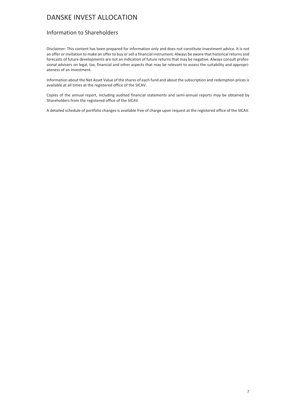### Information to Shareholders

Disclaimer: This content has been prepared for information only and does not constitute investment advice. It is not an offer or invitation to make an offer to buy or sell a financial instrument. Always be aware that historical returns and forecasts of future developments are not an indication of future returns that may be negative. Always consult professional advisers on legal, tax, financial and other aspects that may be relevant to assess the suitability and appropriateness of an investment.

Information about the Net Asset Value of the shares of each fund and about the subscription and redemption prices is available at all times at the registered office of the SICAV.

Copies of the annual report, including audited financial statements and semi-annual reports may be obtained by Shareholders from the registered office of the SICAV.

A detailed schedule of portfolio changes is available free of charge upon request at the registered office of the SICAV.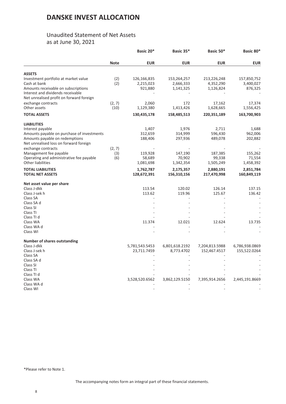### Unaudited Statement of Net Assets as at June 30, 2021

<span id="page-7-0"></span>

|                                            |             | Basic 20*      | Basic 35*      | Basic 50*      | Basic 80*      |
|--------------------------------------------|-------------|----------------|----------------|----------------|----------------|
|                                            | <b>Note</b> | <b>EUR</b>     | <b>EUR</b>     | <b>EUR</b>     | <b>EUR</b>     |
| <b>ASSETS</b>                              |             |                |                |                |                |
| Investment portfolio at market value       | (2)         | 126,166,835    | 153,264,257    | 213,226,248    | 157,850,752    |
| Cash at bank                               | (2)         | 2,215,023      | 2,666,333      | 4,352,290      | 3,400,027      |
|                                            |             |                |                |                |                |
| Amounts receivable on subscriptions        |             | 921,880        | 1,141,325      | 1,126,824      | 876,325        |
| Interest and dividends receivable          |             |                |                |                |                |
| Net unrealised profit on forward foreign   |             |                |                |                |                |
| exchange contracts                         | (2, 7)      | 2,060          | 172            | 17,162         | 17,374         |
| Other assets                               | (10)        | 1,129,380      | 1,413,426      | 1,628,665      | 1,556,425      |
| <b>TOTAL ASSETS</b>                        |             | 130,435,178    | 158,485,513    | 220,351,189    | 163,700,903    |
| <b>LIABILITIES</b>                         |             |                |                |                |                |
| Interest payable                           |             | 1,407          | 1,976          | 2,711          | 1,688          |
| Amounts payable on purchase of investments |             | 312,659        | 314,999        | 596,430        | 962,006        |
| Amounts payable on redemptions             |             | 188,406        | 297,936        | 489,078        | 202,882        |
| Net unrealised loss on forward foreign     |             |                |                |                |                |
|                                            |             |                |                |                |                |
| exchange contracts                         | (2, 7)      |                |                |                |                |
| Management fee payable                     | (3)         | 119,928        | 147,190        | 187,385        | 155,262        |
| Operating and administrative fee payable   | (6)         | 58,689         | 70,902         | 99,338         | 71,554         |
| <b>Other liabilities</b>                   |             | 1,081,698      | 1,342,354      | 1,505,249      | 1,458,392      |
| <b>TOTAL LIABILITIES</b>                   |             | 1,762,787      | 2,175,357      | 2,880,191      | 2,851,784      |
| <b>TOTAL NET ASSETS</b>                    |             | 128,672,391    | 156,310,156    | 217,470,998    | 160,849,119    |
| Net asset value per share                  |             |                |                |                |                |
| Class J-dkk                                |             | 113.54         | 120.02         | 126.14         | 137.15         |
| Class J-sek h                              |             | 113.62         | 119.96         | 125.67         | 136.42         |
| Class SA                                   |             |                |                |                |                |
| Class SA d                                 |             |                |                |                |                |
| Class SI                                   |             |                |                |                |                |
| Class TI                                   |             |                |                |                |                |
| Class TI d                                 |             |                |                |                |                |
| Class WA                                   |             | 11.374         | 12.021         | 12.624         | 13.735         |
| Class WA d                                 |             |                |                |                |                |
| Class WI                                   |             |                |                |                |                |
|                                            |             |                |                |                |                |
| <b>Number of shares outstanding</b>        |             |                |                |                |                |
| Class J-dkk                                |             | 5,781,543.5453 | 6,801,618.2192 | 7,204,813.5988 | 6,786,938.0869 |
| Class J-sek h                              |             | 23,711.7459    | 8,773.4702     | 152,467.4517   | 155,522.0264   |
| Class SA                                   |             |                |                |                |                |
| Class SA d                                 |             |                |                |                |                |
| Class SI                                   |             |                |                |                |                |
| Class TI                                   |             |                |                |                |                |
| Class TI d                                 |             |                |                |                |                |
| Class WA                                   |             | 3,528,520.6562 | 3,862,129.5150 | 7,395,914.2656 | 2,445,191.8669 |
| Class WA d                                 |             |                |                |                |                |
| Class WI                                   |             |                |                |                |                |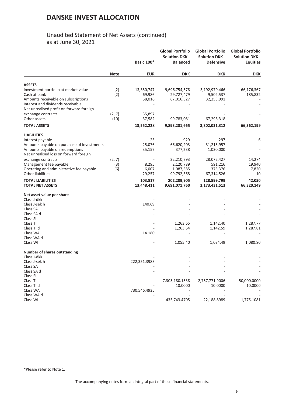### Unaudited Statement of Net Assets (continued) as at June 30, 2021

|                                                                          |             | <b>Basic 100*</b>     | <b>Global Portfolio</b><br><b>Solution DKK -</b><br><b>Balanced</b> | <b>Global Portfolio</b><br><b>Solution DKK -</b><br><b>Defensive</b> | <b>Global Portfolio</b><br><b>Solution DKK -</b><br><b>Equities</b> |
|--------------------------------------------------------------------------|-------------|-----------------------|---------------------------------------------------------------------|----------------------------------------------------------------------|---------------------------------------------------------------------|
|                                                                          | <b>Note</b> | <b>EUR</b>            | <b>DKK</b>                                                          | <b>DKK</b>                                                           | <b>DKK</b>                                                          |
| <b>ASSETS</b>                                                            |             |                       |                                                                     |                                                                      |                                                                     |
| Investment portfolio at market value                                     | (2)         | 13,350,747            | 9,696,754,578                                                       | 3,192,979,466                                                        | 66,176,367                                                          |
| Cash at bank                                                             | (2)         | 69,986                | 29,727,479                                                          | 9,502,537                                                            | 185,832                                                             |
| Amounts receivable on subscriptions                                      |             | 58,016                | 67,016,527                                                          | 32,253,991                                                           |                                                                     |
| Interest and dividends receivable                                        |             |                       |                                                                     |                                                                      |                                                                     |
| Net unrealised profit on forward foreign                                 |             |                       |                                                                     |                                                                      |                                                                     |
| exchange contracts                                                       | (2, 7)      | 35,897                |                                                                     |                                                                      |                                                                     |
| Other assets                                                             | (10)        | 37,582                | 99,783,081                                                          | 67,295,318                                                           |                                                                     |
|                                                                          |             |                       |                                                                     |                                                                      |                                                                     |
| <b>TOTAL ASSETS</b>                                                      |             | 13,552,228            | 9,893,281,665                                                       | 3,302,031,312                                                        | 66,362,199                                                          |
| <b>LIABILITIES</b>                                                       |             |                       |                                                                     |                                                                      |                                                                     |
| Interest payable                                                         |             | 25                    | 929                                                                 | 297                                                                  | 6                                                                   |
| Amounts payable on purchase of investments                               |             | 25,076                | 66,620,203                                                          | 31,215,957                                                           |                                                                     |
| Amounts payable on redemptions<br>Net unrealised loss on forward foreign |             | 35,157                | 377,238                                                             | 1,030,000                                                            |                                                                     |
| exchange contracts                                                       | (2, 7)      |                       | 32,210,793                                                          | 28,072,427                                                           | 14,274                                                              |
| Management fee payable                                                   | (3)         | 8,295                 | 2,120,789                                                           | 591,216                                                              | 19,940                                                              |
| Operating and administrative fee payable                                 | (6)         | 6,007                 | 1,087,585                                                           | 375,376                                                              | 7,820                                                               |
| Other liabilities                                                        |             | 29,257                | 99,792,368                                                          | 67,314,526                                                           | 10                                                                  |
| <b>TOTAL LIABILITIES</b><br><b>TOTAL NET ASSETS</b>                      |             | 103,817<br>13,448,411 | 202,209,905<br>9,691,071,760                                        | 128,599,799<br>3,173,431,513                                         | 42,050<br>66,320,149                                                |
|                                                                          |             |                       |                                                                     |                                                                      |                                                                     |
| Net asset value per share                                                |             |                       |                                                                     |                                                                      |                                                                     |
| Class J-dkk                                                              |             | 140.69                |                                                                     |                                                                      |                                                                     |
| Class J-sek h                                                            |             |                       |                                                                     |                                                                      |                                                                     |
| Class SA<br>Class SA d                                                   |             |                       |                                                                     |                                                                      |                                                                     |
| Class SI                                                                 |             |                       |                                                                     |                                                                      |                                                                     |
| Class TI                                                                 |             |                       | 1,263.65                                                            | 1,142.40                                                             | 1,287.77                                                            |
| Class TI d                                                               |             |                       | 1,263.64                                                            | 1,142.59                                                             | 1,287.81                                                            |
| Class WA                                                                 |             | 14.180                |                                                                     |                                                                      |                                                                     |
| Class WA d                                                               |             |                       |                                                                     |                                                                      |                                                                     |
| Class WI                                                                 |             |                       | 1,055.40                                                            | 1,034.49                                                             | 1,080.80                                                            |
| <b>Number of shares outstanding</b>                                      |             |                       |                                                                     |                                                                      |                                                                     |
| Class J-dkk                                                              |             |                       |                                                                     |                                                                      |                                                                     |
| Class J-sek h                                                            |             | 222,351.3983          |                                                                     |                                                                      |                                                                     |
| Class SA                                                                 |             |                       |                                                                     |                                                                      |                                                                     |
| Class SA d                                                               |             |                       |                                                                     |                                                                      |                                                                     |
| Class SI                                                                 |             |                       |                                                                     |                                                                      |                                                                     |
| Class TI                                                                 |             |                       | 7,305,180.1538                                                      | 2,757,771.9006                                                       | 50,000.0000                                                         |
| Class TI d                                                               |             |                       | 10.0000                                                             | 10.0000                                                              | 10.0000                                                             |
| Class WA                                                                 |             | 730,546.4935          |                                                                     |                                                                      |                                                                     |
| Class WA d                                                               |             |                       |                                                                     |                                                                      |                                                                     |
| Class WI                                                                 |             |                       | 435,743.4705                                                        | 22,188.8989                                                          | 1,775.1081                                                          |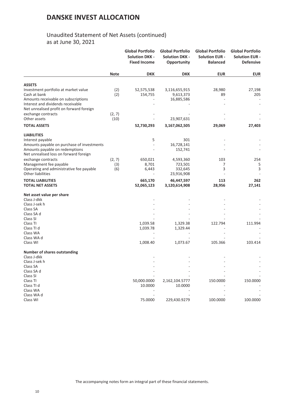## Unaudited Statement of Net Assets (continued) as at June 30, 2021

|                                            |             | <b>Global Portfolio</b><br><b>Solution DKK -</b><br><b>Fixed Income</b> | <b>Global Portfolio</b><br><b>Solution DKK -</b><br>Opportunity | <b>Global Portfolio</b><br><b>Solution EUR -</b><br><b>Balanced</b> | <b>Global Portfolio</b><br><b>Solution EUR -</b><br><b>Defensive</b> |
|--------------------------------------------|-------------|-------------------------------------------------------------------------|-----------------------------------------------------------------|---------------------------------------------------------------------|----------------------------------------------------------------------|
|                                            | <b>Note</b> | <b>DKK</b>                                                              | <b>DKK</b>                                                      | <b>EUR</b>                                                          | <b>EUR</b>                                                           |
| <b>ASSETS</b>                              |             |                                                                         |                                                                 |                                                                     |                                                                      |
| Investment portfolio at market value       | (2)         | 52,575,538                                                              | 3,116,655,915                                                   | 28,980                                                              | 27,198                                                               |
| Cash at bank                               | (2)         | 154,755                                                                 | 9,613,373                                                       | 89                                                                  | 205                                                                  |
| Amounts receivable on subscriptions        |             |                                                                         | 16,885,586                                                      | $\overline{a}$                                                      |                                                                      |
| Interest and dividends receivable          |             |                                                                         |                                                                 |                                                                     |                                                                      |
| Net unrealised profit on forward foreign   |             |                                                                         |                                                                 |                                                                     |                                                                      |
| exchange contracts                         | (2, 7)      |                                                                         |                                                                 |                                                                     |                                                                      |
| Other assets                               | (10)        |                                                                         | 23,907,631                                                      |                                                                     |                                                                      |
| <b>TOTAL ASSETS</b>                        |             | 52,730,293                                                              | 3,167,062,505                                                   | 29,069                                                              | 27,403                                                               |
| <b>LIABILITIES</b>                         |             |                                                                         |                                                                 |                                                                     |                                                                      |
| Interest payable                           |             | 5                                                                       | 301                                                             |                                                                     |                                                                      |
| Amounts payable on purchase of investments |             |                                                                         | 16,728,141                                                      |                                                                     |                                                                      |
| Amounts payable on redemptions             |             |                                                                         | 152,741                                                         |                                                                     |                                                                      |
| Net unrealised loss on forward foreign     |             |                                                                         |                                                                 |                                                                     |                                                                      |
| exchange contracts                         | (2, 7)      | 650,021                                                                 | 4,593,360                                                       | 103                                                                 | 254                                                                  |
| Management fee payable                     | (3)         | 8,701                                                                   | 723,501                                                         | 7                                                                   | 5                                                                    |
| Operating and administrative fee payable   | (6)         | 6,443                                                                   | 332,645                                                         | 3                                                                   | 3                                                                    |
| <b>Other liabilities</b>                   |             |                                                                         | 23,916,908                                                      |                                                                     |                                                                      |
| <b>TOTAL LIABILITIES</b>                   |             | 665,170                                                                 | 46,447,597                                                      | 113                                                                 | 262                                                                  |
| <b>TOTAL NET ASSETS</b>                    |             | 52,065,123                                                              | 3,120,614,908                                                   | 28,956                                                              | 27,141                                                               |
| Net asset value per share                  |             |                                                                         |                                                                 |                                                                     |                                                                      |
| Class J-dkk                                |             |                                                                         |                                                                 |                                                                     |                                                                      |
| Class J-sek h                              |             |                                                                         |                                                                 |                                                                     |                                                                      |
| Class SA                                   |             |                                                                         |                                                                 |                                                                     |                                                                      |
| Class SA d                                 |             |                                                                         |                                                                 |                                                                     |                                                                      |
| Class SI                                   |             |                                                                         |                                                                 |                                                                     |                                                                      |
| Class TI                                   |             | 1,039.58                                                                | 1,329.38                                                        | 122.794                                                             | 111.994                                                              |
| Class TI d                                 |             | 1,039.78                                                                | 1,329.44                                                        |                                                                     |                                                                      |
| Class WA                                   |             |                                                                         |                                                                 |                                                                     |                                                                      |
| Class WA d                                 |             |                                                                         |                                                                 |                                                                     | 103.414                                                              |
| Class WI                                   |             | 1,008.40                                                                | 1,073.67                                                        | 105.366                                                             |                                                                      |
| <b>Number of shares outstanding</b>        |             |                                                                         |                                                                 |                                                                     |                                                                      |
| Class J-dkk                                |             |                                                                         |                                                                 |                                                                     |                                                                      |
| Class J-sek h                              |             |                                                                         |                                                                 |                                                                     |                                                                      |
| Class SA                                   |             |                                                                         |                                                                 |                                                                     |                                                                      |
| Class SA d<br>Class SI                     |             |                                                                         |                                                                 |                                                                     |                                                                      |
| Class TI                                   |             | 50,000.0000                                                             | 2,162,104.5777                                                  | 150.0000                                                            | 150.0000                                                             |
| Class TI d                                 |             | 10.0000                                                                 | 10.0000                                                         |                                                                     |                                                                      |
| Class WA                                   |             |                                                                         |                                                                 |                                                                     |                                                                      |
| Class WA d                                 |             |                                                                         |                                                                 |                                                                     |                                                                      |
| Class WI                                   |             | 75.0000                                                                 | 229,430.9279                                                    | 100.0000                                                            | 100.0000                                                             |
|                                            |             |                                                                         |                                                                 |                                                                     |                                                                      |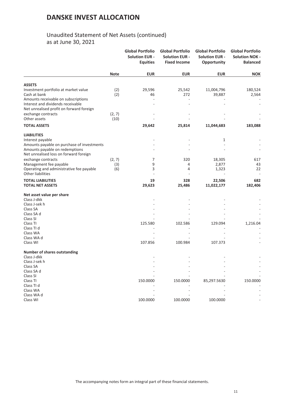## Unaudited Statement of Net Assets (continued) as at June 30, 2021

|                                                                    |             | <b>Global Portfolio</b><br><b>Solution EUR -</b><br><b>Equities</b> | <b>Global Portfolio</b><br><b>Solution EUR -</b><br><b>Fixed Income</b> | <b>Global Portfolio</b><br><b>Solution EUR -</b><br>Opportunity | <b>Global Portfolio</b><br><b>Solution NOK -</b><br><b>Balanced</b> |
|--------------------------------------------------------------------|-------------|---------------------------------------------------------------------|-------------------------------------------------------------------------|-----------------------------------------------------------------|---------------------------------------------------------------------|
|                                                                    | <b>Note</b> | <b>EUR</b>                                                          | <b>EUR</b>                                                              | <b>EUR</b>                                                      | <b>NOK</b>                                                          |
| <b>ASSETS</b>                                                      |             |                                                                     |                                                                         |                                                                 |                                                                     |
| Investment portfolio at market value                               | (2)         | 29,596                                                              | 25,542                                                                  | 11,004,796                                                      | 180,524                                                             |
| Cash at bank                                                       | (2)         | 46                                                                  | 272                                                                     | 39,887                                                          | 2,564                                                               |
| Amounts receivable on subscriptions                                |             |                                                                     |                                                                         |                                                                 |                                                                     |
| Interest and dividends receivable                                  |             |                                                                     |                                                                         |                                                                 |                                                                     |
| Net unrealised profit on forward foreign                           |             |                                                                     |                                                                         |                                                                 |                                                                     |
| exchange contracts                                                 | (2, 7)      |                                                                     |                                                                         |                                                                 |                                                                     |
| Other assets                                                       | (10)        |                                                                     |                                                                         |                                                                 |                                                                     |
| <b>TOTAL ASSETS</b>                                                |             | 29,642                                                              | 25,814                                                                  | 11,044,683                                                      | 183,088                                                             |
| <b>LIABILITIES</b>                                                 |             |                                                                     |                                                                         |                                                                 |                                                                     |
| Interest payable                                                   |             |                                                                     |                                                                         | 1                                                               |                                                                     |
| Amounts payable on purchase of investments                         |             |                                                                     |                                                                         |                                                                 |                                                                     |
| Amounts payable on redemptions                                     |             |                                                                     |                                                                         |                                                                 |                                                                     |
| Net unrealised loss on forward foreign                             |             |                                                                     |                                                                         |                                                                 |                                                                     |
| exchange contracts                                                 | (2, 7)      | 7                                                                   | 320                                                                     | 18,305<br>2,877                                                 | 617                                                                 |
| Management fee payable<br>Operating and administrative fee payable | (3)<br>(6)  | 9<br>3                                                              | 4<br>4                                                                  | 1,323                                                           | 43<br>22                                                            |
| <b>Other liabilities</b>                                           |             |                                                                     |                                                                         |                                                                 |                                                                     |
| <b>TOTAL LIABILITIES</b>                                           |             | 19                                                                  | 328                                                                     | 22,506                                                          | 682                                                                 |
| <b>TOTAL NET ASSETS</b>                                            |             | 29,623                                                              | 25,486                                                                  | 11,022,177                                                      | 182,406                                                             |
| Net asset value per share                                          |             |                                                                     |                                                                         |                                                                 |                                                                     |
| Class J-dkk                                                        |             |                                                                     |                                                                         |                                                                 |                                                                     |
| Class J-sek h                                                      |             |                                                                     |                                                                         |                                                                 |                                                                     |
| Class SA                                                           |             |                                                                     |                                                                         |                                                                 |                                                                     |
| Class SA d<br>Class SI                                             |             |                                                                     |                                                                         |                                                                 |                                                                     |
| Class TI                                                           |             | 125.580                                                             | 102.586                                                                 | 129.094                                                         | 1,216.04                                                            |
| Class TI d                                                         |             |                                                                     |                                                                         |                                                                 |                                                                     |
| Class WA                                                           |             |                                                                     |                                                                         |                                                                 |                                                                     |
| Class WA d                                                         |             |                                                                     |                                                                         |                                                                 |                                                                     |
| Class WI                                                           |             | 107.856                                                             | 100.984                                                                 | 107.373                                                         |                                                                     |
| <b>Number of shares outstanding</b>                                |             |                                                                     |                                                                         |                                                                 |                                                                     |
| Class J-dkk                                                        |             |                                                                     |                                                                         |                                                                 |                                                                     |
| Class J-sek h                                                      |             |                                                                     |                                                                         |                                                                 |                                                                     |
| Class SA                                                           |             |                                                                     |                                                                         |                                                                 |                                                                     |
| Class SA d                                                         |             |                                                                     |                                                                         |                                                                 |                                                                     |
| Class SI<br>Class <sub>TI</sub>                                    |             | 150.0000                                                            | 150.0000                                                                |                                                                 | 150.0000                                                            |
| Class TI d                                                         |             |                                                                     |                                                                         | 85,297.5630                                                     |                                                                     |
| Class WA                                                           |             |                                                                     |                                                                         |                                                                 |                                                                     |
| Class WA d                                                         |             |                                                                     |                                                                         |                                                                 |                                                                     |
| Class WI                                                           |             | 100.0000                                                            | 100.0000                                                                | 100.0000                                                        |                                                                     |
|                                                                    |             |                                                                     |                                                                         |                                                                 |                                                                     |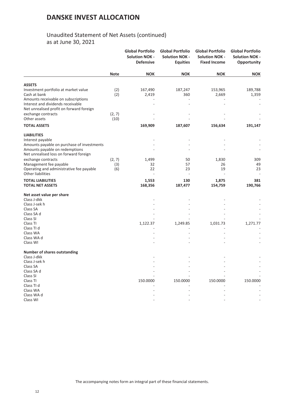## Unaudited Statement of Net Assets (continued) as at June 30, 2021

|                                                                      |             | <b>Global Portfolio</b><br><b>Solution NOK -</b><br><b>Defensive</b> | <b>Global Portfolio</b><br><b>Solution NOK -</b><br><b>Equities</b> | <b>Global Portfolio</b><br><b>Solution NOK -</b><br><b>Fixed Income</b> | <b>Global Portfolio</b><br><b>Solution NOK -</b><br>Opportunity |
|----------------------------------------------------------------------|-------------|----------------------------------------------------------------------|---------------------------------------------------------------------|-------------------------------------------------------------------------|-----------------------------------------------------------------|
|                                                                      | <b>Note</b> | <b>NOK</b>                                                           | <b>NOK</b>                                                          | <b>NOK</b>                                                              | <b>NOK</b>                                                      |
| <b>ASSETS</b>                                                        |             |                                                                      |                                                                     |                                                                         |                                                                 |
| Investment portfolio at market value                                 | (2)         | 167,490                                                              | 187,247                                                             | 153,965                                                                 | 189,788                                                         |
| Cash at bank                                                         | (2)         | 2,419                                                                | 360                                                                 | 2,669                                                                   | 1,359                                                           |
| Amounts receivable on subscriptions                                  |             |                                                                      |                                                                     |                                                                         |                                                                 |
| Interest and dividends receivable                                    |             |                                                                      |                                                                     |                                                                         |                                                                 |
| Net unrealised profit on forward foreign                             |             |                                                                      |                                                                     |                                                                         |                                                                 |
| exchange contracts                                                   | (2, 7)      |                                                                      |                                                                     |                                                                         |                                                                 |
| Other assets                                                         | (10)        |                                                                      |                                                                     |                                                                         |                                                                 |
| <b>TOTAL ASSETS</b>                                                  |             | 169,909                                                              | 187,607                                                             | 156,634                                                                 | 191,147                                                         |
| <b>LIABILITIES</b>                                                   |             |                                                                      |                                                                     |                                                                         |                                                                 |
| Interest payable                                                     |             |                                                                      |                                                                     |                                                                         |                                                                 |
| Amounts payable on purchase of investments                           |             |                                                                      |                                                                     |                                                                         |                                                                 |
| Amounts payable on redemptions                                       |             |                                                                      |                                                                     |                                                                         |                                                                 |
| Net unrealised loss on forward foreign                               |             |                                                                      |                                                                     |                                                                         |                                                                 |
| exchange contracts                                                   | (2, 7)      | 1,499                                                                | 50                                                                  | 1,830                                                                   | 309                                                             |
| Management fee payable                                               | (3)         | 32                                                                   | 57                                                                  | 26                                                                      | 49                                                              |
| Operating and administrative fee payable<br><b>Other liabilities</b> | (6)         | 22                                                                   | 23                                                                  | 19                                                                      | 23                                                              |
| <b>TOTAL LIABILITIES</b>                                             |             | 1,553                                                                | 130                                                                 | 1,875                                                                   | 381                                                             |
| <b>TOTAL NET ASSETS</b>                                              |             | 168,356                                                              | 187,477                                                             | 154,759                                                                 | 190,766                                                         |
| Net asset value per share                                            |             |                                                                      |                                                                     |                                                                         |                                                                 |
| Class J-dkk                                                          |             |                                                                      |                                                                     |                                                                         |                                                                 |
| Class J-sek h                                                        |             |                                                                      |                                                                     |                                                                         |                                                                 |
| Class SA                                                             |             |                                                                      |                                                                     |                                                                         |                                                                 |
| Class SA d<br>Class SI                                               |             |                                                                      |                                                                     |                                                                         |                                                                 |
| Class TI                                                             |             | 1,122.37                                                             | 1,249.85                                                            | 1,031.73                                                                | 1,271.77                                                        |
| Class TI d                                                           |             |                                                                      |                                                                     |                                                                         |                                                                 |
| Class WA                                                             |             |                                                                      |                                                                     |                                                                         |                                                                 |
| Class WA d                                                           |             |                                                                      |                                                                     |                                                                         |                                                                 |
| Class WI                                                             |             |                                                                      |                                                                     |                                                                         |                                                                 |
| <b>Number of shares outstanding</b>                                  |             |                                                                      |                                                                     |                                                                         |                                                                 |
| Class J-dkk                                                          |             |                                                                      |                                                                     |                                                                         |                                                                 |
| Class J-sek h                                                        |             |                                                                      |                                                                     |                                                                         |                                                                 |
| Class SA                                                             |             |                                                                      |                                                                     |                                                                         |                                                                 |
| Class SA d                                                           |             |                                                                      |                                                                     |                                                                         |                                                                 |
| Class SI                                                             |             |                                                                      |                                                                     |                                                                         |                                                                 |
| Class TI                                                             |             | 150.0000                                                             | 150.0000                                                            | 150.0000                                                                | 150.0000                                                        |
| Class TI d<br>Class WA                                               |             |                                                                      |                                                                     |                                                                         |                                                                 |
| Class WA d                                                           |             |                                                                      |                                                                     |                                                                         |                                                                 |
| Class WI                                                             |             |                                                                      |                                                                     |                                                                         |                                                                 |
|                                                                      |             |                                                                      |                                                                     |                                                                         |                                                                 |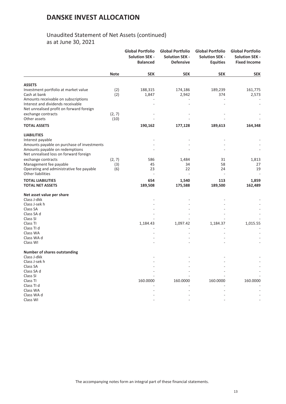## Unaudited Statement of Net Assets (continued) as at June 30, 2021

|                                                                      |             | <b>Global Portfolio</b><br><b>Solution SEK -</b><br><b>Balanced</b> | <b>Global Portfolio</b><br><b>Solution SEK -</b><br><b>Defensive</b> | <b>Global Portfolio</b><br><b>Solution SEK -</b><br><b>Equities</b> | <b>Global Portfolio</b><br><b>Solution SEK -</b><br><b>Fixed Income</b> |
|----------------------------------------------------------------------|-------------|---------------------------------------------------------------------|----------------------------------------------------------------------|---------------------------------------------------------------------|-------------------------------------------------------------------------|
|                                                                      | <b>Note</b> | <b>SEK</b>                                                          | <b>SEK</b>                                                           | <b>SEK</b>                                                          | <b>SEK</b>                                                              |
| <b>ASSETS</b>                                                        |             |                                                                     |                                                                      |                                                                     |                                                                         |
| Investment portfolio at market value                                 | (2)         | 188,315                                                             | 174,186                                                              | 189,239                                                             | 161,775                                                                 |
| Cash at bank                                                         | (2)         | 1,847                                                               | 2,942                                                                | 374                                                                 | 2,573                                                                   |
| Amounts receivable on subscriptions                                  |             |                                                                     |                                                                      |                                                                     |                                                                         |
| Interest and dividends receivable                                    |             |                                                                     |                                                                      |                                                                     |                                                                         |
| Net unrealised profit on forward foreign                             |             |                                                                     |                                                                      |                                                                     |                                                                         |
| exchange contracts                                                   | (2, 7)      |                                                                     |                                                                      |                                                                     |                                                                         |
| Other assets                                                         | (10)        |                                                                     |                                                                      |                                                                     |                                                                         |
| <b>TOTAL ASSETS</b>                                                  |             | 190,162                                                             | 177,128                                                              | 189,613                                                             | 164,348                                                                 |
| <b>LIABILITIES</b>                                                   |             |                                                                     |                                                                      |                                                                     |                                                                         |
| Interest payable                                                     |             |                                                                     |                                                                      |                                                                     |                                                                         |
| Amounts payable on purchase of investments                           |             |                                                                     |                                                                      |                                                                     |                                                                         |
| Amounts payable on redemptions                                       |             |                                                                     |                                                                      |                                                                     |                                                                         |
| Net unrealised loss on forward foreign                               |             |                                                                     |                                                                      |                                                                     |                                                                         |
| exchange contracts                                                   | (2, 7)      | 586                                                                 | 1,484                                                                | 31                                                                  | 1,813                                                                   |
| Management fee payable                                               | (3)         | 45                                                                  | 34                                                                   | 58                                                                  | 27                                                                      |
| Operating and administrative fee payable<br><b>Other liabilities</b> | (6)         | 23                                                                  | 22                                                                   | 24                                                                  | 19                                                                      |
| <b>TOTAL LIABILITIES</b>                                             |             | 654                                                                 | 1,540                                                                | 113                                                                 | 1,859                                                                   |
| <b>TOTAL NET ASSETS</b>                                              |             | 189,508                                                             | 175,588                                                              | 189,500                                                             | 162,489                                                                 |
| Net asset value per share                                            |             |                                                                     |                                                                      |                                                                     |                                                                         |
| Class J-dkk                                                          |             |                                                                     |                                                                      |                                                                     |                                                                         |
| Class J-sek h                                                        |             |                                                                     |                                                                      |                                                                     |                                                                         |
| Class SA                                                             |             |                                                                     |                                                                      |                                                                     |                                                                         |
| Class SA d                                                           |             |                                                                     |                                                                      |                                                                     |                                                                         |
| Class SI                                                             |             |                                                                     |                                                                      |                                                                     |                                                                         |
| Class TI                                                             |             | 1,184.43                                                            | 1,097.42                                                             | 1,184.37                                                            | 1,015.55                                                                |
| Class TI d<br>Class WA                                               |             |                                                                     |                                                                      |                                                                     |                                                                         |
| Class WA d                                                           |             |                                                                     |                                                                      |                                                                     |                                                                         |
| Class WI                                                             |             |                                                                     |                                                                      |                                                                     |                                                                         |
| <b>Number of shares outstanding</b>                                  |             |                                                                     |                                                                      |                                                                     |                                                                         |
| Class J-dkk                                                          |             |                                                                     |                                                                      |                                                                     |                                                                         |
| Class J-sek h                                                        |             |                                                                     |                                                                      |                                                                     |                                                                         |
| Class SA                                                             |             |                                                                     |                                                                      |                                                                     |                                                                         |
| Class SA d                                                           |             |                                                                     |                                                                      |                                                                     |                                                                         |
| Class SI                                                             |             |                                                                     |                                                                      |                                                                     |                                                                         |
| Class TI                                                             |             | 160.0000                                                            | 160.0000                                                             | 160.0000                                                            | 160.0000                                                                |
| Class TI d                                                           |             |                                                                     |                                                                      |                                                                     |                                                                         |
| Class WA                                                             |             |                                                                     |                                                                      |                                                                     |                                                                         |
| Class WA d                                                           |             |                                                                     |                                                                      |                                                                     |                                                                         |
| Class WI                                                             |             |                                                                     |                                                                      |                                                                     |                                                                         |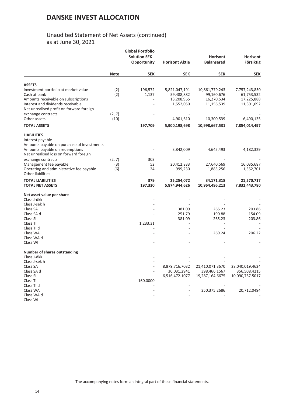## Unaudited Statement of Net Assets (continued) as at June 30, 2021

|                                                                                                                                                                              |                      | <b>Global Portfolio</b><br><b>Solution SEK -</b><br>Opportunity | <b>Horisont Aktie</b>                                  | <b>Horisont</b><br><b>Balanserad</b>                     | <b>Horisont</b><br>Försiktig                            |
|------------------------------------------------------------------------------------------------------------------------------------------------------------------------------|----------------------|-----------------------------------------------------------------|--------------------------------------------------------|----------------------------------------------------------|---------------------------------------------------------|
|                                                                                                                                                                              | <b>Note</b>          | <b>SEK</b>                                                      | <b>SEK</b>                                             | <b>SEK</b>                                               | <b>SEK</b>                                              |
| <b>ASSETS</b>                                                                                                                                                                |                      |                                                                 |                                                        |                                                          |                                                         |
| Investment portfolio at market value<br>Cash at bank<br>Amounts receivable on subscriptions<br>Interest and dividends receivable<br>Net unrealised profit on forward foreign | (2)<br>(2)           | 196,572<br>1,137                                                | 5,821,047,191<br>59,488,882<br>13,208,965<br>1,552,050 | 10,861,779,243<br>99,160,676<br>16,270,534<br>11,156,539 | 7,757,243,850<br>61,753,532<br>17,225,888<br>11,301,092 |
| exchange contracts<br>Other assets                                                                                                                                           | (2, 7)<br>(10)       |                                                                 | 4,901,610                                              | 10,300,539                                               | 6,490,135                                               |
| <b>TOTAL ASSETS</b>                                                                                                                                                          |                      | 197,709                                                         | 5,900,198,698                                          | 10,998,667,531                                           | 7,854,014,497                                           |
| <b>LIABILITIES</b><br>Interest payable<br>Amounts payable on purchase of investments<br>Amounts payable on redemptions<br>Net unrealised loss on forward foreign             |                      |                                                                 | 3,842,009                                              | 4,645,493                                                | 4,182,329                                               |
| exchange contracts<br>Management fee payable<br>Operating and administrative fee payable<br><b>Other liabilities</b>                                                         | (2, 7)<br>(3)<br>(6) | 303<br>52<br>24<br>$\overline{\phantom{a}}$                     | 20,412,833<br>999,230                                  | 27,640,569<br>1,885,256                                  | 16,035,687<br>1,352,701                                 |
| <b>TOTAL LIABILITIES</b><br><b>TOTAL NET ASSETS</b>                                                                                                                          |                      | 379<br>197,330                                                  | 25,254,072<br>5,874,944,626                            | 34,171,318<br>10,964,496,213                             | 21,570,717<br>7,832,443,780                             |
| Net asset value per share<br>Class J-dkk<br>Class J-sek h<br>Class SA<br>Class SA d<br>Class SI<br>Class TI                                                                  |                      | 1,233.31                                                        | 381.09<br>251.79<br>381.09                             | 265.23<br>190.88<br>265.23                               | 203.86<br>154.09<br>203.86                              |
| Class TI d<br>Class WA<br>Class WA d<br>Class WI                                                                                                                             |                      |                                                                 |                                                        | 269.24                                                   | 206.22                                                  |
| <b>Number of shares outstanding</b><br>Class J-dkk<br>Class J-sek h<br>Class SA<br>Class SA d<br>Class SI                                                                    |                      |                                                                 | 8,879,716.7032<br>30,031.2941<br>6,516,472.1077        | 21,410,071.3670<br>398,466.1567<br>19,287,164.6675       | 28,040,019.4624<br>356,508.4215<br>10,090,757.5017      |
| Class TI<br>Class TI d<br>Class WA<br>Class WA d<br>Class WI                                                                                                                 |                      | 160.0000                                                        |                                                        | 350,375.2686                                             | 20,712.0494                                             |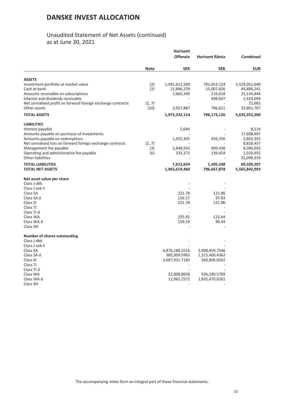## Unaudited Statement of Net Assets (continued) as at June 30, 2021

|                                                             |             | <b>Horisont</b> |                       |               |
|-------------------------------------------------------------|-------------|-----------------|-----------------------|---------------|
|                                                             |             | <b>Offensiv</b> | <b>Horisont Ränta</b> | Combined      |
|                                                             | <b>Note</b> | <b>SEK</b>      | <b>SEK</b>            | <b>EUR</b>    |
| ASSETS                                                      |             |                 |                       |               |
| Investment portfolio at market value                        | (2)         | 1,941,612,500   | 781,653,124           | 5,529,052,649 |
| Cash at bank                                                | (2)         | 21,896,378      | 15,007,826            | 44,806,241    |
| Amounts receivable on subscriptions                         |             | 7,665,349       | 216,918               | 25,134,844    |
| Interest and dividends receivable                           |             |                 | 498,647               | 2,424,094     |
| Net unrealised profit on forward foreign exchange contracts | (2, 7)      |                 |                       | 72,665        |
| Other assets                                                | (10)        | 2,057,887       | 796,611               | 33,861,707    |
| <b>TOTAL ASSETS</b>                                         |             | 1,973,232,114   | 798,173,126           | 5,635,352,200 |
| <b>LIABILITIES</b>                                          |             |                 |                       |               |
| Interest payable                                            |             | 5,044           |                       | 8,514         |
| Amounts payable on purchase of investments                  |             |                 |                       | 17,608,497    |
| Amounts payable on redemptions                              |             | 1,425,305       | 456,356               | 2,862,392     |
| Net unrealised loss on forward foreign exchange contracts   | (2, 7)      |                 |                       | 8,828,457     |
| Management fee payable                                      | (3)         | 5,848,933       | 909,438               | 8,094,033     |
| Operating and administrative fee payable                    | (6)         | 333,372         | 139,454               | 1,016,955     |
| <b>Other liabilities</b>                                    |             |                 |                       | 31,090,359    |
| <b>TOTAL LIABILITIES</b>                                    |             | 7,612,654       | 1,505,248             | 69,509,207    |
| <b>TOTAL NET ASSETS</b>                                     |             | 1,965,619,460   | 796,667,878           | 5,565,842,993 |
| Net asset value per share                                   |             |                 |                       |               |
| Class J-dkk                                                 |             |                 |                       |               |
| Class J-sek h                                               |             |                 |                       |               |
| Class SA                                                    |             | 221.78          | 121.86                |               |
| Class SA d                                                  |             | 156.17          | 97.83                 |               |
| Class SI                                                    |             | 221.78          | 121.86                |               |
| Class TI                                                    |             |                 |                       |               |
| Class TI d                                                  |             |                 |                       |               |
| Class WA                                                    |             | 225.92          | 122.64                |               |
| Class WA d                                                  |             | 159.19          | 98.44                 |               |
| Class WI                                                    |             |                 |                       |               |
| <b>Number of shares outstanding</b>                         |             |                 |                       |               |
| Class J-dkk                                                 |             |                 |                       |               |
| Class J-sek h                                               |             |                 |                       |               |
| Class SA                                                    |             | 4,876,188.2516  | 2,908,459.7546        |               |
| Class SA d                                                  |             | 380,309.5963    | 1,315,400.4362        |               |
| Class SI                                                    |             | 3,687,931.7185  | 560,806.0262          |               |
| Class TI                                                    |             |                 |                       |               |
| Class TI d                                                  |             |                 |                       |               |
| Class WA                                                    |             | 22,008.8658     | 526,180.5769          |               |
| Class WA d                                                  |             | 11,982.2572     | 1,835,470.0261        |               |
| Class WI                                                    |             |                 |                       |               |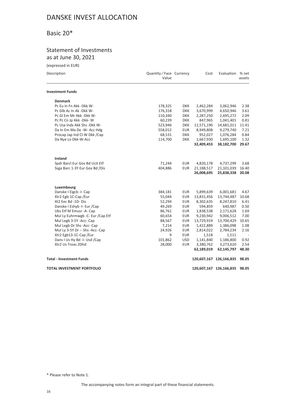## <span id="page-15-0"></span>Basic 20\*

## Statement of Investments as at June 30, 2021

| (expressed in EUR)                 |                                   |            |            |                               |        |
|------------------------------------|-----------------------------------|------------|------------|-------------------------------|--------|
| Description                        | Quantity / Face Currency<br>Value |            | Cost       | Evaluation % net              | assets |
| <b>Investment Funds</b>            |                                   |            |            |                               |        |
| <b>Denmark</b>                     |                                   |            |            |                               |        |
| Pc Eu In Fn Akk - Dkk W-           | 178,325                           | <b>DKK</b> | 2,462,284  | 3,062,946                     | 2.38   |
| Pc Glb Ac In Ak -Dkk W-            | 176,318                           | <b>DKK</b> | 3,670,999  | 4,650,946                     | 3.61   |
| Pc GI Em Mr Akk - Dkk W-           | 110,340                           | <b>DKK</b> | 2,287,250  | 2,695,272                     | 2.09   |
| Pc Pc Cn Jp Akk -Dkk-W             | 60,239                            | <b>DKK</b> | 847,965    | 1,041,401                     | 0.81   |
| Pc Usa Indx Akk Shs - Dkk W-       | 523,946                           | <b>DKK</b> | 11,571,190 | 14,681,011                    | 11.41  |
| Da In Em Ma De -W- Acc Hdg         | 558,012                           | <b>EUR</b> | 8,949,808  | 9,279,740                     | 7.21   |
| Procap Jap Ind CI-W Dkk / Cap      | 68,531                            | <b>DKK</b> | 952,027    | 1,076,284                     | 0.84   |
| Da Nye Lo Dkk-W-Acc                | 114,700                           | <b>DKK</b> | 1,667,930  | 1,695,100                     | 1.32   |
|                                    |                                   |            | 32,409,453 | 38,182,700                    | 29.67  |
| Ireland                            |                                   |            |            |                               |        |
| Spdr Barcl Eur Gov Bd Ucit Etf     | 71,244                            | <b>EUR</b> | 4,820,178  | 4,737,299                     | 3.68   |
| Ssga Barc 1-3Y Eur Gov Bd / Dis    | 404,886                           | <b>EUR</b> | 21,188,517 | 21,101,039                    | 16.40  |
|                                    |                                   |            | 26,008,695 | 25,838,338                    | 20.08  |
| Luxembourg                         |                                   |            |            |                               |        |
| Danske I Eigcb -I- Cap             | 384,181                           | <b>EUR</b> | 5,899,639  | 6,001,681                     | 4.67   |
| Xtr2 Egb-1C-Cap /Eur               | 55,044                            | <b>EUR</b> | 13,831,456 | 13,744,487                    | 10.68  |
| Xt2 Eec Bd -1D-Dis                 | 52,294                            | <b>EUR</b> | 8,302,635  | 8,247,810                     | 6.41   |
| Danske I Eshyb -I- Eur /Cap        | 49,269                            | <b>EUR</b> | 594,859    | 640,987                       | 0.50   |
| Ubs Etf M Emusr -A- Cap            | 86,761                            | <b>EUR</b> | 1,838,538  | 2,171,628                     | 1.69   |
| Mul Ly Euhrmwgb - C- Eur / Cap Etf | 60,654                            | <b>EUR</b> | 9,230,942  | 9,006,512                     | 7.00   |
| Mul Legb 3-5Y -Acc- Cap            | 88,567                            | <b>EUR</b> | 13,729,919 | 13,700,429                    | 10.65  |
| Mul Legb Dr Shs -Acc- Cap          | 7,214                             | <b>EUR</b> | 1,422,889  | 1,386,098                     | 1.08   |
| Mul Ly 3-5Y Dr -- Shs -Acc- Cap    | 24,926                            | <b>EUR</b> | 2,814,022  | 2,784,234                     | 2.16   |
| Xtr2 Egb13-1C-Cap /Eur             | 9                                 | <b>EUR</b> | 1,518      | 1,511                         |        |
| Dans I Us Hy Bd -I- Usd /Cap       | 101,862                           | <b>USD</b> | 1,141,840  | 1,186,800                     | 0.92   |
| Xtr2 Us Treas 2Dhd                 | 28,000                            | <b>EUR</b> | 3,380,762  | 3,273,620                     | 2.54   |
|                                    |                                   |            | 62,189,019 | 62,145,797                    | 48.30  |
| <b>Total - Investment Funds</b>    |                                   |            |            | 120,607,167 126,166,835       | 98.05  |
| <b>TOTAL INVESTMENT PORTFOLIO</b>  |                                   |            |            | 120,607,167 126,166,835 98.05 |        |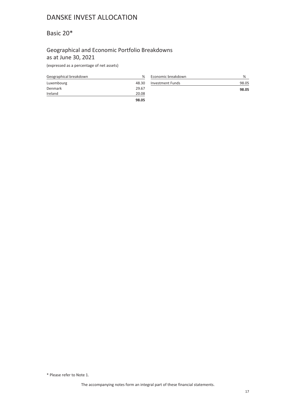## <span id="page-16-0"></span>Basic 20\*

### Geographical and Economic Portfolio Breakdowns as at June 30, 2021

(expressed as a percentage of net assets)

| Geographical breakdown | %     |
|------------------------|-------|
| Luxembourg             | 48.30 |
| Denmark                | 29.67 |
| Ireland                | 20.08 |
|                        | 98.05 |

| Economic breakdown      | %     |
|-------------------------|-------|
| <b>Investment Funds</b> | 98.05 |
|                         | 98.05 |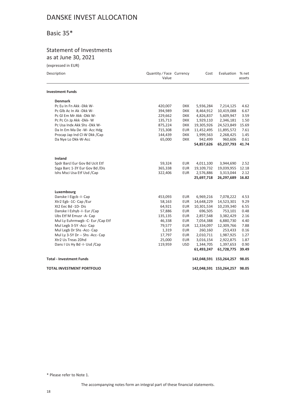## <span id="page-17-0"></span>Basic 35\*

## Statement of Investments as at June 30, 2021

# (expressed in EUR)

| Description                        | Quantity / Face Currency<br>Value |            | Cost       | Evaluation % net              | assets |
|------------------------------------|-----------------------------------|------------|------------|-------------------------------|--------|
| <b>Investment Funds</b>            |                                   |            |            |                               |        |
| <b>Denmark</b>                     |                                   |            |            |                               |        |
| Pc Eu In Fn Akk -Dkk W-            | 420,007                           | DKK        | 5,936,284  | 7,214,125                     | 4.62   |
| Pc Glb Ac In Ak -Dkk W-            | 394,989                           | <b>DKK</b> | 8,464,912  | 10,419,088                    | 6.67   |
| Pc GI Em Mr Akk -Dkk W-            | 229,662                           | <b>DKK</b> | 4,826,837  | 5,609,947                     | 3.59   |
| Pc Pc Cn Jp Akk -Dkk-W             | 135,713                           | <b>DKK</b> | 1,929,110  | 2,346,181                     | 1.50   |
| Pc Usa Indx Akk Shs - Dkk W-       | 875,224                           | <b>DKK</b> | 19,305,926 | 24,523,849                    | 15.69  |
| Da In Em Ma De -W- Acc Hdg         | 715,308                           | <b>EUR</b> | 11,452,495 | 11,895,572                    | 7.61   |
| Procap Jap Ind Cl-W Dkk /Cap       | 144,439                           | <b>DKK</b> | 1,999,563  | 2,268,425                     | 1.45   |
| Da Nye Lo Dkk-W-Acc                | 65,000                            | <b>DKK</b> | 942,499    | 960,606                       | 0.61   |
|                                    |                                   |            | 54,857,626 | 65,237,793                    | 41.74  |
| <b>Ireland</b>                     |                                   |            |            |                               |        |
| Spdr Barcl Eur Gov Bd Ucit Etf     | 59,324                            | <b>EUR</b> | 4,011,100  | 3,944,690                     | 2.52   |
| Ssga Barc 1-3Y Eur Gov Bd /Dis     | 365,338                           | <b>EUR</b> | 19,109,732 | 19,039,955                    | 12.18  |
| Ishs Msci Usa Etf Usd /Cap         | 322,406                           | <b>EUR</b> | 2,576,886  | 3,313,044                     | 2.12   |
|                                    |                                   |            | 25,697,718 | 26,297,689                    | 16.82  |
| Luxembourg                         |                                   |            |            |                               |        |
| Danske I Eigcb -I- Cap             | 453,093                           | <b>EUR</b> | 6,969,216  | 7,078,222                     | 4.53   |
| Xtr2 Egb -1C- Cap /Eur             | 58,163                            | <b>EUR</b> | 14,648,229 | 14,523,301                    | 9.29   |
| Xt2 Eec Bd -1D-Dis                 | 64,921                            | <b>EUR</b> | 10,301,534 | 10,239,340                    | 6.55   |
| Danske I Eshyb -I- Eur /Cap        | 57,886                            | <b>EUR</b> | 696,505    | 753,101                       | 0.48   |
| Ubs Etf M Emusr -A- Cap            | 135,135                           | <b>EUR</b> | 2,857,548  | 3,382,429                     | 2.16   |
| Mul Ly Euhrmwgb - C- Eur / Cap Etf | 46,338                            | <b>EUR</b> | 7,054,388  | 6,880,730                     | 4.40   |
| Mul Legb 3-5Y -Acc- Cap            | 79,577                            | <b>EUR</b> | 12,334,097 | 12,309,766                    | 7.88   |
| Mul Legb Dr Shs -Acc- Cap          | 1,319                             | <b>EUR</b> | 260,160    | 253,433                       | 0.16   |
| Mul Ly 3-5Y Dr -- Shs -Acc- Cap    | 17,797                            | <b>EUR</b> | 2,010,711  | 1,987,925                     | 1.27   |
| Xtr2 Us Treas 2Dhd                 | 25,000                            | <b>EUR</b> | 3,016,154  | 2,922,875                     | 1.87   |
| Dans I Us Hy Bd -I- Usd /Cap       | 119,959                           | <b>USD</b> | 1,344,705  | 1,397,653                     | 0.90   |
|                                    |                                   |            | 61,493,247 | 61,728,775                    | 39.49  |
| <b>Total - Investment Funds</b>    |                                   |            |            | 142,048,591 153,264,257       | 98.05  |
| <b>TOTAL INVESTMENT PORTFOLIO</b>  |                                   |            |            | 142,048,591 153,264,257 98.05 |        |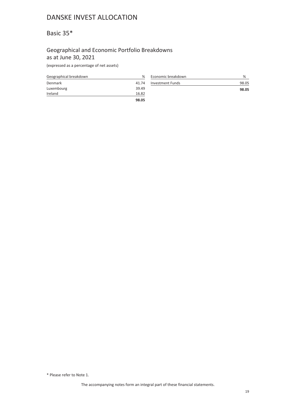## <span id="page-18-0"></span>Basic 35\*

### Geographical and Economic Portfolio Breakdowns as at June 30, 2021

(expressed as a percentage of net assets)

| Geographical breakdown | %     |
|------------------------|-------|
| Denmark                | 41.74 |
| Luxembourg             | 39.49 |
| Ireland                | 16.82 |
|                        | 98.05 |

| Economic breakdown      | %     |
|-------------------------|-------|
| <b>Investment Funds</b> | 98.05 |
|                         | 98.05 |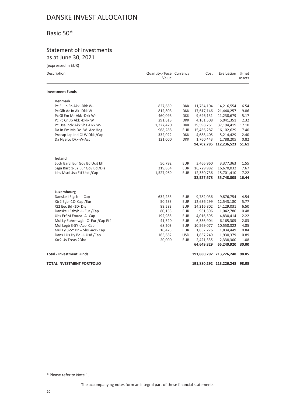## <span id="page-19-0"></span>Basic 50\*

## Statement of Investments as at June 30, 2021

| (expressed in EUR)                 |                                   |            |            |                               |        |
|------------------------------------|-----------------------------------|------------|------------|-------------------------------|--------|
| Description                        | Quantity / Face Currency<br>Value |            | Cost       | Evaluation % net              | assets |
| <b>Investment Funds</b>            |                                   |            |            |                               |        |
| <b>Denmark</b>                     |                                   |            |            |                               |        |
| Pc Eu In Fn Akk - Dkk W-           | 827,689                           | <b>DKK</b> | 11,764,104 | 14,216,554                    | 6.54   |
| Pc Glb Ac In Ak -Dkk W-            | 812,803                           | <b>DKK</b> | 17,617,146 | 21,440,257                    | 9.86   |
| Pc GI Em Mr Akk - Dkk W-           | 460,093                           | <b>DKK</b> | 9,646,131  | 11,238,679                    | 5.17   |
| Pc Pc Cn Jp Akk - Dkk- W           | 291,613                           | <b>DKK</b> | 4,161,508  | 5,041,351                     | 2.32   |
| Pc Usa Indx Akk Shs - Dkk W-       | 1,327,420                         | <b>DKK</b> | 29,598,761 | 37,194,419                    | 17.10  |
| Da In Em Ma De -W- Acc Hdg         | 968,288                           | <b>EUR</b> | 15,466,287 | 16,102,629                    | 7.40   |
| Procap Jap Ind Cl-W Dkk /Cap       | 332,022                           | <b>DKK</b> | 4,688,405  | 5,214,429                     | 2.40   |
| Da Nye Lo Dkk-W-Acc                | 121,000                           | <b>DKK</b> | 1,760,443  | 1,788,205                     | 0.82   |
|                                    |                                   |            |            | 94,702,785 112,236,523 51.61  |        |
| <b>Ireland</b>                     |                                   |            |            |                               |        |
| Spdr Barcl Eur Gov Bd Ucit Etf     | 50,792                            | <b>EUR</b> | 3,466,960  | 3,377,363                     | 1.55   |
| Ssga Barc 1-3Y Eur Gov Bd /Dis     | 319,864                           | <b>EUR</b> | 16,729,982 | 16,670,032                    | 7.67   |
| Ishs Msci Usa Etf Usd /Cap         | 1,527,969                         | <b>EUR</b> | 12,330,736 | 15,701,410                    | 7.22   |
|                                    |                                   |            | 32,527,678 | 35,748,805                    | 16.44  |
| Luxembourg                         |                                   |            |            |                               |        |
| Danske I Eigcb -I- Cap             | 632,233                           | <b>EUR</b> | 9,782,036  | 9,876,754                     | 4.54   |
| Xtr2 Egb -1C- Cap /Eur             | 50,233                            | <b>EUR</b> | 12,636,299 | 12,543,180                    | 5.77   |
| Xt2 Eec Bd -1D-Dis                 | 89,583                            | <b>EUR</b> | 14,216,802 | 14,129,031                    | 6.50   |
| Danske I Eshyb -I- Eur /Cap        | 80,153                            | <b>EUR</b> | 961,306    | 1,042,786                     | 0.48   |
| Ubs Etf M Emusr -A- Cap            | 192,985                           | <b>EUR</b> | 4,016,595  | 4,830,414                     | 2.22   |
| Mul Ly Euhrmwgb - C- Eur / Cap Etf | 41,520                            | <b>EUR</b> | 6,336,904  | 6,165,305                     | 2.83   |
| Mul Legb 3-5Y -Acc- Cap            | 68,203                            | <b>EUR</b> | 10,569,077 | 10,550,322                    | 4.85   |
| Mul Ly 3-5Y Dr -- Shs -Acc- Cap    | 16,423                            | <b>EUR</b> | 1,852,226  | 1,834,449                     | 0.84   |
| Dans I Us Hy Bd -I- Usd /Cap       | 165,682                           | <b>USD</b> | 1,857,249  | 1,930,379                     | 0.89   |
| Xtr2 Us Treas 2Dhd                 | 20,000                            | <b>EUR</b> | 2,421,335  | 2,338,300                     | 1.08   |
|                                    |                                   |            | 64,649,829 | 65,240,920                    | 30.00  |
| <b>Total - Investment Funds</b>    |                                   |            |            | 191,880,292 213,226,248       | 98.05  |
| <b>TOTAL INVESTMENT PORTFOLIO</b>  |                                   |            |            | 191,880,292 213,226,248 98.05 |        |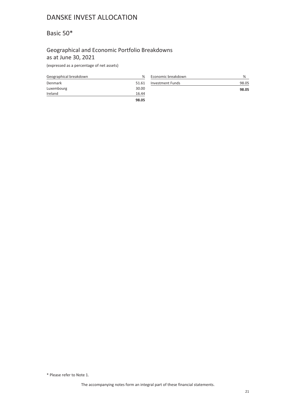## <span id="page-20-0"></span>Basic 50\*

### Geographical and Economic Portfolio Breakdowns as at June 30, 2021

(expressed as a percentage of net assets)

| Geographical breakdown | %     |
|------------------------|-------|
| Denmark                | 51.61 |
| Luxembourg             | 30.00 |
| Ireland                | 16.44 |
|                        | 98.05 |

| Economic breakdown      | %     |
|-------------------------|-------|
| <b>Investment Funds</b> | 98.05 |
|                         | 98.05 |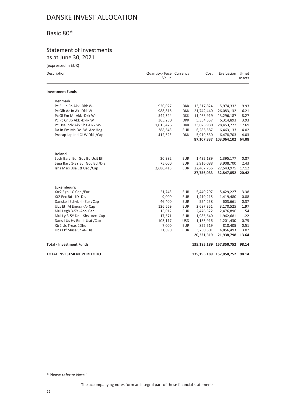## <span id="page-21-0"></span>Basic 80\*

## Statement of Investments as at June 30, 2021

(expressed in EUR)

| Evaluation % net<br>Description<br>Quantity / Face Currency<br>Cost<br>Value<br><b>Investment Funds</b><br><b>Denmark</b><br>Pc Eu In Fn Akk - Dkk W-<br>930,027<br><b>DKK</b><br>13,317,824<br>15,974,332<br>988,815<br><b>DKK</b><br>21,742,440<br>Pc Glb Ac In Ak -Dkk W-<br>26,083,132<br>544,324<br><b>DKK</b><br>11,463,919<br>13,296,187<br>Pc GI Em Mr Akk -Dkk W-<br>6,314,893<br>Pc Pc Cn Jp Akk - Dkk- W<br>365,280<br><b>DKK</b><br>5,354,557<br>Pc Usa Indx Akk Shs - Dkk W-<br><b>DKK</b><br>23,023,980<br>28,453,722<br>1,015,476<br>Da In Em Ma De -W- Acc Hdg<br>388,643<br><b>EUR</b><br>6,285,587<br>6,463,133<br>Procap Jap Ind Cl-W Dkk /Cap<br>412,523<br><b>DKK</b><br>5,919,530<br>6,478,703<br>87,107,837 103,064,102<br><b>Ireland</b><br>20,982<br>Spdr Barcl Eur Gov Bd Ucit Etf<br><b>EUR</b><br>1,432,189<br>1,395,177<br>Ssga Barc 1-3Y Eur Gov Bd /Dis<br>75,000<br><b>EUR</b><br>3,916,088<br>3,908,700<br>Ishs Msci Usa Etf Usd /Cap<br>2,680,418<br><b>EUR</b><br>22,407,756<br>27,543,975<br>27,756,033<br>32,847,852<br>Luxembourg<br>Xtr2 Egb-1C-Cap /Eur<br>21,743<br><b>EUR</b><br>5,449,297<br>5,429,227<br>Xt2 Eec Bd -1D-Dis<br>9,000<br><b>EUR</b><br>1,419,215<br>1,419,480<br>Danske I Eshyb -I- Eur / Cap<br>46,400<br>554,258<br>603,661<br><b>EUR</b><br>Ubs Etf M Emusr -A- Cap<br>126,669<br><b>EUR</b><br>2,687,351<br>3,170,525<br>Mul Legb 3-5Y -Acc- Cap<br>16,012<br><b>EUR</b><br>2,476,896<br>2,476,522<br>Mul Ly 3-5Y Dr -- Shs -Acc- Cap<br>17,571<br><b>EUR</b><br>1,985,640<br>1,962,681<br>Dans I Us Hy Bd -I- Usd /Cap<br><b>USD</b><br>103,117<br>1,155,916<br>1,201,430<br>Xtr2 Us Treas 2Dhd<br><b>EUR</b><br>7,000<br>852,519<br>818,405<br><b>EUR</b><br>3,750,601<br>Ubs Etf Musa Sr -A- Dis<br>31,690<br>4,856,493<br>20,331,319<br>21,938,798<br><b>Total - Investment Funds</b><br>135,195,189 157,850,752 | ICVNICSSCA III LOIN |  |  |        |
|-------------------------------------------------------------------------------------------------------------------------------------------------------------------------------------------------------------------------------------------------------------------------------------------------------------------------------------------------------------------------------------------------------------------------------------------------------------------------------------------------------------------------------------------------------------------------------------------------------------------------------------------------------------------------------------------------------------------------------------------------------------------------------------------------------------------------------------------------------------------------------------------------------------------------------------------------------------------------------------------------------------------------------------------------------------------------------------------------------------------------------------------------------------------------------------------------------------------------------------------------------------------------------------------------------------------------------------------------------------------------------------------------------------------------------------------------------------------------------------------------------------------------------------------------------------------------------------------------------------------------------------------------------------------------------------------------------------------------------------------------------------------------------------------------------------------------------------------------------------------------------------|---------------------|--|--|--------|
|                                                                                                                                                                                                                                                                                                                                                                                                                                                                                                                                                                                                                                                                                                                                                                                                                                                                                                                                                                                                                                                                                                                                                                                                                                                                                                                                                                                                                                                                                                                                                                                                                                                                                                                                                                                                                                                                                     |                     |  |  | assets |
|                                                                                                                                                                                                                                                                                                                                                                                                                                                                                                                                                                                                                                                                                                                                                                                                                                                                                                                                                                                                                                                                                                                                                                                                                                                                                                                                                                                                                                                                                                                                                                                                                                                                                                                                                                                                                                                                                     |                     |  |  |        |
|                                                                                                                                                                                                                                                                                                                                                                                                                                                                                                                                                                                                                                                                                                                                                                                                                                                                                                                                                                                                                                                                                                                                                                                                                                                                                                                                                                                                                                                                                                                                                                                                                                                                                                                                                                                                                                                                                     |                     |  |  |        |
|                                                                                                                                                                                                                                                                                                                                                                                                                                                                                                                                                                                                                                                                                                                                                                                                                                                                                                                                                                                                                                                                                                                                                                                                                                                                                                                                                                                                                                                                                                                                                                                                                                                                                                                                                                                                                                                                                     |                     |  |  | 9.93   |
|                                                                                                                                                                                                                                                                                                                                                                                                                                                                                                                                                                                                                                                                                                                                                                                                                                                                                                                                                                                                                                                                                                                                                                                                                                                                                                                                                                                                                                                                                                                                                                                                                                                                                                                                                                                                                                                                                     |                     |  |  | 16.21  |
|                                                                                                                                                                                                                                                                                                                                                                                                                                                                                                                                                                                                                                                                                                                                                                                                                                                                                                                                                                                                                                                                                                                                                                                                                                                                                                                                                                                                                                                                                                                                                                                                                                                                                                                                                                                                                                                                                     |                     |  |  | 8.27   |
|                                                                                                                                                                                                                                                                                                                                                                                                                                                                                                                                                                                                                                                                                                                                                                                                                                                                                                                                                                                                                                                                                                                                                                                                                                                                                                                                                                                                                                                                                                                                                                                                                                                                                                                                                                                                                                                                                     |                     |  |  | 3.93   |
|                                                                                                                                                                                                                                                                                                                                                                                                                                                                                                                                                                                                                                                                                                                                                                                                                                                                                                                                                                                                                                                                                                                                                                                                                                                                                                                                                                                                                                                                                                                                                                                                                                                                                                                                                                                                                                                                                     |                     |  |  | 17.69  |
|                                                                                                                                                                                                                                                                                                                                                                                                                                                                                                                                                                                                                                                                                                                                                                                                                                                                                                                                                                                                                                                                                                                                                                                                                                                                                                                                                                                                                                                                                                                                                                                                                                                                                                                                                                                                                                                                                     |                     |  |  | 4.02   |
|                                                                                                                                                                                                                                                                                                                                                                                                                                                                                                                                                                                                                                                                                                                                                                                                                                                                                                                                                                                                                                                                                                                                                                                                                                                                                                                                                                                                                                                                                                                                                                                                                                                                                                                                                                                                                                                                                     |                     |  |  | 4.03   |
|                                                                                                                                                                                                                                                                                                                                                                                                                                                                                                                                                                                                                                                                                                                                                                                                                                                                                                                                                                                                                                                                                                                                                                                                                                                                                                                                                                                                                                                                                                                                                                                                                                                                                                                                                                                                                                                                                     |                     |  |  | 64.08  |
|                                                                                                                                                                                                                                                                                                                                                                                                                                                                                                                                                                                                                                                                                                                                                                                                                                                                                                                                                                                                                                                                                                                                                                                                                                                                                                                                                                                                                                                                                                                                                                                                                                                                                                                                                                                                                                                                                     |                     |  |  |        |
|                                                                                                                                                                                                                                                                                                                                                                                                                                                                                                                                                                                                                                                                                                                                                                                                                                                                                                                                                                                                                                                                                                                                                                                                                                                                                                                                                                                                                                                                                                                                                                                                                                                                                                                                                                                                                                                                                     |                     |  |  | 0.87   |
|                                                                                                                                                                                                                                                                                                                                                                                                                                                                                                                                                                                                                                                                                                                                                                                                                                                                                                                                                                                                                                                                                                                                                                                                                                                                                                                                                                                                                                                                                                                                                                                                                                                                                                                                                                                                                                                                                     |                     |  |  | 2.43   |
|                                                                                                                                                                                                                                                                                                                                                                                                                                                                                                                                                                                                                                                                                                                                                                                                                                                                                                                                                                                                                                                                                                                                                                                                                                                                                                                                                                                                                                                                                                                                                                                                                                                                                                                                                                                                                                                                                     |                     |  |  | 17.12  |
|                                                                                                                                                                                                                                                                                                                                                                                                                                                                                                                                                                                                                                                                                                                                                                                                                                                                                                                                                                                                                                                                                                                                                                                                                                                                                                                                                                                                                                                                                                                                                                                                                                                                                                                                                                                                                                                                                     |                     |  |  | 20.42  |
|                                                                                                                                                                                                                                                                                                                                                                                                                                                                                                                                                                                                                                                                                                                                                                                                                                                                                                                                                                                                                                                                                                                                                                                                                                                                                                                                                                                                                                                                                                                                                                                                                                                                                                                                                                                                                                                                                     |                     |  |  |        |
|                                                                                                                                                                                                                                                                                                                                                                                                                                                                                                                                                                                                                                                                                                                                                                                                                                                                                                                                                                                                                                                                                                                                                                                                                                                                                                                                                                                                                                                                                                                                                                                                                                                                                                                                                                                                                                                                                     |                     |  |  | 3.38   |
|                                                                                                                                                                                                                                                                                                                                                                                                                                                                                                                                                                                                                                                                                                                                                                                                                                                                                                                                                                                                                                                                                                                                                                                                                                                                                                                                                                                                                                                                                                                                                                                                                                                                                                                                                                                                                                                                                     |                     |  |  | 0.88   |
|                                                                                                                                                                                                                                                                                                                                                                                                                                                                                                                                                                                                                                                                                                                                                                                                                                                                                                                                                                                                                                                                                                                                                                                                                                                                                                                                                                                                                                                                                                                                                                                                                                                                                                                                                                                                                                                                                     |                     |  |  | 0.37   |
|                                                                                                                                                                                                                                                                                                                                                                                                                                                                                                                                                                                                                                                                                                                                                                                                                                                                                                                                                                                                                                                                                                                                                                                                                                                                                                                                                                                                                                                                                                                                                                                                                                                                                                                                                                                                                                                                                     |                     |  |  | 1.97   |
|                                                                                                                                                                                                                                                                                                                                                                                                                                                                                                                                                                                                                                                                                                                                                                                                                                                                                                                                                                                                                                                                                                                                                                                                                                                                                                                                                                                                                                                                                                                                                                                                                                                                                                                                                                                                                                                                                     |                     |  |  | 1.54   |
|                                                                                                                                                                                                                                                                                                                                                                                                                                                                                                                                                                                                                                                                                                                                                                                                                                                                                                                                                                                                                                                                                                                                                                                                                                                                                                                                                                                                                                                                                                                                                                                                                                                                                                                                                                                                                                                                                     |                     |  |  | 1.22   |
|                                                                                                                                                                                                                                                                                                                                                                                                                                                                                                                                                                                                                                                                                                                                                                                                                                                                                                                                                                                                                                                                                                                                                                                                                                                                                                                                                                                                                                                                                                                                                                                                                                                                                                                                                                                                                                                                                     |                     |  |  | 0.75   |
|                                                                                                                                                                                                                                                                                                                                                                                                                                                                                                                                                                                                                                                                                                                                                                                                                                                                                                                                                                                                                                                                                                                                                                                                                                                                                                                                                                                                                                                                                                                                                                                                                                                                                                                                                                                                                                                                                     |                     |  |  | 0.51   |
|                                                                                                                                                                                                                                                                                                                                                                                                                                                                                                                                                                                                                                                                                                                                                                                                                                                                                                                                                                                                                                                                                                                                                                                                                                                                                                                                                                                                                                                                                                                                                                                                                                                                                                                                                                                                                                                                                     |                     |  |  | 3.02   |
|                                                                                                                                                                                                                                                                                                                                                                                                                                                                                                                                                                                                                                                                                                                                                                                                                                                                                                                                                                                                                                                                                                                                                                                                                                                                                                                                                                                                                                                                                                                                                                                                                                                                                                                                                                                                                                                                                     |                     |  |  | 13.64  |
|                                                                                                                                                                                                                                                                                                                                                                                                                                                                                                                                                                                                                                                                                                                                                                                                                                                                                                                                                                                                                                                                                                                                                                                                                                                                                                                                                                                                                                                                                                                                                                                                                                                                                                                                                                                                                                                                                     |                     |  |  | 98.14  |
| <b>TOTAL INVESTMENT PORTFOLIO</b><br>135,195,189 157,850,752 98.14                                                                                                                                                                                                                                                                                                                                                                                                                                                                                                                                                                                                                                                                                                                                                                                                                                                                                                                                                                                                                                                                                                                                                                                                                                                                                                                                                                                                                                                                                                                                                                                                                                                                                                                                                                                                                  |                     |  |  |        |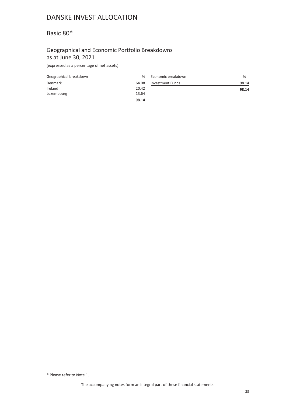## <span id="page-22-0"></span>Basic 80\*

### Geographical and Economic Portfolio Breakdowns as at June 30, 2021

(expressed as a percentage of net assets)

| Geographical breakdown | %     |
|------------------------|-------|
| Denmark                | 64.08 |
| Ireland                | 20.42 |
| Luxembourg             | 13.64 |
|                        | 98.14 |

| Economic breakdown      | %     |
|-------------------------|-------|
| <b>Investment Funds</b> | 98.14 |
|                         | 98.14 |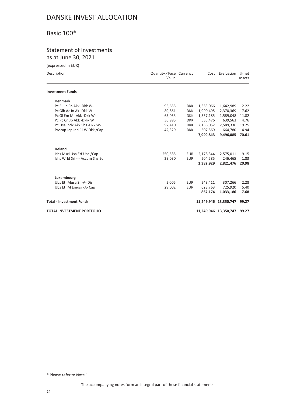## <span id="page-23-0"></span>Basic 100\*

## Statement of Investments as at June 30, 2021

(expressed in EUR)

| Description                       | Quantity / Face Currency<br>Value |            |           | Cost Evaluation % net | assets |
|-----------------------------------|-----------------------------------|------------|-----------|-----------------------|--------|
| <b>Investment Funds</b>           |                                   |            |           |                       |        |
| <b>Denmark</b>                    |                                   |            |           |                       |        |
| Pc Eu In Fn Akk - Dkk W-          | 95,655                            | <b>DKK</b> | 1,353,066 | 1,642,989             | 12.22  |
| Pc Glb Ac In Ak -Dkk W-           | 89,861                            | <b>DKK</b> | 1,990,495 | 2,370,369             | 17.62  |
| Pc GI Em Mr Akk - Dkk W-          | 65,053                            | <b>DKK</b> | 1,357,185 | 1,589,048             | 11.82  |
| Pc Pc Cn Jp Akk - Dkk- W          | 36,995                            | <b>DKK</b> | 535,476   | 639,563               | 4.76   |
| Pc Usa Indx Akk Shs - Dkk W-      | 92,410                            | <b>DKK</b> | 2,156,052 | 2,589,336             | 19.25  |
| Procap Jap Ind CI-W Dkk /Cap      | 42,329                            | <b>DKK</b> | 607,569   | 664,780               | 4.94   |
|                                   |                                   |            | 7.999.843 | 9,496,085             | 70.61  |
| Ireland                           |                                   |            |           |                       |        |
| Ishs Msci Usa Etf Usd /Cap        | 250,585                           | EUR        | 2,178,344 | 2,575,011             | 19.15  |
| Ishs Wrld Sri --- Accum Shs Eur   | 29,030                            | <b>EUR</b> | 204,585   | 246,465               | 1.83   |
|                                   |                                   |            | 2,382,929 | 2,821,476             | 20.98  |
| Luxembourg                        |                                   |            |           |                       |        |
| Ubs Etf Musa Sr -A- Dis           | 2,005                             | EUR        | 243,411   | 307,266               | 2.28   |
| Ubs Etf M Emusr - A- Cap          | 29,002                            | <b>EUR</b> | 623,763   | 725,920               | 5.40   |
|                                   |                                   |            | 867,174   | 1,033,186             | 7.68   |
| <b>Total - Investment Funds</b>   |                                   |            |           | 11,249,946 13,350,747 | 99.27  |
| <b>TOTAL INVESTMENT PORTFOLIO</b> |                                   |            |           | 11,249,946 13,350,747 | 99.27  |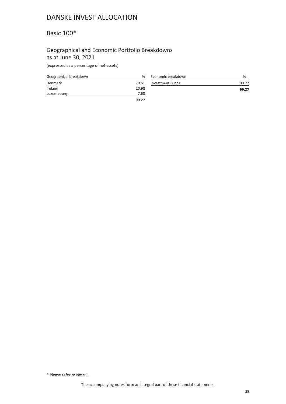## <span id="page-24-0"></span>Basic 100\*

### Geographical and Economic Portfolio Breakdowns as at June 30, 2021

(expressed as a percentage of net assets)

| Geographical breakdown | $\frac{9}{6}$ |
|------------------------|---------------|
| Denmark                | 70.61         |
| Ireland                | 20.98         |
| Luxembourg             | 7.68          |
|                        | 99.27         |

| Economic breakdown      | %     |
|-------------------------|-------|
| <b>Investment Funds</b> | 99.27 |
|                         | 99.27 |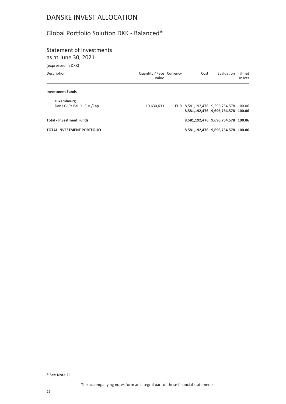## <span id="page-25-0"></span>Global Portfolio Solution DKK - Balanced\*

### Statement of Investments as at June 30, 2021

(expressed in DKK)

| $1$ chpi cooc a iii bility        |                                   |      |                                                                              |                 |
|-----------------------------------|-----------------------------------|------|------------------------------------------------------------------------------|-----------------|
| Description                       | Quantity / Face Currency<br>Value | Cost | Evaluation                                                                   | % net<br>assets |
| <b>Investment Funds</b>           |                                   |      |                                                                              |                 |
| Luxembourg                        |                                   |      |                                                                              |                 |
| Dan I GI Ps Bal -X- Eur /Cap      | 10,630,633                        |      | EUR 8,581,192,476 9,696,754,578 100.06<br>8,581,192,476 9,696,754,578 100.06 |                 |
| <b>Total - Investment Funds</b>   |                                   |      | 8,581,192,476 9,696,754,578 100.06                                           |                 |
| <b>TOTAL INVESTMENT PORTFOLIO</b> |                                   |      | 8,581,192,476 9,696,754,578 100.06                                           |                 |
|                                   |                                   |      |                                                                              |                 |

\* See Note 11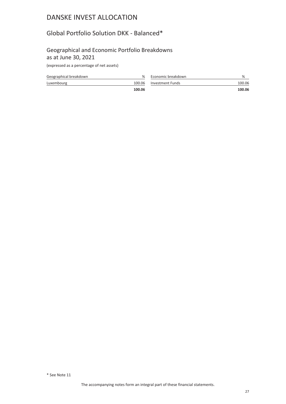## <span id="page-26-0"></span>Global Portfolio Solution DKK - Balanced\*

### Geographical and Economic Portfolio Breakdowns as at June 30, 2021

(expressed as a percentage of net assets)

| Geographical breakdown | %      | Economic breakdown | %      |
|------------------------|--------|--------------------|--------|
| Luxembourg             | 100.06 | Investment Funds   | 100.06 |
|                        | 100.06 |                    | 100.06 |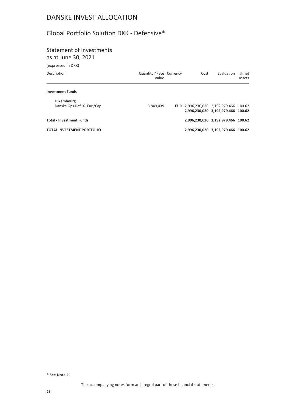## <span id="page-27-0"></span>Global Portfolio Solution DKK - Defensive\*

### Statement of Investments as at June 30, 2021

(expressed in DKK)

| Description                               | Quantity / Face Currency<br>Value | Cost | Evaluation                                                                   | % net<br>assets |
|-------------------------------------------|-----------------------------------|------|------------------------------------------------------------------------------|-----------------|
| <b>Investment Funds</b>                   |                                   |      |                                                                              |                 |
| Luxembourg<br>Danske Gps Def -X- Eur /Cap | 3,849,039                         |      | EUR 2,996,230,020 3,192,979,466 100.62<br>2,996,230,020 3,192,979,466 100.62 |                 |
| <b>Total - Investment Funds</b>           |                                   |      | 2,996,230,020 3,192,979,466 100.62                                           |                 |
| <b>TOTAL INVESTMENT PORTFOLIO</b>         |                                   |      | 2,996,230,020 3,192,979,466 100.62                                           |                 |
|                                           |                                   |      |                                                                              |                 |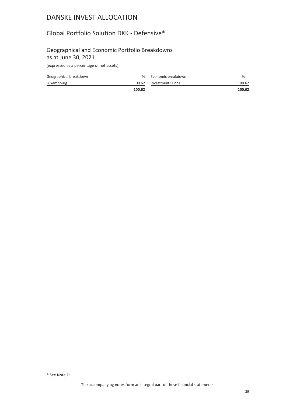## <span id="page-28-0"></span>Global Portfolio Solution DKK - Defensive\*

### Geographical and Economic Portfolio Breakdowns as at June 30, 2021

(expressed as a percentage of net assets)

| Geographical breakdown | %      | Economic breakdown | %      |
|------------------------|--------|--------------------|--------|
| Luxembourg             | 100.62 | Investment Funds   | 100.62 |
|                        | 100.62 |                    | 100.62 |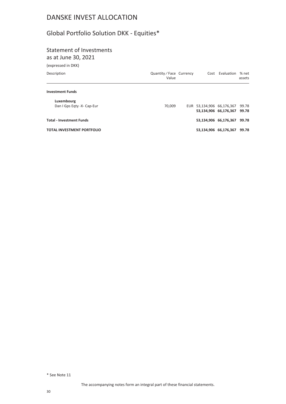# <span id="page-29-0"></span>Global Portfolio Solution DKK - Equities\*

# Statement of Investments

(expressed in DKK) as at June 30, 2021

| Value  |                          | Evaluation | % net<br>assets                                                                                      |
|--------|--------------------------|------------|------------------------------------------------------------------------------------------------------|
|        |                          |            |                                                                                                      |
| 70.009 |                          |            | 99.78<br>99.78                                                                                       |
|        |                          |            | 99.78                                                                                                |
|        |                          |            | 99.78                                                                                                |
|        | Quantity / Face Currency | Cost       | EUR 53,134,906 66,176,367<br>53,134,906 66,176,367<br>53,134,906 66,176,367<br>53,134,906 66,176,367 |

\* See Note 11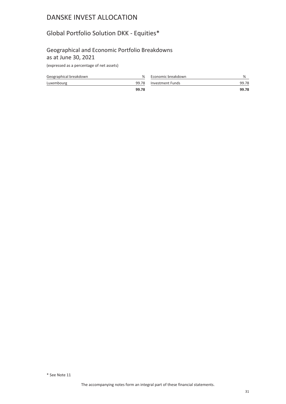# <span id="page-30-0"></span>Global Portfolio Solution DKK - Equities\*

### Geographical and Economic Portfolio Breakdowns as at June 30, 2021

(expressed as a percentage of net assets)

| Geographical breakdown | ℅     | Economic breakdown |       |
|------------------------|-------|--------------------|-------|
| Luxembourg             | 99.78 | Investment Funds   | 99.78 |
|                        | 99.78 |                    | 99.78 |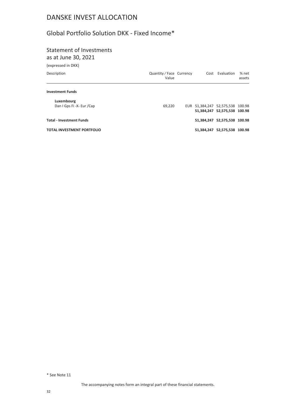## <span id="page-31-0"></span>Global Portfolio Solution DKK - Fixed Income\*

# Statement of Investments

as at June 30, 2021

| (expressed in DKK)                |                                   |  |                                  |                 |
|-----------------------------------|-----------------------------------|--|----------------------------------|-----------------|
| Description                       | Quantity / Face Currency<br>Value |  | Cost Evaluation                  | % net<br>assets |
| <b>Investment Funds</b>           |                                   |  |                                  |                 |
| Luxembourg                        |                                   |  |                                  |                 |
| Dan I Gps Fi -X- Eur /Cap         | 69.220                            |  | EUR 51,384,247 52,575,538 100.98 |                 |
|                                   |                                   |  | 51,384,247 52,575,538 100.98     |                 |
| <b>Total - Investment Funds</b>   |                                   |  | 51,384,247 52,575,538 100.98     |                 |
| <b>TOTAL INVESTMENT PORTFOLIO</b> |                                   |  | 51,384,247 52,575,538 100.98     |                 |

\* See Note 11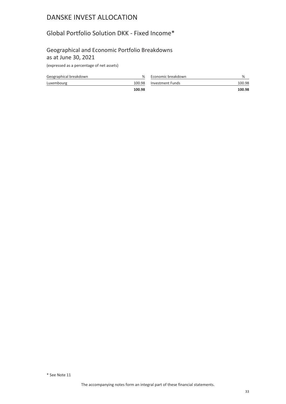## <span id="page-32-0"></span>Global Portfolio Solution DKK - Fixed Income\*

### Geographical and Economic Portfolio Breakdowns as at June 30, 2021

(expressed as a percentage of net assets)

| Geographical breakdown | %      | Economic breakdown | %      |
|------------------------|--------|--------------------|--------|
| Luxembourg             | 100.98 | Investment Funds   | 100.98 |
|                        | 100.98 |                    | 100.98 |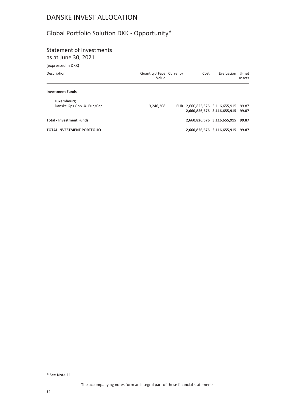# <span id="page-33-0"></span>Global Portfolio Solution DKK - Opportunity\*

### Statement of Investments as at June 30, 2021

(expressed in DKK)

| <b>ICVNICODER III DIVII</b>               |                                 |      |                                                                |                 |
|-------------------------------------------|---------------------------------|------|----------------------------------------------------------------|-----------------|
| Description                               | Quantity/Face Currency<br>Value | Cost | Evaluation                                                     | % net<br>assets |
| <b>Investment Funds</b>                   |                                 |      |                                                                |                 |
| Luxembourg<br>Danske Gps Opp -X- Eur /Cap | 3,246,208                       |      | EUR 2,660,826,576 3,116,655,915<br>2,660,826,576 3,116,655,915 | 99.87<br>99.87  |
| <b>Total - Investment Funds</b>           |                                 |      | 2,660,826,576 3,116,655,915                                    | 99.87           |
| <b>TOTAL INVESTMENT PORTFOLIO</b>         |                                 |      | 2,660,826,576 3,116,655,915 99.87                              |                 |
|                                           |                                 |      |                                                                |                 |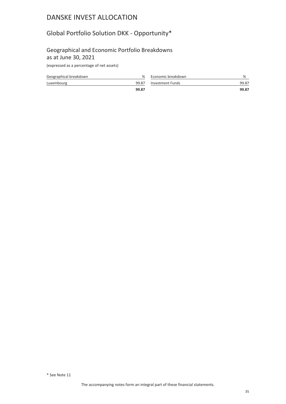# <span id="page-34-0"></span>Global Portfolio Solution DKK - Opportunity\*

### Geographical and Economic Portfolio Breakdowns as at June 30, 2021

(expressed as a percentage of net assets)

| Geographical breakdown | ℅     | Economic breakdown |       |
|------------------------|-------|--------------------|-------|
| Luxembourg             | 99.87 | Investment Funds   | 99.87 |
|                        | 99.87 |                    | 99.87 |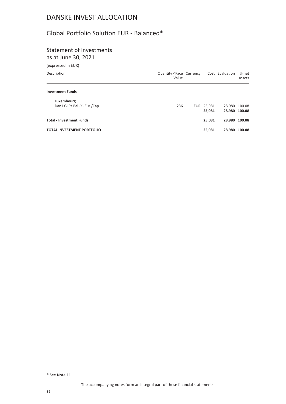## <span id="page-35-0"></span>Global Portfolio Solution EUR - Balanced\*

# Statement of Investments

as at June 30, 2021

| (expressed in EUR)                |                                   |            |                 |                 |
|-----------------------------------|-----------------------------------|------------|-----------------|-----------------|
| Description                       | Quantity / Face Currency<br>Value |            | Cost Evaluation | % net<br>assets |
| <b>Investment Funds</b>           |                                   |            |                 |                 |
| Luxembourg                        |                                   |            |                 |                 |
| Dan I GI Ps Bal -X- Eur /Cap      | 236                               | EUR 25,081 |                 | 28,980 100.08   |
|                                   |                                   | 25,081     |                 | 28,980 100.08   |
| <b>Total - Investment Funds</b>   |                                   | 25,081     |                 | 28,980 100.08   |
| <b>TOTAL INVESTMENT PORTFOLIO</b> |                                   | 25,081     |                 | 28,980 100.08   |

\* See Note 11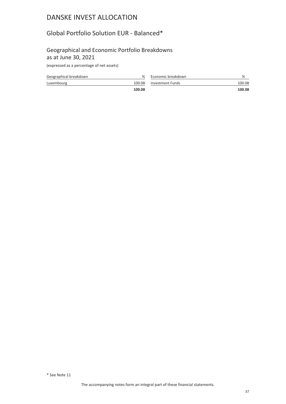### Global Portfolio Solution EUR - Balanced\*

#### Geographical and Economic Portfolio Breakdowns as at June 30, 2021

| Geographical breakdown | ℅      | Economic breakdown | %      |
|------------------------|--------|--------------------|--------|
| Luxembourg             | 100.08 | Investment Funds   | 100.08 |
|                        | 100.08 |                    | 100.08 |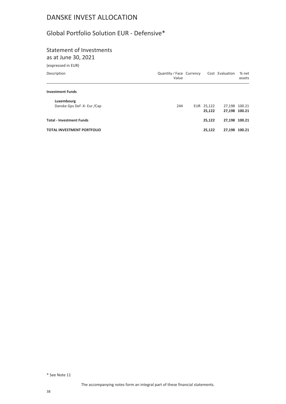### Global Portfolio Solution EUR - Defensive\*

# Statement of Investments

as at June 30, 2021

| Value |  |                          |               | % net<br>assets |
|-------|--|--------------------------|---------------|-----------------|
|       |  |                          |               |                 |
| 244   |  | 25,122                   | 27,198 100.21 | 27,198 100.21   |
|       |  | 25,122                   |               | 27,198 100.21   |
|       |  | 25,122                   |               | 27,198 100.21   |
|       |  | Quantity / Face Currency | EUR 25,122    | Cost Evaluation |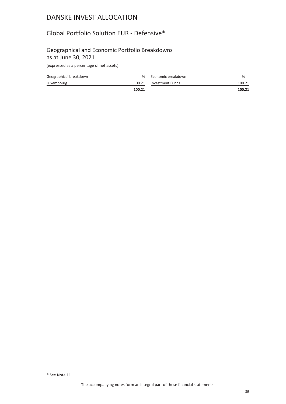### Global Portfolio Solution EUR - Defensive\*

#### Geographical and Economic Portfolio Breakdowns as at June 30, 2021

| Geographical breakdown | ℅      | Economic breakdown | %      |
|------------------------|--------|--------------------|--------|
| Luxembourg             | 100.21 | Investment Funds   | 100.21 |
|                        | 100.21 |                    | 100.21 |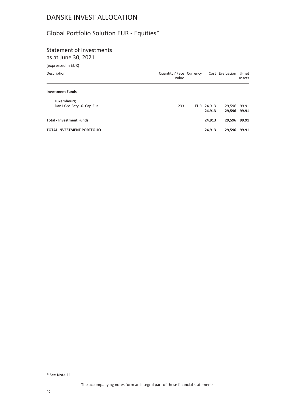# Global Portfolio Solution EUR - Equities\*

# Statement of Investments

as at June 30, 2021

| Cost Evaluation                          | % net<br>assets |
|------------------------------------------|-----------------|
|                                          |                 |
|                                          |                 |
| 29,596<br>29,596 99.91                   | 99.91           |
| 29,596 99.91                             |                 |
| 29,596                                   | 99.91           |
| EUR 24,913<br>24,913<br>24,913<br>24,913 |                 |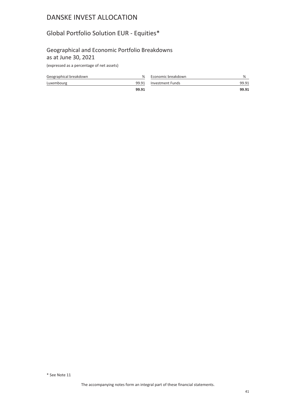## Global Portfolio Solution EUR - Equities\*

#### Geographical and Economic Portfolio Breakdowns as at June 30, 2021

| Geographical breakdown | ℅     | Economic breakdown     | %     |
|------------------------|-------|------------------------|-------|
| Luxembourg             |       | 99.91 Investment Funds | 99.91 |
|                        | 99.91 |                        | 99.91 |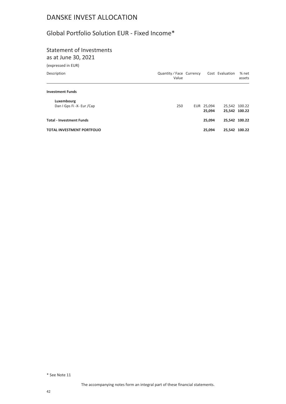## Global Portfolio Solution EUR - Fixed Income\*

# Statement of Investments

as at June 30, 2021

| (expressed in EUR)                      |                                   |                      |                 |                 |
|-----------------------------------------|-----------------------------------|----------------------|-----------------|-----------------|
| Description                             | Quantity / Face Currency<br>Value |                      | Cost Evaluation | % net<br>assets |
| <b>Investment Funds</b>                 |                                   |                      |                 |                 |
| Luxembourg<br>Dan I Gps Fi -X- Eur /Cap | 250                               | EUR 25,094<br>25,094 | 25,542 100.22   | 25,542 100.22   |
| <b>Total - Investment Funds</b>         |                                   | 25.094               |                 | 25,542 100.22   |
| <b>TOTAL INVESTMENT PORTFOLIO</b>       |                                   | 25.094               |                 | 25,542 100.22   |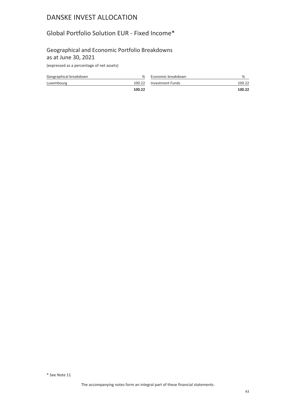### Global Portfolio Solution EUR - Fixed Income\*

#### Geographical and Economic Portfolio Breakdowns as at June 30, 2021

| Geographical breakdown | ℅      | Economic breakdown | %      |
|------------------------|--------|--------------------|--------|
| Luxembourg             | 100.22 | Investment Funds   | 100.22 |
|                        | 100.22 |                    | 100.22 |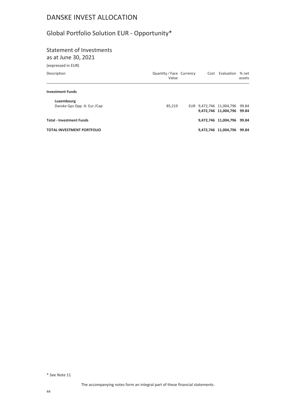# Global Portfolio Solution EUR - Opportunity\*

# Statement of Investments

as at June 30, 2021

| (expressed in EUR)                |                                   |  |                                                              |                 |
|-----------------------------------|-----------------------------------|--|--------------------------------------------------------------|-----------------|
| Description                       | Quantity / Face Currency<br>Value |  | Cost Evaluation                                              | % net<br>assets |
| <b>Investment Funds</b>           |                                   |  |                                                              |                 |
| Luxembourg                        |                                   |  |                                                              |                 |
| Danske Gps Opp -X- Eur /Cap       | 85.219                            |  | EUR 9,472,746 11,004,796 99.84<br>9,472,746 11,004,796 99.84 |                 |
| <b>Total - Investment Funds</b>   |                                   |  | 9,472,746 11,004,796                                         | 99.84           |
| <b>TOTAL INVESTMENT PORTFOLIO</b> |                                   |  | 9,472,746 11,004,796                                         | 99.84           |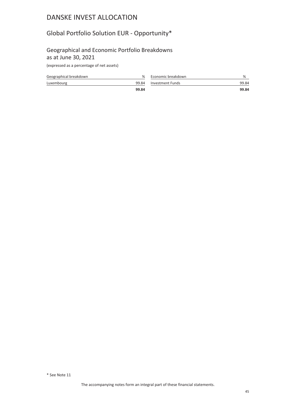## Global Portfolio Solution EUR - Opportunity\*

#### Geographical and Economic Portfolio Breakdowns as at June 30, 2021

| Geographical breakdown | ℅     | Economic breakdown | %     |
|------------------------|-------|--------------------|-------|
| Luxembourg             | 99.84 | Investment Funds   | 99.84 |
|                        | 99.84 |                    | 99.84 |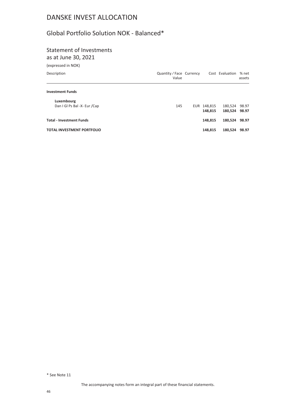### Global Portfolio Solution NOK - Balanced\*

# Statement of Investments

as at June 30, 2021

| Value |  |                          |                          | % net<br>assets |
|-------|--|--------------------------|--------------------------|-----------------|
|       |  |                          |                          |                 |
| 145   |  | 148,815                  | 180,524<br>180.524 98.97 | 98.97           |
|       |  | 148,815                  | 180,524                  | 98.97           |
|       |  | 148,815                  | 180,524                  | 98.97           |
|       |  | Quantity / Face Currency | EUR 148,815              | Cost Evaluation |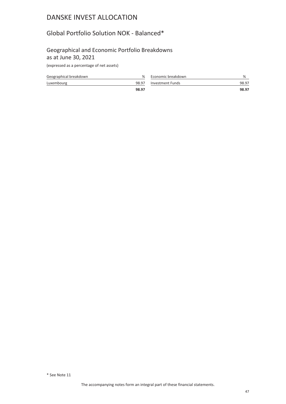### Global Portfolio Solution NOK - Balanced\*

#### Geographical and Economic Portfolio Breakdowns as at June 30, 2021

| Geographical breakdown | %     | Economic breakdown | %     |
|------------------------|-------|--------------------|-------|
| Luxembourg             | 98.97 | Investment Funds   | 98.97 |
|                        | 98.97 |                    | 98.97 |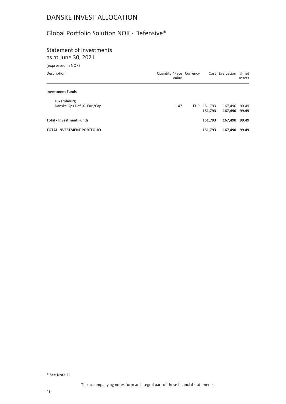## Global Portfolio Solution NOK - Defensive\*

# Statement of Investments

as at June 30, 2021

| Value |  |                          |                        | % net<br>assets            |
|-------|--|--------------------------|------------------------|----------------------------|
|       |  |                          |                        |                            |
|       |  |                          |                        |                            |
| 147   |  |                          | 167,490                | 99.49                      |
|       |  |                          |                        | 99.49                      |
|       |  | 151,793                  | 167,490                | 99.49                      |
|       |  | 151,793                  | 167,490                | 99.49                      |
|       |  | Quantity / Face Currency | EUR 151,793<br>151,793 | Cost Evaluation<br>167,490 |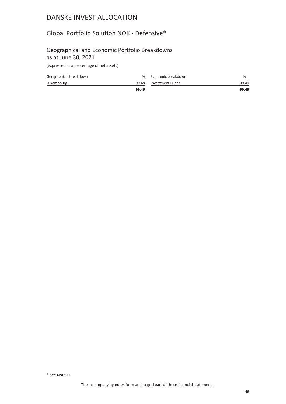### Global Portfolio Solution NOK - Defensive\*

#### Geographical and Economic Portfolio Breakdowns as at June 30, 2021

| Geographical breakdown | %     | Economic breakdown |       |
|------------------------|-------|--------------------|-------|
| Luxembourg             | 99.49 | Investment Funds   | 99.49 |
|                        | 99.49 |                    | 99.49 |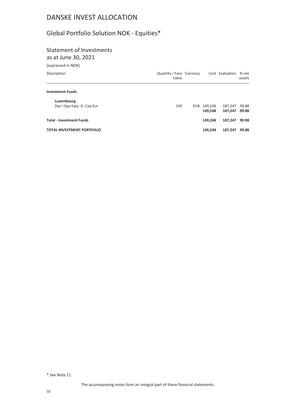# Global Portfolio Solution NOK - Equities\*

# Statement of Investments

as at June 30, 2021

| (expressed in NOK)                |                                   |  |             |                 |                 |
|-----------------------------------|-----------------------------------|--|-------------|-----------------|-----------------|
| Description                       | Quantity / Face Currency<br>Value |  |             | Cost Evaluation | % net<br>assets |
| <b>Investment Funds</b>           |                                   |  |             |                 |                 |
| Luxembourg                        |                                   |  |             |                 |                 |
| Dan I Gps Egty -X- Cap-Eur        | 145                               |  | EUR 149,248 | 187,247         | 99.88           |
|                                   |                                   |  | 149,248     | 187,247         | 99.88           |
| <b>Total - Investment Funds</b>   |                                   |  | 149.248     | 187.247         | 99.88           |
| <b>TOTAL INVESTMENT PORTFOLIO</b> |                                   |  | 149.248     | 187.247         | 99.88           |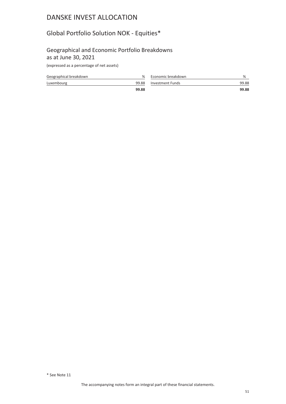## Global Portfolio Solution NOK - Equities\*

#### Geographical and Economic Portfolio Breakdowns as at June 30, 2021

| Geographical breakdown | %     | Economic breakdown | %     |
|------------------------|-------|--------------------|-------|
| Luxembourg             | 99.88 | Investment Funds   | 99.88 |
|                        | 99.88 |                    | 99.88 |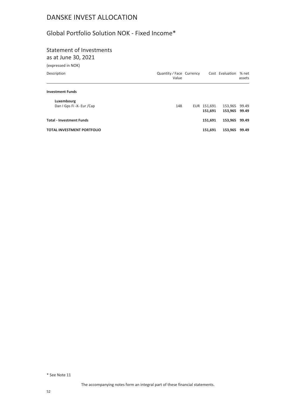## Global Portfolio Solution NOK - Fixed Income\*

# Statement of Investments

as at June 30, 2021

| (expressed in NOK)                      |                                   |                        |                    |                 |
|-----------------------------------------|-----------------------------------|------------------------|--------------------|-----------------|
| Description                             | Quantity / Face Currency<br>Value |                        | Cost Evaluation    | % net<br>assets |
| <b>Investment Funds</b>                 |                                   |                        |                    |                 |
| Luxembourg<br>Dan I Gps Fi -X- Eur /Cap | 148                               | EUR 151,691<br>151,691 | 153,965<br>153,965 | 99.49<br>99.49  |
| <b>Total - Investment Funds</b>         |                                   | 151,691                | 153,965            | 99.49           |
| <b>TOTAL INVESTMENT PORTFOLIO</b>       |                                   | 151,691                | 153,965            | 99.49           |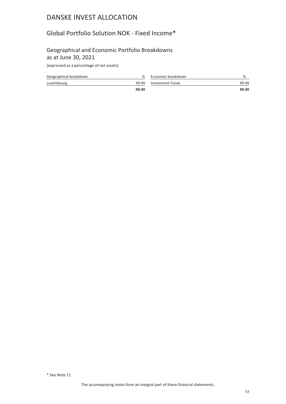### Global Portfolio Solution NOK - Fixed Income\*

#### Geographical and Economic Portfolio Breakdowns as at June 30, 2021

| Geographical breakdown | $\%$  | Economic breakdown |       |
|------------------------|-------|--------------------|-------|
| Luxembourg             | 99.49 | Investment Funds   | 99.49 |
|                        | 99.49 |                    | 99.49 |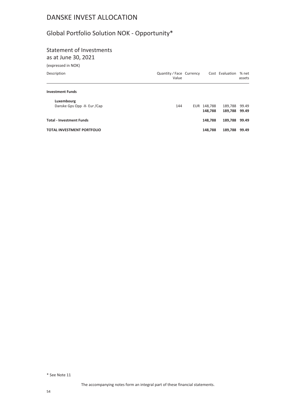# Global Portfolio Solution NOK - Opportunity\*

# Statement of Investments

as at June 30, 2021

| (expressed in NOK)                |                                   |             |                 |                 |
|-----------------------------------|-----------------------------------|-------------|-----------------|-----------------|
| Description                       | Quantity / Face Currency<br>Value |             | Cost Evaluation | % net<br>assets |
| <b>Investment Funds</b>           |                                   |             |                 |                 |
| Luxembourg                        |                                   |             |                 |                 |
| Danske Gps Opp -X- Eur /Cap       | 144                               | EUR 148,788 | 189,788         | 99.49           |
|                                   |                                   | 148,788     | 189,788         | 99.49           |
| <b>Total - Investment Funds</b>   |                                   | 148.788     | 189,788         | 99.49           |
| <b>TOTAL INVESTMENT PORTFOLIO</b> |                                   | 148.788     | 189,788         | 99.49           |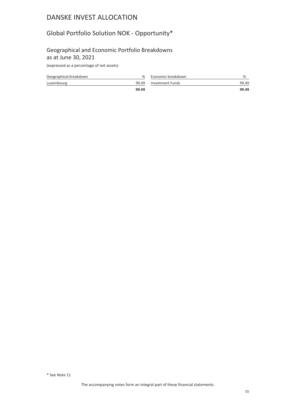## Global Portfolio Solution NOK - Opportunity\*

#### Geographical and Economic Portfolio Breakdowns as at June 30, 2021

| Geographical breakdown | ℅     | Economic breakdown | %     |
|------------------------|-------|--------------------|-------|
| Luxembourg             | 99.49 | Investment Funds   | 99.49 |
|                        | 99.49 |                    | 99.49 |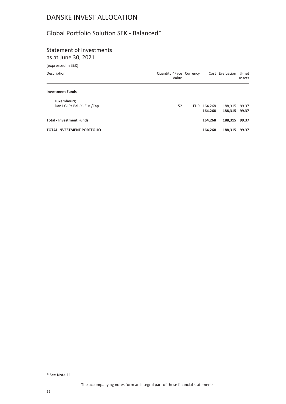### Global Portfolio Solution SEK - Balanced\*

# Statement of Investments

as at June 30, 2021

| (expressed in SEK)                         |                                   |                        |                          |                 |
|--------------------------------------------|-----------------------------------|------------------------|--------------------------|-----------------|
| Description                                | Quantity / Face Currency<br>Value |                        | Cost Evaluation          | % net<br>assets |
| <b>Investment Funds</b>                    |                                   |                        |                          |                 |
| Luxembourg<br>Dan I GI Ps Bal -X- Eur /Cap | 152                               | EUR 164,268<br>164,268 | 188,315<br>188,315 99.37 | 99.37           |
| <b>Total - Investment Funds</b>            |                                   | 164.268                | 188,315                  | 99.37           |
| <b>TOTAL INVESTMENT PORTFOLIO</b>          |                                   | 164.268                | 188.315                  | 99.37           |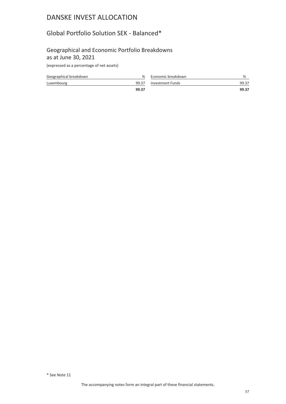### Global Portfolio Solution SEK - Balanced\*

#### Geographical and Economic Portfolio Breakdowns as at June 30, 2021

| Geographical breakdown | $\%$  | Economic breakdown |       |
|------------------------|-------|--------------------|-------|
| Luxembourg             | 99.37 | Investment Funds   | 99.37 |
|                        | 99.37 |                    | 99.37 |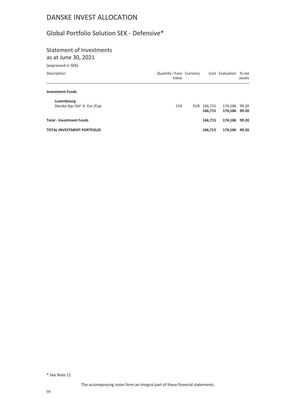### Global Portfolio Solution SEK - Defensive\*

# Statement of Investments

as at June 30, 2021

| (expressed in SEK)                        |                                   |                        |                          |                 |
|-------------------------------------------|-----------------------------------|------------------------|--------------------------|-----------------|
| Description                               | Quantity / Face Currency<br>Value |                        | Cost Evaluation          | % net<br>assets |
| <b>Investment Funds</b>                   |                                   |                        |                          |                 |
| Luxembourg<br>Danske Gps Def -X- Eur /Cap | 154                               | EUR 166,715<br>166.715 | 174,186<br>174,186 99.20 | 99.20           |
| <b>Total - Investment Funds</b>           |                                   | 166.715                | 174,186 99.20            |                 |
| <b>TOTAL INVESTMENT PORTFOLIO</b>         |                                   | 166,715                | 174,186                  | 99.20           |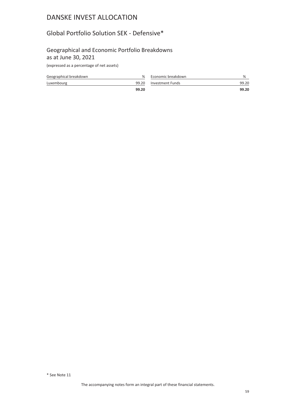### Global Portfolio Solution SEK - Defensive\*

#### Geographical and Economic Portfolio Breakdowns as at June 30, 2021

| Geographical breakdown | ℅     | Economic breakdown     | %     |
|------------------------|-------|------------------------|-------|
| Luxembourg             |       | 99.20 Investment Funds | 99.20 |
|                        | 99.20 |                        | 99.20 |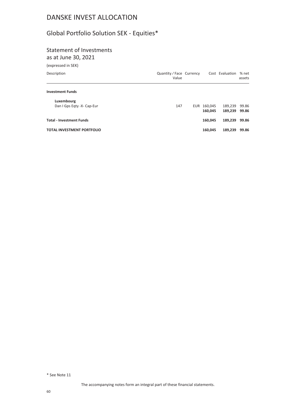# Global Portfolio Solution SEK - Equities\*

# Statement of Investments

as at June 30, 2021

| (expressed in SEK)                       |                                   |             |                 |                 |
|------------------------------------------|-----------------------------------|-------------|-----------------|-----------------|
| Description                              | Quantity / Face Currency<br>Value |             | Cost Evaluation | % net<br>assets |
| <b>Investment Funds</b>                  |                                   |             |                 |                 |
| Luxembourg<br>Dan I Gps Eqty -X- Cap-Eur | 147                               | EUR 160,045 | 189,239         | 99.86           |
|                                          |                                   | 160,045     | 189.239         | 99.86           |
| <b>Total - Investment Funds</b>          |                                   | 160.045     | 189,239         | 99.86           |
| <b>TOTAL INVESTMENT PORTFOLIO</b>        |                                   | 160.045     | 189.239         | 99.86           |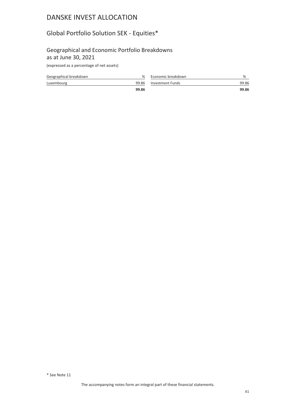## Global Portfolio Solution SEK - Equities\*

#### Geographical and Economic Portfolio Breakdowns as at June 30, 2021

| Geographical breakdown | %     | Economic breakdown     | %     |
|------------------------|-------|------------------------|-------|
| Luxembourg             |       | 99.86 Investment Funds | 99.86 |
|                        | 99.86 |                        | 99.86 |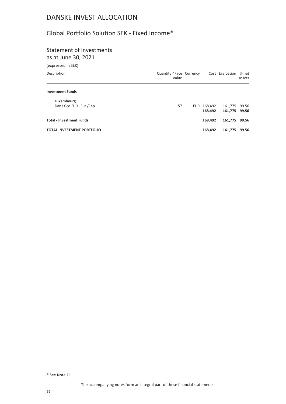### Global Portfolio Solution SEK - Fixed Income\*

# Statement of Investments

as at June 30, 2021

| (expressed in SEK)                      |                                   |                        |                          |                 |
|-----------------------------------------|-----------------------------------|------------------------|--------------------------|-----------------|
| Description                             | Quantity / Face Currency<br>Value |                        | Cost Evaluation          | % net<br>assets |
| <b>Investment Funds</b>                 |                                   |                        |                          |                 |
| Luxembourg<br>Dan I Gps Fi -X- Eur /Cap | 157                               | EUR 168,492<br>168,492 | 161,775<br>161,775 99.56 | 99.56           |
| <b>Total - Investment Funds</b>         |                                   | 168.492                | 161,775 99.56            |                 |
| <b>TOTAL INVESTMENT PORTFOLIO</b>       |                                   | 168.492                | 161,775                  | 99.56           |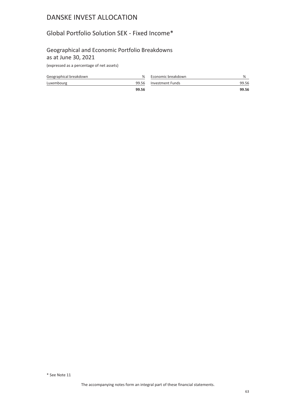### Global Portfolio Solution SEK - Fixed Income\*

#### Geographical and Economic Portfolio Breakdowns as at June 30, 2021

| Geographical breakdown | ℅     | Economic breakdown     | %     |
|------------------------|-------|------------------------|-------|
| Luxembourg             |       | 99.56 Investment Funds | 99.56 |
|                        | 99.56 |                        | 99.56 |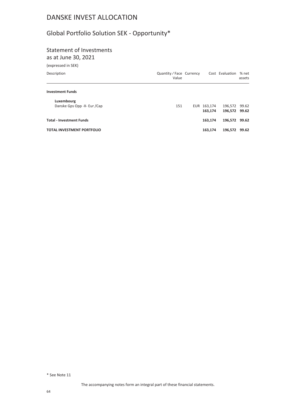# Global Portfolio Solution SEK - Opportunity\*

# Statement of Investments

as at June 30, 2021

| Value |     |                          |                        | % net<br>assets                                   |
|-------|-----|--------------------------|------------------------|---------------------------------------------------|
|       |     |                          |                        |                                                   |
|       |     |                          |                        |                                                   |
|       |     |                          |                        |                                                   |
|       |     |                          |                        |                                                   |
|       |     | 163,174                  | 196,572 99.62          |                                                   |
|       |     | 163,174                  | 196,572                | 99.62                                             |
|       | 151 | Quantity / Face Currency | EUR 163,174<br>163,174 | Cost Evaluation<br>196,572 99.62<br>196,572 99.62 |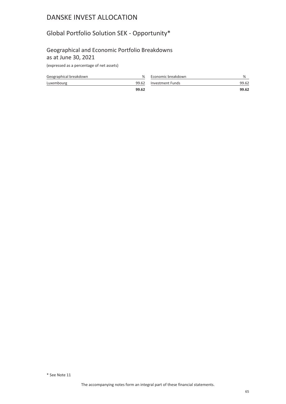## Global Portfolio Solution SEK - Opportunity\*

#### Geographical and Economic Portfolio Breakdowns as at June 30, 2021

| Geographical breakdown | ℅     | Economic breakdown     | %     |
|------------------------|-------|------------------------|-------|
| Luxembourg             |       | 99.62 Investment Funds | 99.62 |
|                        | 99.62 |                        | 99.62 |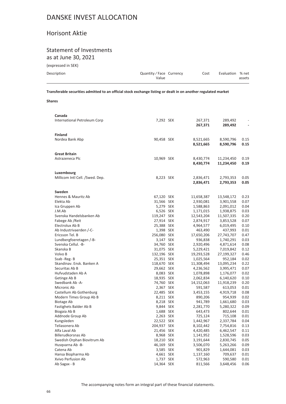### Horisont Aktie

#### Statement of Investments as at June 30, 2021

(expressed in SEK)

| Description | Quantity/Face Currency<br>Value | Cost | Evaluation % net | assets |
|-------------|---------------------------------|------|------------------|--------|
|             |                                 |      |                  |        |

**Transferable securities admitted to an official stock exchange listing or dealt in on another regulated market**

**Shares**

| Canada                          |             |            |            |      |
|---------------------------------|-------------|------------|------------|------|
| International Petroleum Corp    | 7,292 SEK   | 267,371    | 289,492    |      |
|                                 |             | 267,371    | 289,492    |      |
| <b>Finland</b>                  |             |            |            |      |
| Nordea Bank Abp                 | 90,458 SEK  | 8,521,665  | 8,590,796  | 0.15 |
|                                 |             | 8,521,665  | 8,590,796  | 0.15 |
|                                 |             |            |            |      |
| <b>Great Britain</b>            |             |            |            |      |
| Astrazeneca Plc                 | 10,969 SEK  | 8,430,774  | 11,234,450 | 0.19 |
|                                 |             | 8,430,774  | 11,234,450 | 0.19 |
|                                 |             |            |            |      |
| Luxembourg                      |             |            |            |      |
| Millicom Intl Cell. /Swed. Dep. | 8,223 SEK   | 2,836,471  | 2,793,353  | 0.05 |
|                                 |             | 2,836,471  | 2,793,353  | 0.05 |
|                                 |             |            |            |      |
| Sweden                          |             |            |            |      |
| Hennes & Mauritz Ab             | 67,120 SEK  | 11,658,387 | 13,548,172 | 0.23 |
| Elekta Ab                       | 31,566 SEK  | 2,930,081  | 3,901,558  | 0.07 |
| Ica Gruppen Ab                  | 5,279 SEK   | 1,588,863  | 2,091,012  | 0.04 |
| J.M.Ab                          | 6,526 SEK   | 1,171,015  | 1,938,875  | 0.03 |
| Svenska Handelsbanken Ab        | 119,247 SEK | 12,543,204 | 11,507,335 | 0.20 |
| Fabege Ab / Reit                | 27,914 SEK  | 2,874,917  | 3,853,528  | 0.07 |
| Electrolux Ab B                 | 25,388 SEK  | 4,964,577  | 6,019,495  | 0.10 |
| Ab Industrivaerden /-C-         | 1,398 SEK   | 463,490    | 437,993    | 0.01 |
| Ericsson Tel. B                 | 256,080 SEK | 17,650,206 | 27,743,707 | 0.47 |
| Lundbergfoeretagen /-B-         | 3,147 SEK   | 936,838    | 1,740,291  | 0.03 |
| Svenska Cellul. - B-            | 34,760 SEK  | 2,920,496  | 4,871,614  | 0.08 |
| Skanska B                       | 31,075 SEK  | 5,229,421  | 7,019,842  | 0.12 |
| Volvo B                         | 132,196 SEK | 19,293,528 | 27,199,327 | 0.46 |
| Ssab -Reg- B                    | 25,351 SEK  | 1,025,564  | 952,184    | 0.02 |
| Skandinav. Ensk. Banken A       | 118,670 SEK | 11,308,494 | 13,095,234 | 0.22 |
| Securitas Ab B                  | 29,662 SEK  | 4,236,562  | 3,995,471  | 0.07 |
| Hufvudstaden Ab A               | 8,083 SEK   | 1,078,898  | 1,176,077  | 0.02 |
| Getinge Ab B                    | 18,935 SEK  | 2,062,834  | 6,140,620  | 0.10 |
| Swedbank Ab -A-                 | 74,760 SEK  | 14,152,063 | 11,918,239 | 0.20 |
| Micronic Ab                     | 2,367 SEK   | 591,587    | 613,053    | 0.01 |
| Castellum Ab Gothenburg         | 22,485 SEK  | 3,453,155  | 4,919,718  | 0.08 |
| Modern Times Group Ab B         | 8,211 SEK   | 890,206    | 954,939    | 0.02 |
| Biotage Ab                      | 8,218 SEK   | 941,789    | 1,661,680  | 0.03 |
| Fastighets Balder Ab B          | 9,844 SEK   | 2,281,770  | 5,280,322  | 0.09 |
| Biogaia Ab B                    | 1,688 SEK   | 643,473    | 802,644    | 0.01 |
| Addnode Group Ab                | 2,263 SEK   | 725,124    | 715,108    | 0.01 |
| Kungsleden                      | 22,522 SEK  | 1,442,967  | 2,337,784  | 0.04 |
| Teliasonera Ab                  | 204,937 SEK | 8,102,442  | 7,754,816  | 0.13 |
| Alfa Laval Ab                   | 21,456 SEK  | 4,420,485  | 6,462,547  | 0.11 |
| Billerudkorsnas Ab              | 8,968 SEK   | 1,141,952  | 1,528,596  | 0.03 |
| Swedish Orphan Biovitrum Ab     | 18,210 SEK  | 3,191,644  | 2,830,745  | 0.05 |
| Husqvarna Ab -B-                | 46,169 SEK  | 3,506,070  | 5,263,266  | 0.09 |
| Catena Ab                       | 3,585 SEK   | 901,829    | 1,644,081  | 0.03 |
| Hansa Biopharma Ab              | 4,661 SEK   | 1,137,160  | 709,637    | 0.01 |
| Xvivo Perfusion Ab              | 1,737 SEK   | 572,963    | 590,580    | 0.01 |
| Ab Sagax - B                    | 14,364 SEK  | 811,566    | 3,648,456  | 0.06 |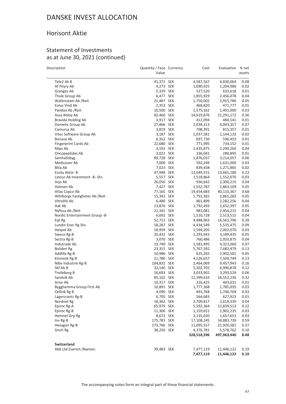### Horisont Aktie

#### Statement of Investments as at June 30, 2021 (continued)

| Tele2 Ak B<br>0.08<br>41,371 SEK<br>4,587,567<br>4,830,064<br>Af Poyry Ab<br>0.02<br>4,273 SEK<br>1,090,925<br>1,204,986<br>Granges Ab<br>5,329 SEK<br>527,520<br>633,618<br>0.01<br>0.04<br>Thule Group Ab<br>6,477 SEK<br>1,855,929<br>2,456,078<br>0.05<br>Wallenstam Ab / Reit<br>21,487 SEK<br>1,750,002<br>2,915,786<br>2,353 SEK<br>0.01<br>Eolus Vind Ab<br>468,820<br>471,777<br>0.03<br>Pandox Ab / Reit<br>10,500 SEK<br>1,575,162<br>1,491,000<br>0.36<br>Assa Abloy Ab<br>82,460 SEK<br>14,619,876<br>21,291,172<br>Bravida Holding Ab<br>3,917 SEK<br>412,094<br>0.01<br>484,141<br>0.07<br>Dometic Group Ab<br>27,866 SEK<br>2,038,313<br>4,043,357<br>0.01<br>Camurus Ab<br>3,819 SEK<br>708,391<br>815,357<br>Vitec Software Group Ab<br>3,187 SEK<br>1,037,581<br>0.02<br>1,144,133<br>0.01<br>Bonava Ab<br>6,352 SEK<br>697,730<br>596,453<br>0.01<br><b>Fingerprint Cards Ab</b><br>22,680 SEK<br>771,995<br>734,152<br>Mips Ab<br>3,192 SEK<br>1,435,875<br>2,290,260<br>0.04<br>3,022 SEK<br>0.01<br>Oncopeptides Ab<br>336,041<br>280,895<br>0.06<br>Samhallsbyg<br>89,728 SEK<br>1,876,037<br>3,214,057<br>Medicover Ab<br>7,000 SEK<br>592,249<br>1,631,000<br>0.03<br>0.02<br>Bilia Ab<br>7,023 SEK<br>839,438<br>1,271,865<br>0.23<br>Essity Aktie-B<br>47,948 SEK<br>12,049,551<br>13,665,180<br>5,557 SEK<br>Latour Ab Investment -B- Shs<br>1,518,864<br>1,552,070<br>0.03<br>0.04<br>26,050 SEK<br>936,642<br>Arjo Ab<br>2,300,215<br>0.05<br>Holmen Ab<br>7,427 SEK<br>1,552,787<br>2,863,109<br>Atlas Copco Ab<br>77,165 SEK<br>19,454,683<br>40,110,367<br>0.68<br>0.05<br>Wihlborgs Fastigheter Ab / Reit<br>15,342 SEK<br>2,861,283<br>1,791,365<br>0.04<br>Vitrolife Ab<br>6,480 SEK<br>861,899<br>2,282,256<br>Aak Ab<br>13,876 SEK<br>1,792,493<br>0.05<br>2,652,397<br>0.04<br>Nyfosa Ab / Reit<br>21,341 SEK<br>981,081<br>2,454,215<br>0.04<br>Nordic Entertainment Group -B-<br>6,692 SEK<br>1,510,728<br>2,513,515<br>52,711 SEK<br>4,488,963<br>0.28<br>Eqt Rg<br>16,561,796<br>0.09<br>Lundin Ener Rg Shs<br>18,287 SEK<br>5,535,475<br>4,434,549<br>18,959 SEK<br>0.03<br>Hexpol Ab<br>1,594,205<br>2,002,070<br>0.05<br>20,432 SEK<br>1,293,941<br>3,189,435<br>Sweco Rg-B<br>0.04<br>Sectra Rg-B<br>3,070 SEK<br>760,486<br>2,033,875<br>Indutrade Ab<br>19,740 SEK<br>0.07<br>1,581,495<br>4,323,060<br>23,351 SEK<br>7,682,479<br>0.13<br>Boliden Rg<br>5,767,592<br>0.05<br>Addlife Rg-B<br>10,986 SEK<br>625,265<br>2,902,501<br>21,780 SEK<br>4,526,657<br>7,509,744<br>0.13<br>Kinnevik Rg-B<br>Nibe Industrie Rg-B<br>104,832 SEK<br>9,457,943<br>0.16<br>2,464,069<br>Skf Ab B<br>32,140 SEK<br>6,996,878<br>0.12<br>5,302,702<br>Trelleborg B<br>16,693 SEK<br>3,033,902<br>0.06<br>3,293,529<br>0.32<br>Sandvik Ab<br>85,102 SEK<br>12,399,633<br>18,552,236<br>Arise Ab<br>10,317 SEK<br>316,425<br>443,631<br>0.01<br>Bygghemma Group First Ab<br>10,891 SEK<br>1,777,368<br>1,785,035<br>0.03<br>Cellink Rg B<br>4,090 SEK<br>0.03<br>891,768<br>1,740,704<br>Lagercrantz Rg-B<br>6,705 SEK<br>564,683<br>627,923<br>0.01<br>18,362 SEK<br>0.04<br>Nordnet Rg<br>2,709,817<br>2,619,339<br>65,979 SEK<br>0.22<br>Epiroc Rg-A<br>5,592,364<br>12,839,513<br>11,306 SEK<br>Epiroc Rg-B<br>1,159,651<br>1,902,235<br>0.03<br>8,672 SEK<br>0.03<br>Hemnet Grp Rg<br>2,135,020<br>1,657,653<br>175,781 SEK<br>0.59<br>Inv Rg-B<br>17,108,245<br>34,883,739<br>Hexagon Rg-B<br>173,766 SEK<br>11,095,557<br>21,920,581<br>0.37<br>38,250 SEK<br>Sinch Rg<br>4,376,781<br>5,578,762<br>0.10<br>328,518,396<br>497,963,440<br>8.48<br><b>Switzerland</b><br>Abb Ltd Zuerich /Namen.<br>39,483 SEK<br>0.19<br>7,477,119<br>11,446,122<br>7,477,119<br>11,446,122<br>0.19 | Description | Quantity / Face Currency<br>Value | Cost | Evaluation | % net<br>assets |
|-------------------------------------------------------------------------------------------------------------------------------------------------------------------------------------------------------------------------------------------------------------------------------------------------------------------------------------------------------------------------------------------------------------------------------------------------------------------------------------------------------------------------------------------------------------------------------------------------------------------------------------------------------------------------------------------------------------------------------------------------------------------------------------------------------------------------------------------------------------------------------------------------------------------------------------------------------------------------------------------------------------------------------------------------------------------------------------------------------------------------------------------------------------------------------------------------------------------------------------------------------------------------------------------------------------------------------------------------------------------------------------------------------------------------------------------------------------------------------------------------------------------------------------------------------------------------------------------------------------------------------------------------------------------------------------------------------------------------------------------------------------------------------------------------------------------------------------------------------------------------------------------------------------------------------------------------------------------------------------------------------------------------------------------------------------------------------------------------------------------------------------------------------------------------------------------------------------------------------------------------------------------------------------------------------------------------------------------------------------------------------------------------------------------------------------------------------------------------------------------------------------------------------------------------------------------------------------------------------------------------------------------------------------------------------------------------------------------------------------------------------------------------------------------------------------------------------------------------------------------------------------------------------------------------------------------------------------------------------------------------------------------------------------------------------------------------------------------------------------------------------------------------------------------------------------------------------------------------------------------------------------------------------------------------------------------------------------------------------------------------------------------------------------------------------------------------------------------------------------------------------------------------------------------------------------------------------------------------------------------------------------------------------------------------------------------------------------------------------|-------------|-----------------------------------|------|------------|-----------------|
|                                                                                                                                                                                                                                                                                                                                                                                                                                                                                                                                                                                                                                                                                                                                                                                                                                                                                                                                                                                                                                                                                                                                                                                                                                                                                                                                                                                                                                                                                                                                                                                                                                                                                                                                                                                                                                                                                                                                                                                                                                                                                                                                                                                                                                                                                                                                                                                                                                                                                                                                                                                                                                                                                                                                                                                                                                                                                                                                                                                                                                                                                                                                                                                                                                                                                                                                                                                                                                                                                                                                                                                                                                                                                                                               |             |                                   |      |            |                 |
|                                                                                                                                                                                                                                                                                                                                                                                                                                                                                                                                                                                                                                                                                                                                                                                                                                                                                                                                                                                                                                                                                                                                                                                                                                                                                                                                                                                                                                                                                                                                                                                                                                                                                                                                                                                                                                                                                                                                                                                                                                                                                                                                                                                                                                                                                                                                                                                                                                                                                                                                                                                                                                                                                                                                                                                                                                                                                                                                                                                                                                                                                                                                                                                                                                                                                                                                                                                                                                                                                                                                                                                                                                                                                                                               |             |                                   |      |            |                 |
|                                                                                                                                                                                                                                                                                                                                                                                                                                                                                                                                                                                                                                                                                                                                                                                                                                                                                                                                                                                                                                                                                                                                                                                                                                                                                                                                                                                                                                                                                                                                                                                                                                                                                                                                                                                                                                                                                                                                                                                                                                                                                                                                                                                                                                                                                                                                                                                                                                                                                                                                                                                                                                                                                                                                                                                                                                                                                                                                                                                                                                                                                                                                                                                                                                                                                                                                                                                                                                                                                                                                                                                                                                                                                                                               |             |                                   |      |            |                 |
|                                                                                                                                                                                                                                                                                                                                                                                                                                                                                                                                                                                                                                                                                                                                                                                                                                                                                                                                                                                                                                                                                                                                                                                                                                                                                                                                                                                                                                                                                                                                                                                                                                                                                                                                                                                                                                                                                                                                                                                                                                                                                                                                                                                                                                                                                                                                                                                                                                                                                                                                                                                                                                                                                                                                                                                                                                                                                                                                                                                                                                                                                                                                                                                                                                                                                                                                                                                                                                                                                                                                                                                                                                                                                                                               |             |                                   |      |            |                 |
|                                                                                                                                                                                                                                                                                                                                                                                                                                                                                                                                                                                                                                                                                                                                                                                                                                                                                                                                                                                                                                                                                                                                                                                                                                                                                                                                                                                                                                                                                                                                                                                                                                                                                                                                                                                                                                                                                                                                                                                                                                                                                                                                                                                                                                                                                                                                                                                                                                                                                                                                                                                                                                                                                                                                                                                                                                                                                                                                                                                                                                                                                                                                                                                                                                                                                                                                                                                                                                                                                                                                                                                                                                                                                                                               |             |                                   |      |            |                 |
|                                                                                                                                                                                                                                                                                                                                                                                                                                                                                                                                                                                                                                                                                                                                                                                                                                                                                                                                                                                                                                                                                                                                                                                                                                                                                                                                                                                                                                                                                                                                                                                                                                                                                                                                                                                                                                                                                                                                                                                                                                                                                                                                                                                                                                                                                                                                                                                                                                                                                                                                                                                                                                                                                                                                                                                                                                                                                                                                                                                                                                                                                                                                                                                                                                                                                                                                                                                                                                                                                                                                                                                                                                                                                                                               |             |                                   |      |            |                 |
|                                                                                                                                                                                                                                                                                                                                                                                                                                                                                                                                                                                                                                                                                                                                                                                                                                                                                                                                                                                                                                                                                                                                                                                                                                                                                                                                                                                                                                                                                                                                                                                                                                                                                                                                                                                                                                                                                                                                                                                                                                                                                                                                                                                                                                                                                                                                                                                                                                                                                                                                                                                                                                                                                                                                                                                                                                                                                                                                                                                                                                                                                                                                                                                                                                                                                                                                                                                                                                                                                                                                                                                                                                                                                                                               |             |                                   |      |            |                 |
|                                                                                                                                                                                                                                                                                                                                                                                                                                                                                                                                                                                                                                                                                                                                                                                                                                                                                                                                                                                                                                                                                                                                                                                                                                                                                                                                                                                                                                                                                                                                                                                                                                                                                                                                                                                                                                                                                                                                                                                                                                                                                                                                                                                                                                                                                                                                                                                                                                                                                                                                                                                                                                                                                                                                                                                                                                                                                                                                                                                                                                                                                                                                                                                                                                                                                                                                                                                                                                                                                                                                                                                                                                                                                                                               |             |                                   |      |            |                 |
|                                                                                                                                                                                                                                                                                                                                                                                                                                                                                                                                                                                                                                                                                                                                                                                                                                                                                                                                                                                                                                                                                                                                                                                                                                                                                                                                                                                                                                                                                                                                                                                                                                                                                                                                                                                                                                                                                                                                                                                                                                                                                                                                                                                                                                                                                                                                                                                                                                                                                                                                                                                                                                                                                                                                                                                                                                                                                                                                                                                                                                                                                                                                                                                                                                                                                                                                                                                                                                                                                                                                                                                                                                                                                                                               |             |                                   |      |            |                 |
|                                                                                                                                                                                                                                                                                                                                                                                                                                                                                                                                                                                                                                                                                                                                                                                                                                                                                                                                                                                                                                                                                                                                                                                                                                                                                                                                                                                                                                                                                                                                                                                                                                                                                                                                                                                                                                                                                                                                                                                                                                                                                                                                                                                                                                                                                                                                                                                                                                                                                                                                                                                                                                                                                                                                                                                                                                                                                                                                                                                                                                                                                                                                                                                                                                                                                                                                                                                                                                                                                                                                                                                                                                                                                                                               |             |                                   |      |            |                 |
|                                                                                                                                                                                                                                                                                                                                                                                                                                                                                                                                                                                                                                                                                                                                                                                                                                                                                                                                                                                                                                                                                                                                                                                                                                                                                                                                                                                                                                                                                                                                                                                                                                                                                                                                                                                                                                                                                                                                                                                                                                                                                                                                                                                                                                                                                                                                                                                                                                                                                                                                                                                                                                                                                                                                                                                                                                                                                                                                                                                                                                                                                                                                                                                                                                                                                                                                                                                                                                                                                                                                                                                                                                                                                                                               |             |                                   |      |            |                 |
|                                                                                                                                                                                                                                                                                                                                                                                                                                                                                                                                                                                                                                                                                                                                                                                                                                                                                                                                                                                                                                                                                                                                                                                                                                                                                                                                                                                                                                                                                                                                                                                                                                                                                                                                                                                                                                                                                                                                                                                                                                                                                                                                                                                                                                                                                                                                                                                                                                                                                                                                                                                                                                                                                                                                                                                                                                                                                                                                                                                                                                                                                                                                                                                                                                                                                                                                                                                                                                                                                                                                                                                                                                                                                                                               |             |                                   |      |            |                 |
|                                                                                                                                                                                                                                                                                                                                                                                                                                                                                                                                                                                                                                                                                                                                                                                                                                                                                                                                                                                                                                                                                                                                                                                                                                                                                                                                                                                                                                                                                                                                                                                                                                                                                                                                                                                                                                                                                                                                                                                                                                                                                                                                                                                                                                                                                                                                                                                                                                                                                                                                                                                                                                                                                                                                                                                                                                                                                                                                                                                                                                                                                                                                                                                                                                                                                                                                                                                                                                                                                                                                                                                                                                                                                                                               |             |                                   |      |            |                 |
|                                                                                                                                                                                                                                                                                                                                                                                                                                                                                                                                                                                                                                                                                                                                                                                                                                                                                                                                                                                                                                                                                                                                                                                                                                                                                                                                                                                                                                                                                                                                                                                                                                                                                                                                                                                                                                                                                                                                                                                                                                                                                                                                                                                                                                                                                                                                                                                                                                                                                                                                                                                                                                                                                                                                                                                                                                                                                                                                                                                                                                                                                                                                                                                                                                                                                                                                                                                                                                                                                                                                                                                                                                                                                                                               |             |                                   |      |            |                 |
|                                                                                                                                                                                                                                                                                                                                                                                                                                                                                                                                                                                                                                                                                                                                                                                                                                                                                                                                                                                                                                                                                                                                                                                                                                                                                                                                                                                                                                                                                                                                                                                                                                                                                                                                                                                                                                                                                                                                                                                                                                                                                                                                                                                                                                                                                                                                                                                                                                                                                                                                                                                                                                                                                                                                                                                                                                                                                                                                                                                                                                                                                                                                                                                                                                                                                                                                                                                                                                                                                                                                                                                                                                                                                                                               |             |                                   |      |            |                 |
|                                                                                                                                                                                                                                                                                                                                                                                                                                                                                                                                                                                                                                                                                                                                                                                                                                                                                                                                                                                                                                                                                                                                                                                                                                                                                                                                                                                                                                                                                                                                                                                                                                                                                                                                                                                                                                                                                                                                                                                                                                                                                                                                                                                                                                                                                                                                                                                                                                                                                                                                                                                                                                                                                                                                                                                                                                                                                                                                                                                                                                                                                                                                                                                                                                                                                                                                                                                                                                                                                                                                                                                                                                                                                                                               |             |                                   |      |            |                 |
|                                                                                                                                                                                                                                                                                                                                                                                                                                                                                                                                                                                                                                                                                                                                                                                                                                                                                                                                                                                                                                                                                                                                                                                                                                                                                                                                                                                                                                                                                                                                                                                                                                                                                                                                                                                                                                                                                                                                                                                                                                                                                                                                                                                                                                                                                                                                                                                                                                                                                                                                                                                                                                                                                                                                                                                                                                                                                                                                                                                                                                                                                                                                                                                                                                                                                                                                                                                                                                                                                                                                                                                                                                                                                                                               |             |                                   |      |            |                 |
|                                                                                                                                                                                                                                                                                                                                                                                                                                                                                                                                                                                                                                                                                                                                                                                                                                                                                                                                                                                                                                                                                                                                                                                                                                                                                                                                                                                                                                                                                                                                                                                                                                                                                                                                                                                                                                                                                                                                                                                                                                                                                                                                                                                                                                                                                                                                                                                                                                                                                                                                                                                                                                                                                                                                                                                                                                                                                                                                                                                                                                                                                                                                                                                                                                                                                                                                                                                                                                                                                                                                                                                                                                                                                                                               |             |                                   |      |            |                 |
|                                                                                                                                                                                                                                                                                                                                                                                                                                                                                                                                                                                                                                                                                                                                                                                                                                                                                                                                                                                                                                                                                                                                                                                                                                                                                                                                                                                                                                                                                                                                                                                                                                                                                                                                                                                                                                                                                                                                                                                                                                                                                                                                                                                                                                                                                                                                                                                                                                                                                                                                                                                                                                                                                                                                                                                                                                                                                                                                                                                                                                                                                                                                                                                                                                                                                                                                                                                                                                                                                                                                                                                                                                                                                                                               |             |                                   |      |            |                 |
|                                                                                                                                                                                                                                                                                                                                                                                                                                                                                                                                                                                                                                                                                                                                                                                                                                                                                                                                                                                                                                                                                                                                                                                                                                                                                                                                                                                                                                                                                                                                                                                                                                                                                                                                                                                                                                                                                                                                                                                                                                                                                                                                                                                                                                                                                                                                                                                                                                                                                                                                                                                                                                                                                                                                                                                                                                                                                                                                                                                                                                                                                                                                                                                                                                                                                                                                                                                                                                                                                                                                                                                                                                                                                                                               |             |                                   |      |            |                 |
|                                                                                                                                                                                                                                                                                                                                                                                                                                                                                                                                                                                                                                                                                                                                                                                                                                                                                                                                                                                                                                                                                                                                                                                                                                                                                                                                                                                                                                                                                                                                                                                                                                                                                                                                                                                                                                                                                                                                                                                                                                                                                                                                                                                                                                                                                                                                                                                                                                                                                                                                                                                                                                                                                                                                                                                                                                                                                                                                                                                                                                                                                                                                                                                                                                                                                                                                                                                                                                                                                                                                                                                                                                                                                                                               |             |                                   |      |            |                 |
|                                                                                                                                                                                                                                                                                                                                                                                                                                                                                                                                                                                                                                                                                                                                                                                                                                                                                                                                                                                                                                                                                                                                                                                                                                                                                                                                                                                                                                                                                                                                                                                                                                                                                                                                                                                                                                                                                                                                                                                                                                                                                                                                                                                                                                                                                                                                                                                                                                                                                                                                                                                                                                                                                                                                                                                                                                                                                                                                                                                                                                                                                                                                                                                                                                                                                                                                                                                                                                                                                                                                                                                                                                                                                                                               |             |                                   |      |            |                 |
|                                                                                                                                                                                                                                                                                                                                                                                                                                                                                                                                                                                                                                                                                                                                                                                                                                                                                                                                                                                                                                                                                                                                                                                                                                                                                                                                                                                                                                                                                                                                                                                                                                                                                                                                                                                                                                                                                                                                                                                                                                                                                                                                                                                                                                                                                                                                                                                                                                                                                                                                                                                                                                                                                                                                                                                                                                                                                                                                                                                                                                                                                                                                                                                                                                                                                                                                                                                                                                                                                                                                                                                                                                                                                                                               |             |                                   |      |            |                 |
|                                                                                                                                                                                                                                                                                                                                                                                                                                                                                                                                                                                                                                                                                                                                                                                                                                                                                                                                                                                                                                                                                                                                                                                                                                                                                                                                                                                                                                                                                                                                                                                                                                                                                                                                                                                                                                                                                                                                                                                                                                                                                                                                                                                                                                                                                                                                                                                                                                                                                                                                                                                                                                                                                                                                                                                                                                                                                                                                                                                                                                                                                                                                                                                                                                                                                                                                                                                                                                                                                                                                                                                                                                                                                                                               |             |                                   |      |            |                 |
|                                                                                                                                                                                                                                                                                                                                                                                                                                                                                                                                                                                                                                                                                                                                                                                                                                                                                                                                                                                                                                                                                                                                                                                                                                                                                                                                                                                                                                                                                                                                                                                                                                                                                                                                                                                                                                                                                                                                                                                                                                                                                                                                                                                                                                                                                                                                                                                                                                                                                                                                                                                                                                                                                                                                                                                                                                                                                                                                                                                                                                                                                                                                                                                                                                                                                                                                                                                                                                                                                                                                                                                                                                                                                                                               |             |                                   |      |            |                 |
|                                                                                                                                                                                                                                                                                                                                                                                                                                                                                                                                                                                                                                                                                                                                                                                                                                                                                                                                                                                                                                                                                                                                                                                                                                                                                                                                                                                                                                                                                                                                                                                                                                                                                                                                                                                                                                                                                                                                                                                                                                                                                                                                                                                                                                                                                                                                                                                                                                                                                                                                                                                                                                                                                                                                                                                                                                                                                                                                                                                                                                                                                                                                                                                                                                                                                                                                                                                                                                                                                                                                                                                                                                                                                                                               |             |                                   |      |            |                 |
|                                                                                                                                                                                                                                                                                                                                                                                                                                                                                                                                                                                                                                                                                                                                                                                                                                                                                                                                                                                                                                                                                                                                                                                                                                                                                                                                                                                                                                                                                                                                                                                                                                                                                                                                                                                                                                                                                                                                                                                                                                                                                                                                                                                                                                                                                                                                                                                                                                                                                                                                                                                                                                                                                                                                                                                                                                                                                                                                                                                                                                                                                                                                                                                                                                                                                                                                                                                                                                                                                                                                                                                                                                                                                                                               |             |                                   |      |            |                 |
|                                                                                                                                                                                                                                                                                                                                                                                                                                                                                                                                                                                                                                                                                                                                                                                                                                                                                                                                                                                                                                                                                                                                                                                                                                                                                                                                                                                                                                                                                                                                                                                                                                                                                                                                                                                                                                                                                                                                                                                                                                                                                                                                                                                                                                                                                                                                                                                                                                                                                                                                                                                                                                                                                                                                                                                                                                                                                                                                                                                                                                                                                                                                                                                                                                                                                                                                                                                                                                                                                                                                                                                                                                                                                                                               |             |                                   |      |            |                 |
|                                                                                                                                                                                                                                                                                                                                                                                                                                                                                                                                                                                                                                                                                                                                                                                                                                                                                                                                                                                                                                                                                                                                                                                                                                                                                                                                                                                                                                                                                                                                                                                                                                                                                                                                                                                                                                                                                                                                                                                                                                                                                                                                                                                                                                                                                                                                                                                                                                                                                                                                                                                                                                                                                                                                                                                                                                                                                                                                                                                                                                                                                                                                                                                                                                                                                                                                                                                                                                                                                                                                                                                                                                                                                                                               |             |                                   |      |            |                 |
|                                                                                                                                                                                                                                                                                                                                                                                                                                                                                                                                                                                                                                                                                                                                                                                                                                                                                                                                                                                                                                                                                                                                                                                                                                                                                                                                                                                                                                                                                                                                                                                                                                                                                                                                                                                                                                                                                                                                                                                                                                                                                                                                                                                                                                                                                                                                                                                                                                                                                                                                                                                                                                                                                                                                                                                                                                                                                                                                                                                                                                                                                                                                                                                                                                                                                                                                                                                                                                                                                                                                                                                                                                                                                                                               |             |                                   |      |            |                 |
|                                                                                                                                                                                                                                                                                                                                                                                                                                                                                                                                                                                                                                                                                                                                                                                                                                                                                                                                                                                                                                                                                                                                                                                                                                                                                                                                                                                                                                                                                                                                                                                                                                                                                                                                                                                                                                                                                                                                                                                                                                                                                                                                                                                                                                                                                                                                                                                                                                                                                                                                                                                                                                                                                                                                                                                                                                                                                                                                                                                                                                                                                                                                                                                                                                                                                                                                                                                                                                                                                                                                                                                                                                                                                                                               |             |                                   |      |            |                 |
|                                                                                                                                                                                                                                                                                                                                                                                                                                                                                                                                                                                                                                                                                                                                                                                                                                                                                                                                                                                                                                                                                                                                                                                                                                                                                                                                                                                                                                                                                                                                                                                                                                                                                                                                                                                                                                                                                                                                                                                                                                                                                                                                                                                                                                                                                                                                                                                                                                                                                                                                                                                                                                                                                                                                                                                                                                                                                                                                                                                                                                                                                                                                                                                                                                                                                                                                                                                                                                                                                                                                                                                                                                                                                                                               |             |                                   |      |            |                 |
|                                                                                                                                                                                                                                                                                                                                                                                                                                                                                                                                                                                                                                                                                                                                                                                                                                                                                                                                                                                                                                                                                                                                                                                                                                                                                                                                                                                                                                                                                                                                                                                                                                                                                                                                                                                                                                                                                                                                                                                                                                                                                                                                                                                                                                                                                                                                                                                                                                                                                                                                                                                                                                                                                                                                                                                                                                                                                                                                                                                                                                                                                                                                                                                                                                                                                                                                                                                                                                                                                                                                                                                                                                                                                                                               |             |                                   |      |            |                 |
|                                                                                                                                                                                                                                                                                                                                                                                                                                                                                                                                                                                                                                                                                                                                                                                                                                                                                                                                                                                                                                                                                                                                                                                                                                                                                                                                                                                                                                                                                                                                                                                                                                                                                                                                                                                                                                                                                                                                                                                                                                                                                                                                                                                                                                                                                                                                                                                                                                                                                                                                                                                                                                                                                                                                                                                                                                                                                                                                                                                                                                                                                                                                                                                                                                                                                                                                                                                                                                                                                                                                                                                                                                                                                                                               |             |                                   |      |            |                 |
|                                                                                                                                                                                                                                                                                                                                                                                                                                                                                                                                                                                                                                                                                                                                                                                                                                                                                                                                                                                                                                                                                                                                                                                                                                                                                                                                                                                                                                                                                                                                                                                                                                                                                                                                                                                                                                                                                                                                                                                                                                                                                                                                                                                                                                                                                                                                                                                                                                                                                                                                                                                                                                                                                                                                                                                                                                                                                                                                                                                                                                                                                                                                                                                                                                                                                                                                                                                                                                                                                                                                                                                                                                                                                                                               |             |                                   |      |            |                 |
|                                                                                                                                                                                                                                                                                                                                                                                                                                                                                                                                                                                                                                                                                                                                                                                                                                                                                                                                                                                                                                                                                                                                                                                                                                                                                                                                                                                                                                                                                                                                                                                                                                                                                                                                                                                                                                                                                                                                                                                                                                                                                                                                                                                                                                                                                                                                                                                                                                                                                                                                                                                                                                                                                                                                                                                                                                                                                                                                                                                                                                                                                                                                                                                                                                                                                                                                                                                                                                                                                                                                                                                                                                                                                                                               |             |                                   |      |            |                 |
|                                                                                                                                                                                                                                                                                                                                                                                                                                                                                                                                                                                                                                                                                                                                                                                                                                                                                                                                                                                                                                                                                                                                                                                                                                                                                                                                                                                                                                                                                                                                                                                                                                                                                                                                                                                                                                                                                                                                                                                                                                                                                                                                                                                                                                                                                                                                                                                                                                                                                                                                                                                                                                                                                                                                                                                                                                                                                                                                                                                                                                                                                                                                                                                                                                                                                                                                                                                                                                                                                                                                                                                                                                                                                                                               |             |                                   |      |            |                 |
|                                                                                                                                                                                                                                                                                                                                                                                                                                                                                                                                                                                                                                                                                                                                                                                                                                                                                                                                                                                                                                                                                                                                                                                                                                                                                                                                                                                                                                                                                                                                                                                                                                                                                                                                                                                                                                                                                                                                                                                                                                                                                                                                                                                                                                                                                                                                                                                                                                                                                                                                                                                                                                                                                                                                                                                                                                                                                                                                                                                                                                                                                                                                                                                                                                                                                                                                                                                                                                                                                                                                                                                                                                                                                                                               |             |                                   |      |            |                 |
|                                                                                                                                                                                                                                                                                                                                                                                                                                                                                                                                                                                                                                                                                                                                                                                                                                                                                                                                                                                                                                                                                                                                                                                                                                                                                                                                                                                                                                                                                                                                                                                                                                                                                                                                                                                                                                                                                                                                                                                                                                                                                                                                                                                                                                                                                                                                                                                                                                                                                                                                                                                                                                                                                                                                                                                                                                                                                                                                                                                                                                                                                                                                                                                                                                                                                                                                                                                                                                                                                                                                                                                                                                                                                                                               |             |                                   |      |            |                 |
|                                                                                                                                                                                                                                                                                                                                                                                                                                                                                                                                                                                                                                                                                                                                                                                                                                                                                                                                                                                                                                                                                                                                                                                                                                                                                                                                                                                                                                                                                                                                                                                                                                                                                                                                                                                                                                                                                                                                                                                                                                                                                                                                                                                                                                                                                                                                                                                                                                                                                                                                                                                                                                                                                                                                                                                                                                                                                                                                                                                                                                                                                                                                                                                                                                                                                                                                                                                                                                                                                                                                                                                                                                                                                                                               |             |                                   |      |            |                 |
|                                                                                                                                                                                                                                                                                                                                                                                                                                                                                                                                                                                                                                                                                                                                                                                                                                                                                                                                                                                                                                                                                                                                                                                                                                                                                                                                                                                                                                                                                                                                                                                                                                                                                                                                                                                                                                                                                                                                                                                                                                                                                                                                                                                                                                                                                                                                                                                                                                                                                                                                                                                                                                                                                                                                                                                                                                                                                                                                                                                                                                                                                                                                                                                                                                                                                                                                                                                                                                                                                                                                                                                                                                                                                                                               |             |                                   |      |            |                 |
|                                                                                                                                                                                                                                                                                                                                                                                                                                                                                                                                                                                                                                                                                                                                                                                                                                                                                                                                                                                                                                                                                                                                                                                                                                                                                                                                                                                                                                                                                                                                                                                                                                                                                                                                                                                                                                                                                                                                                                                                                                                                                                                                                                                                                                                                                                                                                                                                                                                                                                                                                                                                                                                                                                                                                                                                                                                                                                                                                                                                                                                                                                                                                                                                                                                                                                                                                                                                                                                                                                                                                                                                                                                                                                                               |             |                                   |      |            |                 |
|                                                                                                                                                                                                                                                                                                                                                                                                                                                                                                                                                                                                                                                                                                                                                                                                                                                                                                                                                                                                                                                                                                                                                                                                                                                                                                                                                                                                                                                                                                                                                                                                                                                                                                                                                                                                                                                                                                                                                                                                                                                                                                                                                                                                                                                                                                                                                                                                                                                                                                                                                                                                                                                                                                                                                                                                                                                                                                                                                                                                                                                                                                                                                                                                                                                                                                                                                                                                                                                                                                                                                                                                                                                                                                                               |             |                                   |      |            |                 |
|                                                                                                                                                                                                                                                                                                                                                                                                                                                                                                                                                                                                                                                                                                                                                                                                                                                                                                                                                                                                                                                                                                                                                                                                                                                                                                                                                                                                                                                                                                                                                                                                                                                                                                                                                                                                                                                                                                                                                                                                                                                                                                                                                                                                                                                                                                                                                                                                                                                                                                                                                                                                                                                                                                                                                                                                                                                                                                                                                                                                                                                                                                                                                                                                                                                                                                                                                                                                                                                                                                                                                                                                                                                                                                                               |             |                                   |      |            |                 |
|                                                                                                                                                                                                                                                                                                                                                                                                                                                                                                                                                                                                                                                                                                                                                                                                                                                                                                                                                                                                                                                                                                                                                                                                                                                                                                                                                                                                                                                                                                                                                                                                                                                                                                                                                                                                                                                                                                                                                                                                                                                                                                                                                                                                                                                                                                                                                                                                                                                                                                                                                                                                                                                                                                                                                                                                                                                                                                                                                                                                                                                                                                                                                                                                                                                                                                                                                                                                                                                                                                                                                                                                                                                                                                                               |             |                                   |      |            |                 |
|                                                                                                                                                                                                                                                                                                                                                                                                                                                                                                                                                                                                                                                                                                                                                                                                                                                                                                                                                                                                                                                                                                                                                                                                                                                                                                                                                                                                                                                                                                                                                                                                                                                                                                                                                                                                                                                                                                                                                                                                                                                                                                                                                                                                                                                                                                                                                                                                                                                                                                                                                                                                                                                                                                                                                                                                                                                                                                                                                                                                                                                                                                                                                                                                                                                                                                                                                                                                                                                                                                                                                                                                                                                                                                                               |             |                                   |      |            |                 |
|                                                                                                                                                                                                                                                                                                                                                                                                                                                                                                                                                                                                                                                                                                                                                                                                                                                                                                                                                                                                                                                                                                                                                                                                                                                                                                                                                                                                                                                                                                                                                                                                                                                                                                                                                                                                                                                                                                                                                                                                                                                                                                                                                                                                                                                                                                                                                                                                                                                                                                                                                                                                                                                                                                                                                                                                                                                                                                                                                                                                                                                                                                                                                                                                                                                                                                                                                                                                                                                                                                                                                                                                                                                                                                                               |             |                                   |      |            |                 |
|                                                                                                                                                                                                                                                                                                                                                                                                                                                                                                                                                                                                                                                                                                                                                                                                                                                                                                                                                                                                                                                                                                                                                                                                                                                                                                                                                                                                                                                                                                                                                                                                                                                                                                                                                                                                                                                                                                                                                                                                                                                                                                                                                                                                                                                                                                                                                                                                                                                                                                                                                                                                                                                                                                                                                                                                                                                                                                                                                                                                                                                                                                                                                                                                                                                                                                                                                                                                                                                                                                                                                                                                                                                                                                                               |             |                                   |      |            |                 |
|                                                                                                                                                                                                                                                                                                                                                                                                                                                                                                                                                                                                                                                                                                                                                                                                                                                                                                                                                                                                                                                                                                                                                                                                                                                                                                                                                                                                                                                                                                                                                                                                                                                                                                                                                                                                                                                                                                                                                                                                                                                                                                                                                                                                                                                                                                                                                                                                                                                                                                                                                                                                                                                                                                                                                                                                                                                                                                                                                                                                                                                                                                                                                                                                                                                                                                                                                                                                                                                                                                                                                                                                                                                                                                                               |             |                                   |      |            |                 |
|                                                                                                                                                                                                                                                                                                                                                                                                                                                                                                                                                                                                                                                                                                                                                                                                                                                                                                                                                                                                                                                                                                                                                                                                                                                                                                                                                                                                                                                                                                                                                                                                                                                                                                                                                                                                                                                                                                                                                                                                                                                                                                                                                                                                                                                                                                                                                                                                                                                                                                                                                                                                                                                                                                                                                                                                                                                                                                                                                                                                                                                                                                                                                                                                                                                                                                                                                                                                                                                                                                                                                                                                                                                                                                                               |             |                                   |      |            |                 |
|                                                                                                                                                                                                                                                                                                                                                                                                                                                                                                                                                                                                                                                                                                                                                                                                                                                                                                                                                                                                                                                                                                                                                                                                                                                                                                                                                                                                                                                                                                                                                                                                                                                                                                                                                                                                                                                                                                                                                                                                                                                                                                                                                                                                                                                                                                                                                                                                                                                                                                                                                                                                                                                                                                                                                                                                                                                                                                                                                                                                                                                                                                                                                                                                                                                                                                                                                                                                                                                                                                                                                                                                                                                                                                                               |             |                                   |      |            |                 |
|                                                                                                                                                                                                                                                                                                                                                                                                                                                                                                                                                                                                                                                                                                                                                                                                                                                                                                                                                                                                                                                                                                                                                                                                                                                                                                                                                                                                                                                                                                                                                                                                                                                                                                                                                                                                                                                                                                                                                                                                                                                                                                                                                                                                                                                                                                                                                                                                                                                                                                                                                                                                                                                                                                                                                                                                                                                                                                                                                                                                                                                                                                                                                                                                                                                                                                                                                                                                                                                                                                                                                                                                                                                                                                                               |             |                                   |      |            |                 |
|                                                                                                                                                                                                                                                                                                                                                                                                                                                                                                                                                                                                                                                                                                                                                                                                                                                                                                                                                                                                                                                                                                                                                                                                                                                                                                                                                                                                                                                                                                                                                                                                                                                                                                                                                                                                                                                                                                                                                                                                                                                                                                                                                                                                                                                                                                                                                                                                                                                                                                                                                                                                                                                                                                                                                                                                                                                                                                                                                                                                                                                                                                                                                                                                                                                                                                                                                                                                                                                                                                                                                                                                                                                                                                                               |             |                                   |      |            |                 |
|                                                                                                                                                                                                                                                                                                                                                                                                                                                                                                                                                                                                                                                                                                                                                                                                                                                                                                                                                                                                                                                                                                                                                                                                                                                                                                                                                                                                                                                                                                                                                                                                                                                                                                                                                                                                                                                                                                                                                                                                                                                                                                                                                                                                                                                                                                                                                                                                                                                                                                                                                                                                                                                                                                                                                                                                                                                                                                                                                                                                                                                                                                                                                                                                                                                                                                                                                                                                                                                                                                                                                                                                                                                                                                                               |             |                                   |      |            |                 |
|                                                                                                                                                                                                                                                                                                                                                                                                                                                                                                                                                                                                                                                                                                                                                                                                                                                                                                                                                                                                                                                                                                                                                                                                                                                                                                                                                                                                                                                                                                                                                                                                                                                                                                                                                                                                                                                                                                                                                                                                                                                                                                                                                                                                                                                                                                                                                                                                                                                                                                                                                                                                                                                                                                                                                                                                                                                                                                                                                                                                                                                                                                                                                                                                                                                                                                                                                                                                                                                                                                                                                                                                                                                                                                                               |             |                                   |      |            |                 |
|                                                                                                                                                                                                                                                                                                                                                                                                                                                                                                                                                                                                                                                                                                                                                                                                                                                                                                                                                                                                                                                                                                                                                                                                                                                                                                                                                                                                                                                                                                                                                                                                                                                                                                                                                                                                                                                                                                                                                                                                                                                                                                                                                                                                                                                                                                                                                                                                                                                                                                                                                                                                                                                                                                                                                                                                                                                                                                                                                                                                                                                                                                                                                                                                                                                                                                                                                                                                                                                                                                                                                                                                                                                                                                                               |             |                                   |      |            |                 |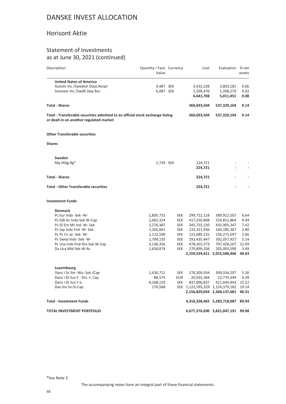#### Horisont Aktie

#### Statement of Investments as at June 30, 2021 (continued)

| Description                                                                                                               | Quantity/Face Currency<br>Value |                   | Cost                            | Evaluation % net                  | assets        |
|---------------------------------------------------------------------------------------------------------------------------|---------------------------------|-------------------|---------------------------------|-----------------------------------|---------------|
| <b>United States of America</b>                                                                                           |                                 |                   |                                 |                                   |               |
| Autoliv Inc / Swedish Dept. Recpt                                                                                         | 4,487 SEK                       |                   | 3,432,238                       | 3,803,181                         | 0.06          |
| Veoneer Inc /Swdh Dep Rec                                                                                                 | 6,087 SEK                       |                   | 1,209,470                       | 1,208,270                         | 0.02          |
|                                                                                                                           |                                 |                   | 4,641,708                       | 5,011,451                         | 0.08          |
| <b>Total - Shares</b>                                                                                                     |                                 |                   | 360,693,504                     | 537,329,104                       | 9.14          |
| Total - Transferable securities admitted to an official stock exchange listing<br>or dealt in on another regulated market |                                 |                   | 360,693,504                     | 537,329,104                       | 9.14          |
| <b>Other Transferable securities</b>                                                                                      |                                 |                   |                                 |                                   |               |
| <b>Shares</b>                                                                                                             |                                 |                   |                                 |                                   |               |
| Sweden                                                                                                                    |                                 |                   |                                 |                                   |               |
| Mg Hldg Rg*                                                                                                               | 1,739 SEK                       |                   | 224,721                         |                                   |               |
|                                                                                                                           |                                 |                   | 224,721                         |                                   |               |
| <b>Total - Shares</b>                                                                                                     |                                 |                   | 224,721                         |                                   |               |
| <b>Total - Other Transferable securities</b>                                                                              |                                 |                   | 224,721                         |                                   |               |
| <b>Investment Funds</b>                                                                                                   |                                 |                   |                                 |                                   |               |
| <b>Denmark</b>                                                                                                            |                                 |                   |                                 |                                   |               |
| Pc Eur Indx -Sek -W-                                                                                                      | 2,805,731                       | <b>SEK</b>        | 299,722,118                     | 389,912,507                       | 6.64          |
| Pc Glb Ac Indx-Sek W-Cap                                                                                                  | 2,682,324                       | <b>SEK</b>        | 417,250,808                     | 554,811,864                       | 9.44          |
| Pc GI Em Mr Ind -W- Sek                                                                                                   | 2,276,387                       | <b>SEK</b>        | 345,755,150                     | 435,905,347                       | 7.42          |
| Pc Jap Indx Fnd -W- Sek                                                                                                   | 1,165,841                       | <b>SEK</b>        | 133,321,956                     | 164, 185, 367                     | 2.80          |
| Pc Pc Cn Jp -Sek -W-                                                                                                      | 1,122,590                       | <b>SEK</b>        | 121,689,155                     | 156,275,697                       | 2.66          |
| Pc Swed Indx -Sek -W-                                                                                                     | 1,704,135                       | <b>SEK</b>        | 192,435,447                     | 302,057,927                       | 5.14          |
| Pc Usa Indx Fnd Shs-Sek W-Cap                                                                                             | 3,140,356                       | <b>SEK</b>        | 478,455,573                     | 707,428,107                       | 12.04         |
| Da Usa Mid Sek-W-Ac                                                                                                       | 1,658,874                       | <b>SEK</b>        | 170,899,204                     | 205,003,590                       | 3.49          |
|                                                                                                                           |                                 |                   |                                 | 2,159,529,411 2,915,580,406       | 49.63         |
|                                                                                                                           |                                 |                   |                                 |                                   |               |
| Luxembourg                                                                                                                |                                 |                   |                                 |                                   |               |
| Dans I Sv Sm -Wa- Sek /Cap                                                                                                | 1,430,712                       | <b>SEK</b>        | 176,309,504                     | 309,334,207                       | 5.26          |
| Dans I GI Sus F - Shs -I- Cap<br>Dans I GI Sus F Ic                                                                       | 88,575<br>8,168,129             | EUR<br><b>SEK</b> | 20,035,384<br>837,890,837       | 22,779,349<br>911,644,943         | 0.39<br>15.52 |
| Dan Inv Sv-Si-Cap                                                                                                         | 170,568                         |                   | SEK 1,122,593,329 1,124,379,182 |                                   | 19.14         |
|                                                                                                                           |                                 |                   |                                 | 2,156,829,054 2,368,137,681 40.31 |               |
| Total - Investment Funds                                                                                                  |                                 |                   |                                 | 4,316,358,465 5,283,718,087 89.94 |               |
| TOTAL INVESTMENT PORTFOLIO                                                                                                |                                 |                   |                                 | 4,677,276,690 5,821,047,191       | 99.08         |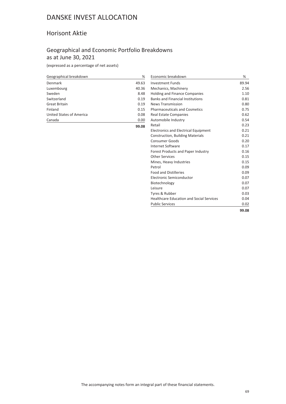### Horisont Aktie

### Geographical and Economic Portfolio Breakdowns as at June 30, 2021

| Geographical breakdown          | %     |
|---------------------------------|-------|
| Denmark                         | 49.63 |
| Luxembourg                      | 40.36 |
| Sweden                          | 8.48  |
| Switzerland                     | 0.19  |
| Great Britain                   | 0.19  |
| Finland                         | 0.15  |
| <b>United States of America</b> | 0.08  |
| Canada                          | 0.00  |
|                                 | 99.08 |

| Economic breakdown                              | %     |
|-------------------------------------------------|-------|
| <b>Investment Funds</b>                         | 89.94 |
| Mechanics, Machinery                            | 2.56  |
| <b>Holding and Finance Companies</b>            | 1.10  |
| <b>Banks and Financial Institutions</b>         | 0.81  |
| <b>News Transmission</b>                        | 0.80  |
| <b>Pharmaceuticals and Cosmetics</b>            | 0.75  |
| <b>Real Estate Companies</b>                    | 0.62  |
| Automobile Industry                             | 0.54  |
| Retail                                          | 0.23  |
| <b>Electronics and Electrical Equipment</b>     | 0.21  |
| <b>Construction, Building Materials</b>         | 0.21  |
| <b>Consumer Goods</b>                           | 0.20  |
| <b>Internet Software</b>                        | 0.17  |
| Forest Products and Paper Industry              | 0.16  |
| <b>Other Services</b>                           | 0.15  |
| Mines, Heavy Industries                         | 0.15  |
| Petrol                                          | 0.09  |
| <b>Food and Distilleries</b>                    | 0.09  |
| Electronic Semiconductor                        | 0.07  |
| Biotechnology                                   | 0.07  |
| Leisure                                         | 0.07  |
| Tyres & Rubber                                  | 0.03  |
| <b>Healthcare Education and Social Services</b> | 0.04  |
| <b>Public Services</b>                          | 0.02  |
|                                                 | 99.08 |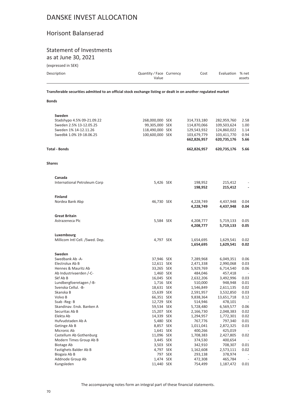#### Horisont Balanserad

## Statement of Investments

as at June 30, 2021

(expressed in SEK)

| Description | Quantity/Face Currency<br>Value | Cost | Evaluation % net | assets |
|-------------|---------------------------------|------|------------------|--------|
|             |                                 |      |                  |        |

**Transferable securities admitted to an official stock exchange listing or dealt in on another regulated market**

**Bonds**

| Sweden                                           |                        |         |                            |                            |                |
|--------------------------------------------------|------------------------|---------|----------------------------|----------------------------|----------------|
| Stadshypo 4.5% 09-21.09.22                       | 268,000,000 SEK        |         | 314,733,180<br>114,870,066 | 282,959,760                | 2.58           |
| Sweden 2.5% 13-12.05.25                          | 99,305,000 SEK         |         |                            | 109,503,624                | 1.00           |
| Sweden 1% 14-12.11.26<br>Swedbk 1.0% 19-18.06.25 | 118,490,000 SEK        |         | 129,543,932                | 124,860,022                | 1.14<br>0.94   |
|                                                  | 100,600,000 SEK        |         | 103,679,779<br>662,826,957 | 103,411,770<br>620,735,176 | 5.66           |
| <b>Total - Bonds</b>                             |                        |         | 662,826,957                | 620,735,176                | 5.66           |
| <b>Shares</b>                                    |                        |         |                            |                            |                |
| Canada                                           |                        |         |                            |                            |                |
| International Petroleum Corp                     | 5,426 SEK              |         | 198,952<br>198,952         | 215,412<br>215,412         |                |
| <b>Finland</b>                                   |                        |         |                            |                            |                |
| Nordea Bank Abp                                  | 46,730 SEK             |         | 4,228,749<br>4,228,749     | 4,437,948<br>4,437,948     | 0.04<br>0.04   |
| <b>Great Britain</b>                             |                        |         |                            |                            |                |
| Astrazeneca Plc                                  | 5,584 SEK              |         | 4,208,777<br>4,208,777     | 5,719,133<br>5,719,133     | 0.05<br>0.05   |
| Luxembourg                                       |                        |         |                            |                            |                |
| Millicom Intl Cell. /Swed. Dep.                  | 4,797 SEK              |         | 1,654,695                  | 1,629,541                  | 0.02           |
|                                                  |                        |         | 1,654,695                  | 1,629,541                  | 0.02           |
| Sweden                                           |                        |         |                            |                            |                |
| Swedbank Ab -A-                                  | 37,946 SEK             |         | 7,289,968                  | 6,049,351                  | 0.06           |
| Electrolux Ab B                                  | 12,611 SEK             |         | 2,471,338                  | 2,990,068                  | 0.03           |
| Hennes & Mauritz Ab                              | 33,265 SEK             |         | 5,929,769                  | 6,714,540                  | 0.06           |
| Ab Industrivaerden /-C-                          | 1,460 SEK              |         | 484,046                    | 457,418                    | $\overline{a}$ |
| Skf Ab B                                         | 16,045 SEK             |         | 2,632,206                  | 3,492,996                  | 0.03           |
| Lundbergfoeretagen /-B-                          | 1,716 SEK              |         | 510,000                    | 948,948                    | 0.01           |
| Svenska Cellul. - B-                             | 18,631 SEK             |         | 1,546,849                  | 2,611,135                  | 0.02           |
| Skanska B                                        | 15,639 SEK             |         | 2,591,957                  | 3,532,850                  | 0.03           |
| Volvo B                                          | 66,351 SEK             |         | 9,838,364                  | 13,651,718                 | 0.12           |
| Ssab-Reg-B                                       | 12,729 SEK             |         | 514,946                    | 478,101                    | $\overline{a}$ |
| Skandinav. Ensk. Banken A                        | 59,534 SEK             |         | 5,728,480                  | 6,569,577                  | 0.06           |
| Securitas Ab B                                   | 15,207 SEK             |         | 2,166,730                  | 2,048,383                  | 0.02           |
| Elekta Ab<br>Hufvudstaden Ab A                   | 14,339 SEK             |         | 1,294,957<br>767,776       | 1,772,301                  | 0.02           |
| Getinge Ab B                                     | 5,480 SEK<br>8,857 SEK |         | 1,011,041                  | 797,340<br>2,872,325       | 0.01<br>0.03   |
| Micronic Ab                                      | 1,641 SEK              |         | 400,266                    | 425,019                    |                |
| Castellum Ab Gothenburg                          | 11,096 SEK             |         | 1,708,383                  | 2,427,805                  | 0.02           |
| Modern Times Group Ab B                          | 3,445 SEK              |         | 374,530                    | 400,654                    |                |
| <b>Biotage Ab</b>                                | 3,503 SEK              |         | 342,910                    | 708,307                    | 0.01           |
| Fastighets Balder Ab B                           | 4,797 SEK              |         | 1,162,608                  | 2,573,111                  | 0.02           |
| Biogaia Ab B                                     |                        | 797 SEK | 293,138                    | 378,974                    |                |
| Addnode Group Ab                                 | 1,474 SEK              |         | 472,308                    | 465,784                    | $\sim$         |
| Kungsleden                                       | 11,440 SEK             |         | 754,499                    | 1,187,472                  | 0.01           |
|                                                  |                        |         |                            |                            |                |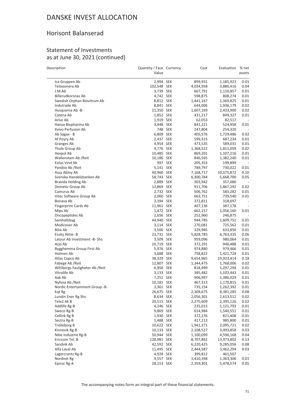### Horisont Balanserad

#### Statement of Investments as at June 30, 2021 (continued)

| Description                                     | Quantity / Face Currency<br>Value |         | Cost               | Evaluation             | % net<br>assets          |
|-------------------------------------------------|-----------------------------------|---------|--------------------|------------------------|--------------------------|
| Ica Gruppen Ab                                  | 2,994 SEK                         |         | 899,931            | 1,185,923              | 0.01                     |
| Teliasonera Ab                                  | 102,548 SEK                       |         | 4,034,958          | 3,880,416              | 0.04                     |
| J.M.Ab                                          | 3,739 SEK                         |         | 667,791            | 1,110,857              | 0.01                     |
| <b>Billerudkorsnas Ab</b>                       | 4,742 SEK                         |         | 598,875            | 808,274                | 0.01                     |
| Swedish Orphan Biovitrum Ab                     | 8,812 SEK                         |         | 1,441,167          | 1,369,825              | 0.01                     |
| Indutrade Ab                                    | 8,841 SEK                         |         | 644,006            | 1,936,179              | 0.02                     |
| Husqvarna Ab -B-                                | 21,350 SEK                        |         | 1,607,169          | 2,433,900              | 0.02                     |
| Catena Ab                                       | 1,852 SEK                         |         | 431,217            | 849,327                | 0.01                     |
| Arise Ab                                        | 1,919 SEK                         |         | 62,053             | 82,517                 |                          |
| Hansa Biopharma Ab                              | 3,448 SEK                         |         | 841,221            | 524,958                | 0.01                     |
| Xvivo Perfusion Ab                              |                                   | 748 SEK | 247,804            | 254,320                |                          |
| Ab Sagax - B                                    | 6,809 SEK                         |         | 405,576            | 1,729,486              | 0.02                     |
| Af Poyry Ab                                     | 2,437 SEK                         |         | 599,315            | 687,234                | 0.01                     |
| Granges Ab                                      | 4,954 SEK                         |         | 473,535            | 589,031                | 0.01                     |
| Thule Group Ab                                  | 4,776 SEK                         |         | 1,368,522          | 1,811,059              | 0.02                     |
| Hexpol Ab                                       | 10,485 SEK                        |         | 869,201            | 1,107,216              | 0.01                     |
| Wallenstam Ab / Reit                            | 10,186 SEK                        |         | 846,565            | 1,382,240              | 0.01                     |
| Eolus Vind Ab                                   |                                   | 997 SEK | 205,353            | 199,899                |                          |
| Pandox Ab / Reit                                | 5,141 SEK                         |         | 789,797            | 730,022                | 0.01                     |
| Assa Abloy Ab                                   | 40,960 SEK                        |         | 7,168,717          | 10,575,872             | 0.10                     |
| Svenska Handelsbanken Ab                        | 58,743 SEK                        |         | 6,300,784          | 5,668,700              | 0.05                     |
| Bravida Holding Ab                              | 2,889 SEK                         |         | 303,942            | 357,080                | $\overline{\phantom{a}}$ |
| Dometic Group Ab                                | 12,869 SEK                        |         | 911,706            | 1,867,292              | 0.02                     |
| Camurus Ab                                      | 2,732 SEK                         |         | 506,762            | 583,282                | 0.01                     |
| Vitec Software Group Ab                         | 2,060 SEK                         |         | 663,751            | 739,540                | 0.01                     |
| Bonava Ab                                       | 3,394 SEK                         |         | 372,811            | 318,697                |                          |
| <b>Fingerprint Cards Ab</b>                     | 11,961 SEK                        |         | 407,136            | 387,178                | $\overline{\phantom{a}}$ |
| Mips Ab                                         | 1,472 SEK                         |         | 662,157            | 1,056,160              | 0.01                     |
| Oncopeptides Ab                                 | 2,656 SEK                         |         | 252,960            | 246,875                | $\sim$                   |
| Samhallsbyg                                     | 44,940 SEK                        |         | 944,785            | 1,609,751              | 0.01                     |
| Medicover Ab                                    | 3,114 SEK                         |         | 270,081            | 725,562                | 0.01                     |
| Bilia Ab                                        | 3,500 SEK                         |         | 329,985            | 633,850                | 0.01                     |
| Essity Aktie- B                                 | 23,731 SEK                        |         | 5,828,785          | 6,763,335              | 0.06                     |
| Latour Ab Investment -B- Shs                    | 3,509 SEK                         |         | 959,096            | 980,064                | 0.01                     |
| Arjo Ab                                         | 10,719 SEK                        |         | 372,291            | 946,488                | 0.01                     |
| Bygghemma Group First Ab                        | 5,976 SEK                         |         | 974,880            | 979,466                | 0.01                     |
| Holmen Ab                                       | 3,688 SEK                         |         | 758,822            | 1,421,724              | 0.01                     |
| Atlas Copco Ab                                  | 38,329 SEK                        |         | 9,654,965          | 19,923,414             | 0.18                     |
| Fabege Ab / Reit                                | 12,807 SEK                        |         | 1,344,475          | 1,768,006              | 0.02                     |
| Wihlborgs Fastigheter Ab / Reit<br>Vitrolife Ab | 6,956 SEK                         |         | 818,499            | 1,297,294              | 0.01                     |
| Aak Ab                                          | 3,133 SEK                         |         | 385,482            | 1,103,443              | 0.01                     |
| Nyfosa Ab / Reit                                | 7,251 SEK<br>10,181 SEK           |         | 906,997<br>467,313 | 1,386,029<br>1,170,815 | 0.01<br>$0.01\,$         |
| Nordic Entertainment Group -B-                  | 3,361 SEK                         |         | 735,154            | 1,262,392              | 0.01                     |
| Eqt Rg                                          | 26,675 SEK                        |         | 2,309,675          | 8,381,285              | 0.08                     |
| Lundin Ener Rg Shs                              | 8,634 SEK                         |         | 2,056,301          | 2,613,512              | 0.02                     |
| Tele2 Ak B                                      | 20,515 SEK                        |         | 2,275,609          | 2,395,126              | 0.02                     |
| Addlife Rg-B                                    | 4,246 SEK                         |         | 235,013            | 1,121,793              | 0.01                     |
| Sweco Rg-B                                      | 9,869 SEK                         |         | 614,984            | 1,540,551              | 0.01                     |
| Cellink Rg B                                    | 1,930 SEK                         |         | 372,276            | 821,408                | 0.01                     |
| Sectra Rg-B                                     | 1,488 SEK                         |         | 417,213            | 985,800                | 0.01                     |
| Trelleborg B                                    | 10,622 SEK                        |         | 1,941,371          | 2,095,721              | 0.02                     |
| Kinnevik Rg-B                                   | 10,133 SEK                        |         | 2,108,527          | 3,493,858              | 0.03                     |
| Nibe Industrie Rg-B                             | 50,944 SEK                        |         | 1,100,099          | 4,596,168              | 0.04                     |
| Ericsson Tel. B                                 | 128,981 SEK                       |         | 8,707,862          | 13,973,802             | 0.13                     |
| Sandvik Ab                                      | 42,592 SEK                        |         | 6,220,425          | 9,285,056              | 0.08                     |
| Alfa Laval Ab                                   | 11,495 SEK                        |         | 2,444,587          | 3,462,294              | 0.03                     |
| Lagercrantz Rg-B                                | 4,928 SEK                         |         | 399,812            | 461,507                |                          |
| Nordnet Rg                                      | 9,557 SEK                         |         | 1,410,398          | 1,363,306              | 0.01                     |
| Epiroc Rg-A                                     | 28,153 SEK                        |         | 2,359,301          | 5,478,574              | 0.05                     |

The accompanying notes form an integral part of these financial statements.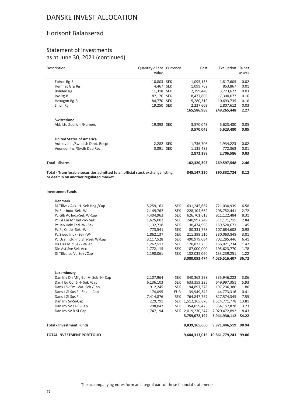### Horisont Balanserad

#### Statement of Investments as at June 30, 2021 (continued)

| Description                                                                                                               | Quantity / Face Currency<br>Value |             | Cost                         | Evaluation                         | % net<br>assets |
|---------------------------------------------------------------------------------------------------------------------------|-----------------------------------|-------------|------------------------------|------------------------------------|-----------------|
| Epiroc Rg-B                                                                                                               | 10,803 SEK                        |             | 1,095,136                    | 1,817,605                          | 0.02            |
| Hemnet Grp Rg                                                                                                             | 4,467 SEK                         |             | 1,099,762                    | 853,867                            | 0.01            |
| Boliden Rg                                                                                                                | 11,318 SEK                        |             | 2,799,448                    | 3,723,622                          | 0.03            |
| Inv Rg-B                                                                                                                  | 87,176 SEK                        |             | 8,477,806                    | 17,300,077                         | 0.16            |
| Hexagon Rg-B                                                                                                              | 84,770 SEK                        |             | 5,280,319                    | 10,693,735                         | 0.10            |
| Sinch Rg                                                                                                                  | 19,250 SEK                        |             | 2,237,603                    | 2,807,612                          | 0.03            |
|                                                                                                                           |                                   |             | 165,586,988                  | 249,265,448                        | 2.27            |
| <b>Switzerland</b>                                                                                                        |                                   |             |                              |                                    |                 |
| Abb Ltd Zuerich /Namen.                                                                                                   | 19,398 SEK                        |             | 3,570,043                    | 5,623,480                          | 0.05            |
|                                                                                                                           |                                   |             | 3,570,043                    | 5,623,480                          | 0.05            |
| <b>United States of America</b>                                                                                           |                                   |             |                              |                                    |                 |
| Autoliv Inc /Swedish Dept. Recpt                                                                                          | 2,282 SEK                         |             | 1,736,706                    | 1,934,223                          | 0.02            |
| Veoneer Inc /Swdh Dep Rec                                                                                                 | 3,891 SEK                         |             | 1,135,483                    | 772,363                            | 0.01            |
|                                                                                                                           |                                   |             | 2,872,189                    | 2,706,586                          | 0.03            |
| <b>Total - Shares</b>                                                                                                     |                                   |             | 182,320,393                  | 269,597,548                        | 2.46            |
| Total - Transferable securities admitted to an official stock exchange listing<br>or dealt in on another regulated market | 845,147,350                       | 890,332,724 | 8.12                         |                                    |                 |
| <b>Investment Funds</b>                                                                                                   |                                   |             |                              |                                    |                 |
| <b>Denmark</b>                                                                                                            |                                   |             |                              |                                    |                 |
| Di Tillvax Akk -H- Sek Hdg /Cap                                                                                           | 5,259,161                         | SEK         | 631,245,667                  | 721,030,939                        | 6.58            |
| Pc Eur Indx -Sek -W-                                                                                                      | 2,149,762                         | <b>SEK</b>  | 228,104,682                  | 298,752,441                        | 2.72            |
| Pc Glb Ac Indx-Sek W-Cap                                                                                                  | 4,404,963                         | SEK         | 626,701,613                  | 911,122,484                        | 8.31            |
| Pc GI Em Mr Ind -W- Sek                                                                                                   | 1,625,002                         | SEK         | 240,997,249                  | 311, 171, 715                      | 2.84            |
| Pc Jap Indx Fnd -W- Sek                                                                                                   | 1,132,718                         | <b>SEK</b>  | 130,474,998                  | 159,520,671                        | 1.45            |
| Pc Pc Cn Jp -Sek -W-                                                                                                      | 773,541                           | SEK         | 80,331,778                   | 107,684,608                        | 0.98            |
| Pc Swed Indx -Sek -W-                                                                                                     | 1,862,137                         | SEK         | 211,399,510                  | 330,063,848                        | 3.01            |
| Pc Usa Indx Fnd Shs-Sek W-Cap                                                                                             | 3,117,528                         | <b>SEK</b>  | 490,979,684                  | 702,285,446                        | 6.41            |
| Da Usa Mid Sek - W - Ac                                                                                                   | 1,262,512                         | SEK         | 120,823,233                  | 156,021,234                        | 1.42            |
| Die Ast Sve Sek-Acc                                                                                                       | 1,772,115                         | SEK         | 187,000,000                  | 195,623,770                        | 1.78            |
| Di Tillva Lo Va Sek / Cap                                                                                                 | 1,190,061                         | <b>SEK</b>  | 132,035,060<br>3,080,093,474 | 133,239,251<br>4,026,516,407       | 1.22<br>36.72   |
|                                                                                                                           |                                   |             |                              |                                    |                 |
| Luxembourg                                                                                                                |                                   |             |                              |                                    |                 |
| Dan Inv Dn Mtg Bd -A- Sek -H- Cap                                                                                         | 2,107,964                         | <b>SEK</b>  | 340,362,598                  | 335,946,222                        | 3.06            |
| Dan I Eu Cor S -I- Sek /Cap                                                                                               | 6,136,103                         | <b>SEK</b>  | 633,359,225                  | 649,997,351                        | 5.93            |
| Dans I Sv Sm -Wa- Sek /Cap                                                                                                | 912,245                           | SEK         | 94,897,378                   | 197,236,380                        | 1.80            |
| Dans I GI Sus F - Shs -I- Cap                                                                                             | 174,095                           | EUR         | 39,949,342                   | 44,773,316                         | 0.41            |
| Dans I GI Sus F Ic                                                                                                        | 7,414,876                         | SEK         | 764,847,757                  | 827,574,345                        | 7.55            |
| Dan Inv Sv-Si-Cap                                                                                                         | 229,791                           |             | SEK 1,512,365,870            | 1,514,771,778                      | 13.81           |
| Dan Inv Sv Kr-Si-Cap                                                                                                      | 298,042                           | <b>SEK</b>  | 354,059,475                  | 354,157,828                        | 3.23            |
| Dan Inv Sv R-Si-Cap                                                                                                       | 1,747,194                         |             | SEK 2,019,230,547            | 2,020,472,892                      | 18.43           |
|                                                                                                                           |                                   |             | 5,759,072,192                | 5,944,930,112                      | 54.22           |
| <b>Total - Investment Funds</b>                                                                                           |                                   |             | 8,839,165,666                | 9,971,446,519                      | 90.94           |
| TOTAL INVESTMENT PORTFOLIO                                                                                                |                                   |             |                              | 9,684,313,016 10,861,779,243 99.06 |                 |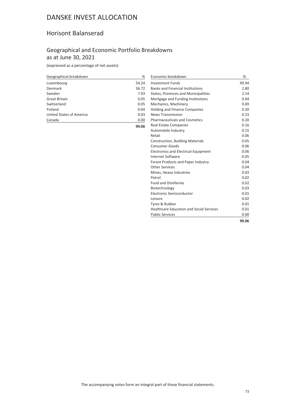## Horisont Balanserad

## Geographical and Economic Portfolio Breakdowns as at June 30, 2021

(expressed as a percentage of net assets)

| Geographical breakdown   | %     |
|--------------------------|-------|
| Luxembourg               | 54.24 |
| Denmark                  | 36.72 |
| Sweden                   | 7.93  |
| <b>Great Britain</b>     | 0.05  |
| Switzerland              | 0.05  |
| Finland                  | 0.04  |
| United States of America | 0.03  |
| Canada                   | 0.00  |
|                          | 99.06 |

| Economic breakdown                              | ℅     |
|-------------------------------------------------|-------|
| <b>Investment Funds</b>                         | 90.94 |
| <b>Banks and Financial Institutions</b>         | 2.80  |
| States, Provinces and Municipalities            | 2.14  |
| Mortgage and Funding Institutions               | 0.94  |
| Mechanics, Machinery                            | 0.69  |
| <b>Holding and Finance Companies</b>            | 0.30  |
| <b>News Transmission</b>                        | 0.23  |
| <b>Pharmaceuticals and Cosmetics</b>            | 0.20  |
| <b>Real Estate Companies</b>                    | 0.16  |
| Automobile Industry                             | 0.15  |
| Retail                                          | 0.06  |
| <b>Construction, Building Materials</b>         | 0.05  |
| <b>Consumer Goods</b>                           | 0.06  |
| <b>Electronics and Electrical Equipment</b>     | 0.06  |
| Internet Software                               | 0.05  |
| Forest Products and Paper Industry              | 0.04  |
| Other Services                                  | 0.04  |
| Mines, Heavy Industries                         | 0.03  |
| Petrol                                          | 0.02  |
| <b>Food and Distilleries</b>                    | 0.02  |
| Biotechnology                                   | 0.03  |
| Electronic Semiconductor                        | 0.01  |
| Leisure                                         | 0.02  |
| Tyres & Rubber                                  | 0.01  |
| <b>Healthcare Education and Social Services</b> | 0.01  |
| <b>Public Services</b>                          | 0.00  |
|                                                 | 99.06 |

The accompanying notes form an integral part of these financial statements.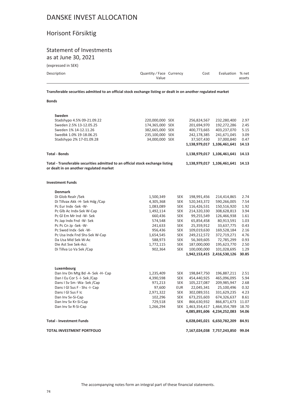## Horisont Försiktig

## Statement of Investments as at June 30, 2021

(expressed in SEK)

| Description | Quantity/Face Currency<br>Value | Cost | Evaluation % net | assets |
|-------------|---------------------------------|------|------------------|--------|
|             |                                 |      |                  |        |

**Transferable securities admitted to an official stock exchange listing or dealt in on another regulated market**

### **Bonds**

| Sweden                                                                                                                    |                 |            |               |                             |       |
|---------------------------------------------------------------------------------------------------------------------------|-----------------|------------|---------------|-----------------------------|-------|
| Stadshypo 4.5% 09-21.09.22                                                                                                | 220,000,000 SEK |            | 256,824,567   | 232,280,400                 | 2.97  |
| Sweden 2.5% 13-12.05.25                                                                                                   | 174,365,000 SEK |            | 201,694,970   | 192,272,286                 | 2.45  |
| Sweden 1% 14-12.11.26                                                                                                     | 382,665,000 SEK |            | 400,773,665   | 403,237,070                 | 5.15  |
| Swedbk 1.0% 19-18.06.25                                                                                                   | 235,100,000 SEK |            | 242,178,385   | 241,671,045                 | 3.09  |
| Stadshypo 2% 17-01.09.28                                                                                                  | 34,000,000 SEK  |            | 37,507,430    | 37,000,840                  | 0.47  |
|                                                                                                                           |                 |            | 1,138,979,017 | 1,106,461,641               | 14.13 |
| Total - Bonds                                                                                                             |                 |            |               | 1,138,979,017 1,106,461,641 | 14.13 |
| Total - Transferable securities admitted to an official stock exchange listing<br>or dealt in on another regulated market |                 |            |               | 1,138,979,017 1,106,461,641 | 14.13 |
| Investment Funds                                                                                                          |                 |            |               |                             |       |
| <b>Denmark</b>                                                                                                            |                 |            |               |                             |       |
| Di Glob Realr /Sek                                                                                                        |                 |            |               |                             |       |
|                                                                                                                           | 1,500,349       | <b>SEK</b> | 198,991,456   | 214,414,865                 | 2.74  |
| Di Tillvax Akk -H- Sek Hdg /Cap                                                                                           | 4,305,368       | <b>SEK</b> | 520,343,372   | 590,266,005                 | 7.54  |
| Pc Eur Indx -Sek -W-                                                                                                      | 1,083,089       | <b>SEK</b> | 116,426,531   | 150,516,920                 | 1.92  |
| Pc Glb Ac Indx-Sek W-Cap                                                                                                  | 1,492,114       | <b>SEK</b> | 214,320,330   | 308,628,813                 | 3.94  |
| Pc GI Em Mr Ind -W- Sek                                                                                                   | 660,436         | <b>SEK</b> | 99,255,549    | 126,466,938                 | 1.61  |

|                               |           |            |             | 1,942,153,415 2,416,530,126 30.85 |      |
|-------------------------------|-----------|------------|-------------|-----------------------------------|------|
| Di Tillva Lo Va Sek /Cap      | 902.364   | <b>SEK</b> | 100.000.000 | 101.028.695                       | 1.29 |
| Die Ast Sve Sek-Acc           | 1,772,115 | <b>SEK</b> | 187.000.000 | 195.623.770                       | 2.50 |
| Da Usa Mid Sek-W-Ac           | 588,973   | <b>SEK</b> | 56,369,605  | 72,785,299                        | 0.93 |
| Pc Usa Indx Fnd Shs-Sek W-Cap | 1,654,545 | <b>SEK</b> | 249.212.572 | 372.719.271                       | 4.76 |
| Pc Swed Indx -Sek -W-         | 956,436   | <b>SEK</b> | 109,019,630 | 169,528,184                       | 2.16 |
| Pc Pc Cn Jp -Sek -W-          | 241,633   | <b>SEK</b> | 25.359.912  | 33.637.775                        | 0.43 |
| Pc Jap Indx Fnd -W- Sek       | 574,548   | <b>SEK</b> | 65.854.458  | 80.913.591                        | 1.03 |
|                               |           |            |             |                                   |      |

| Luxembourg                        |           |            |                   |                             |       |
|-----------------------------------|-----------|------------|-------------------|-----------------------------|-------|
| Dan Inv Dn Mtg Bd -A- Sek -H- Cap | 1,235,409 | <b>SEK</b> | 198.847.750       | 196.887.211                 | 2.51  |
| Dan I Eu Cor S -I- Sek /Cap       | 4,390,598 | <b>SEK</b> | 454.440.925       | 465.096.095                 | 5.94  |
| Dans I Sv Sm - Wa- Sek / Cap      | 971,213   | <b>SEK</b> | 105,227,087       | 209,985,947                 | 2.68  |
| Dans I GI Sus F - Shs -I- Cap     | 97.600    | <b>EUR</b> | 22,045,341        | 25.100.496                  | 0.32  |
| Dans I GI Sus F Ic                | 2,971,322 | <b>SEK</b> | 302,089,551       | 331,629,235                 | 4.23  |
| Dan Inv Sv-Si-Cap                 | 102.296   | <b>SEK</b> | 673.255.603       | 674.326.637                 | 8.61  |
| Dan Inv Sv Kr-Si-Cap              | 729.518   | <b>SEK</b> | 866,630,932       | 866,871,673                 | 11.07 |
| Dan Inv Sv R-Si-Cap               | 1,266,294 |            | SEK 1.463.354.417 | 1.464.354.789               | 18.70 |
|                                   |           |            |                   | 4,085,891,606 4,234,252,083 | 54.06 |
| <b>Total - Investment Funds</b>   |           |            |                   | 6,028,045,021 6,650,782,209 | 84.91 |
| <b>TOTAL INVESTMENT PORTFOLIO</b> |           |            |                   | 7.167.024.038 7.757.243.850 | 99.04 |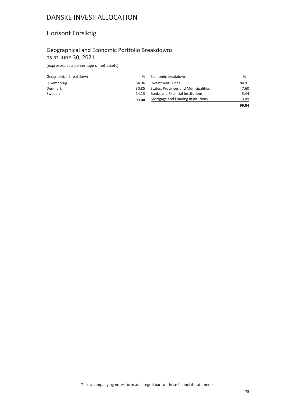## Horisont Försiktig

## Geographical and Economic Portfolio Breakdowns as at June 30, 2021

(expressed as a percentage of net assets)

| Geographical breakdown | ℅     |
|------------------------|-------|
| Luxembourg             | 54.06 |
| Denmark                | 30.85 |
| Sweden                 | 14.13 |
|                        | 99.04 |

| Economic breakdown                      | ℅     |
|-----------------------------------------|-------|
| <b>Investment Funds</b>                 | 84.91 |
| States, Provinces and Municipalities    | 7.60  |
| <b>Banks and Financial Institutions</b> | 3.44  |
| Mortgage and Funding Institutions       | 3.09  |
|                                         |       |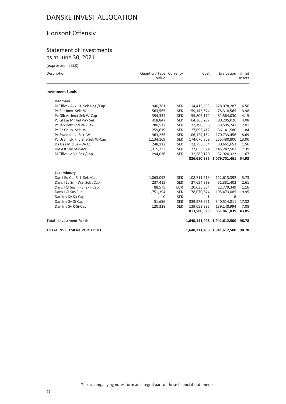## Horisont Offensiv

## Statement of Investments as at June 30, 2021

(expressed in SEK)

| Description                       | Quantity / Face Currency<br>Value |            | Cost         | Evaluation                        | % net<br>assets |
|-----------------------------------|-----------------------------------|------------|--------------|-----------------------------------|-----------------|
| <b>Investment Funds</b>           |                                   |            |              |                                   |                 |
| <b>Denmark</b>                    |                                   |            |              |                                   |                 |
| Di Tillvax Akk -H- Sek Hdg /Cap   | 940,761                           | <b>SEK</b> | 114,415,663  | 128,978,287                       | 6.56            |
| Pc Eur Indx -Sek -W-              | 563,565                           | <b>SEK</b> | 59,145,574   | 78,318,565                        | 3.98            |
| Pc Glb Ac Indx-Sek W-Cap          | 394,334                           | <b>SEK</b> | 55,807,112   | 81,564,030                        | 4.15            |
| Pc GI Em Mr Ind -W- Sek           | 418,847                           | <b>SEK</b> | 64,363,207   | 80,205,026                        | 4.08            |
| Pc Jap Indx Fnd -W- Sek           | 280,517                           | <b>SEK</b> | 32,190,396   | 39,505,241                        | 2.01            |
| Pc Pc Cn Jp -Sek -W-              | 259,619                           | <b>SEK</b> | 27,093,412   | 36,141,580                        | 1.84            |
| Pc Swed Indx -Sek -W-             | 963,235                           | <b>SEK</b> | 106,124,154  | 170,733,456                       | 8.69            |
| Pc Usa Indx Fnd Shs-Sek W-Cap     | 1,134,109                         | <b>SEK</b> | 174,076,869  | 255,480,800                       | 13.00           |
| Da Usa Mid Sek-W-Ac               | 248,112                           | <b>SEK</b> | 23,753,854   | 30,661,653                        | 1.56            |
| Die Ast Sve Sek-Acc               | 1,315,722                         | <b>SEK</b> | 137,055,524  | 145,242,501                       | 7.39            |
| Di Tillva Lo Va Sek /Cap          | 294,036                           | <b>SEK</b> | 32,585,120   | 32,920,322                        | 1.67            |
|                                   |                                   |            |              | 826,610,885 1,079,751,461         | 54.93           |
| Luxembourg                        |                                   |            |              |                                   |                 |
| Dan I Eu Cor S -I- Sek /Cap       | 1,063,092                         | <b>SEK</b> | 108,711,719  | 112,613,392                       | 5.73            |
| Dans I Sv Sm - Wa- Sek / Cap      | 237,415                           | <b>SEK</b> | 27,654,839   | 51,331,402                        | 2.61            |
| Dans I GI Sus F - Shs -I- Cap     | 88,575                            | <b>EUR</b> | 20,035,384   | 22,779,349                        | 1.16            |
| Dans I GI Sus F Ic                | 1,751,394                         | <b>SEK</b> | 178,070,674  | 195,473,085                       | 9.95            |
| Dan Inv Sv-Sa-Cap                 | $\mathbf 0$                       | <b>SEK</b> | $\mathbf{1}$ | 6                                 |                 |
| Dan Inv Sv-Si-Cap                 | 51,656                            | <b>SEK</b> | 339,973,971  | 340,514,811                       | 17.32           |
| Dan Inv Sv R-Si-Cap               | 120,328                           | <b>SEK</b> | 139,053,935  | 139,148,994                       | 7.08            |
|                                   |                                   |            | 813,500,523  | 861,861,039                       | 43.85           |
| <b>Total - Investment Funds</b>   |                                   |            |              | 1,640,111,408 1,941,612,500       | 98.78           |
| <b>TOTAL INVESTMENT PORTFOLIO</b> |                                   |            |              | 1,640,111,408 1,941,612,500 98.78 |                 |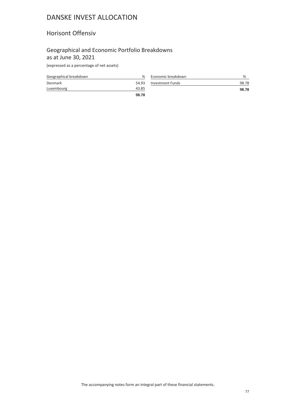## Horisont Offensiv

## Geographical and Economic Portfolio Breakdowns as at June 30, 2021

(expressed as a percentage of net assets)

| Geographical breakdown | %     | Econon  |
|------------------------|-------|---------|
| Denmark                | 54.93 | Investn |
| Luxembourg             | 43.85 |         |
|                        | 98.78 |         |

| Economic breakdown      | %     |
|-------------------------|-------|
| <b>Investment Funds</b> | 98.78 |
|                         | 98.78 |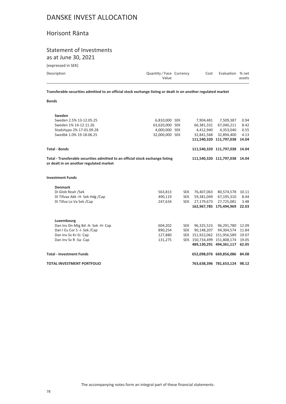## Horisont Ränta

# Statement of Investments

as at June 30, 2021

(expressed in SEK)

| Description | Quantity / Face Currency |  | Cost Evaluation % net |        |
|-------------|--------------------------|--|-----------------------|--------|
|             | Value                    |  |                       | assets |

**Transferable securities admitted to an official stock exchange listing or dealt in on another regulated market**

**Bonds**

| Sweden                                                                                                                    |                |            |            |                               |       |
|---------------------------------------------------------------------------------------------------------------------------|----------------|------------|------------|-------------------------------|-------|
| Sweden 2.5% 13-12.05.25                                                                                                   | 6,810,000 SEK  |            | 7,904,481  | 7,509,387                     | 0.94  |
| Sweden 1% 14-12.11.26                                                                                                     | 63,620,000 SEK |            | 66,381,331 | 67,040,211                    | 8.42  |
| Stadshypo 2% 17-01.09.28                                                                                                  | 4,000,000 SEK  |            |            | 4,412,940 4,353,040           | 0.55  |
| Swedbk 1.0% 19-18.06.25                                                                                                   | 32.000.000 SEK |            | 32,841,568 | 32,894,400                    | 4.13  |
|                                                                                                                           |                |            |            | 111,540,320 111,797,038       | 14.04 |
| <b>Total - Bonds</b>                                                                                                      |                |            |            | 111,540,320 111,797,038 14.04 |       |
| Total - Transferable securities admitted to an official stock exchange listing<br>or dealt in on another regulated market |                |            |            | 111,540,320 111,797,038 14.04 |       |
| <b>Investment Funds</b>                                                                                                   |                |            |            |                               |       |
| <b>Denmark</b>                                                                                                            |                |            |            |                               |       |
| Di Glob Realr /Sek                                                                                                        | 563,813        | <b>SEK</b> | 76,407,063 | 80,574,578                    | 10.11 |
| Di Tillvax Akk -H- Sek Hdg /Cap                                                                                           | 490,119        | <b>SEK</b> |            | 59,381,049 67,195,310         | 8.44  |
| Di Tillva Lo Va Sek /Cap                                                                                                  | 247,634        | <b>SEK</b> | 27,179,673 | 27,725,081                    | 3.48  |
|                                                                                                                           |                |            |            | 162,967,785 175,494,969       | 22.03 |
| Luxembourg                                                                                                                |                |            |            |                               |       |
| Dan Inv Dn Mtg Bd -A- Sek -H- Cap                                                                                         | 604,202        | <b>SEK</b> |            | 96,325,523 96,291,780         | 12.09 |
| Dan I Eu Cor S -I- Sek /Cap                                                                                               | 890,254        | <b>SEK</b> |            | 90,148,207 94,304,574         | 11.84 |
| Dan Inv Sv Kr-Si- Cap                                                                                                     | 127,880        |            |            | SEK 151,922,062 151,956,589   | 19.07 |
| Dan Inv Sv R -Sa- Cap                                                                                                     | 131,275        |            |            | SEK 150,734,499 151,808,174   | 19.05 |
|                                                                                                                           |                |            |            | 489.130.291 494.361.117 62.05 |       |
| <b>Total - Investment Funds</b>                                                                                           |                |            |            | 652,098,076 669,856,086 84.08 |       |
| <b>TOTAL INVESTMENT PORTFOLIO</b>                                                                                         |                |            |            | 763,638,396 781,653,124 98.12 |       |
|                                                                                                                           |                |            |            |                               |       |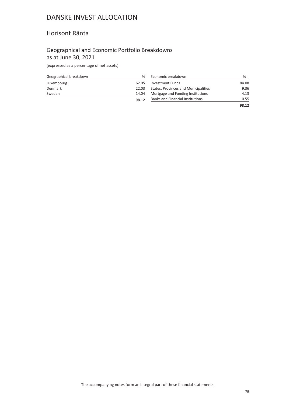## Horisont Ränta

## Geographical and Economic Portfolio Breakdowns as at June 30, 2021

(expressed as a percentage of net assets)

| Geographical breakdown | %     |
|------------------------|-------|
| Luxembourg             | 62.05 |
| Denmark                | 22.03 |
| Sweden                 | 14.04 |
|                        | 98.12 |

| Economic breakdown                      | ℅     |
|-----------------------------------------|-------|
| <b>Investment Funds</b>                 | 84.08 |
| States, Provinces and Municipalities    | 9.36  |
| Mortgage and Funding Institutions       | 4.13  |
| <b>Banks and Financial Institutions</b> | 0.55  |
|                                         |       |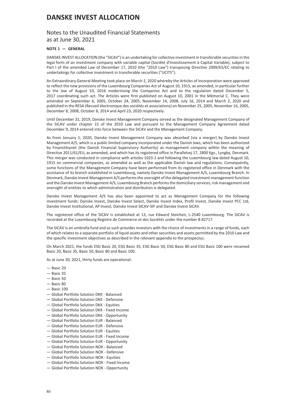### Notes to the Unaudited Financial Statements as at June 30, 2021

### **NOTE 1 — GENERAL**

DANSKE INVEST ALLOCATION (the "SICAV") is an undertaking for collective investment in transferable securities in the legal form of an investment company with variable capital (Société d'Investissement à Capital Variable), subject to Part I of the amended Law of December 17, 2010 (the "2010 Law") transposing Directive 2009/65/EC relating to undertakings for collective investment in transferable securities ("UCITS").

An Extraordinary General Meeting took place on March 2, 2020 whereby the Articles of Incorporation were approved to reflect the new provisions of the Luxembourg Companies Act of August 10, 1915, as amended, in particular further to the law of August 10, 2016 modernising the Companies Act and to the regulation dated December 5, 2017 coordinating such act. The Articles were first published on August 10, 2001 in the Mémorial C. They were amended on September 6, 2005, October 24, 2005, November 14, 2008, July 16, 2014 and March 2, 2020 and published in the RESA (Recueil électronique des sociétés et associations) on November 25, 2005, November 16, 2005, December 8, 2008, October 8, 2014 and April 23, 2020 respectively.

Until December 31, 2019, Danske Invest Management Company served as the designated Management Company of the SICAV under chapter 15 of the 2010 Law and pursuant to the Management Company Agreement dated December 9, 2014 entered into force between the SICAV and the Management Company.

As from January 1, 2020, Danske Invest Management Company was absorbed (via a merger) by Danske Invest Management A/S, which is a public limited company incorporated under the Danish laws, which has been authorized by Finanstilsynet (the Danish Financial Supervisory Authority) as management company within the meaning of Directive 2011/61/EU, as amended, and which has its registered office in Parallelvej 17, 2800 Kgs., Lyngby, Denmark. This merger was conducted in compliance with articles 1023-1 and following the Luxembourg law dated August 10, 1915 on commercial companies, as amended as well as the applicable Danish law and regulations. Consequently, some functions of the Management Company have been performed from its registered office in Denmark with the assistance of its branch established in Luxembourg, namely Danske Invest Management A/S, Luxembourg Branch. In Denmark, Danske Invest Management A/S performs the oversight of the delegated investment management function and the Danske Invest Management A/S, Luxembourg Branch performs the domiciliary services, risk management and oversight of entities to which administration and distribution is delegated.

Danske Invest Management A/S has also been appointed to act as Management Company for the following investment funds: Danske Invest, Danske Invest Select, Danske Invest Index, Profil Invest, Danske Invest PCC Ltd, Danske Invest Institutional, AP Invest, Danske Invest SICAV-SIF and Danske Invest SICAV.

The registered office of the SICAV is established at 13, rue Edward Steichen, L-2540 Luxembourg. The SICAV is recorded at the Luxembourg Registre de Commerce et des Sociétés under the number B 82717.

The SICAV is an umbrella fund and as such provides investors with the choice of investments in a range of funds, each of which relates to a separate portfolio of liquid assets and other securities and assets permitted by the 2010 Law and the specific investment objectives as described in the relevant appendix to the prospectus.

On March 2021, the funds ESG Basic 20, ESG Basic 35, ESG Basic 50, ESG Basic 80 and ESG Basic 100 were renamed Basic 20, Basic 35, Basic 50, Basic 80 and Basic 100.

As at June 30, 2021, thirty funds are operational:

- Basic 20
- Basic 35
- Basic 50
- Basic 80
- $-$  Basic 100
- Global Portfolio Solution DKK Balanced
- Global Portfolio Solution DKK Defensive
- Global Portfolio Solution DKK Equities
- Global Portfolio Solution DKK Fixed Income
- Global Portfolio Solution DKK Opportunity
- Global Portfolio Solution EUR Balanced
- Global Portfolio Solution EUR Defensive
- Global Portfolio Solution EUR Equities
- Global Portfolio Solution EUR Fixed Income
- Global Portfolio Solution EUR Opportunity
- Global Portfolio Solution NOK Balanced
- Global Portfolio Solution NOK Defensive
- Global Portfolio Solution NOK Equities
- Global Portfolio Solution NOK Fixed Income
- Global Portfolio Solution NOK Opportunity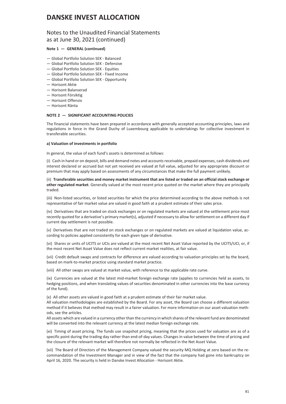### Notes to the Unaudited Financial Statements as at June 30, 2021 (continued)

### **Note 1 — GENERAL (continued)**

- Global Portfolio Solution SEK Balanced
- Global Portfolio Solution SEK Defensive
- Global Portfolio Solution SEK Equities
- Global Portfolio Solution SEK Fixed Income
- Global Portfolio Solution SEK Opportunity
- Horisont Aktie
- Horisont Balanserad
- Horisont Försiktig
- Horisont Offensiv
- Horisont Ränta

### **NOTE 2 — SIGNIFICANT ACCOUNTING POLICIES**

The financial statements have been prepared in accordance with generally accepted accounting principles, laws and regulations in force in the Grand Duchy of Luxembourg applicable to undertakings for collective investment in transferable securities.

#### **a) Valuation of investments in portfolio**

In general, the value of each fund's assets is determined as follows:

(i) Cash in hand or on deposit, bills and demand notes and accounts receivable, prepaid expenses, cash dividends and interest declared or accrued but not yet received are valued at full value, adjusted for any appropriate discount or premium that may apply based on assessments of any circumstances that make the full payment unlikely.

(ii) **Transferable securities and money market instrument that are listed or traded on an official stock exchange or other regulated market**. Generally valued at the most recent price quoted on the market where they are principally traded.

(iii) Non-listed securities, or listed securities for which the price determined according to the above methods is not representative of fair market value are valued in good faith at a prudent estimate of their sales price.

(iv) Derivatives that are traded on stock exchanges or on regulated markets are valued at the settlement price most recently quoted for a derivative's primary market(s), adjusted if necessary to allow for settlement on a different day if current day settlement is not possible.

(v) Derivatives that are not traded on stock exchanges or on regulated markets are valued at liquidation value, according to policies applied consistently for each given type of derivative.

(vi) Shares or units of UCITS or UCIs are valued at the most recent Net Asset Value reported by the UCITS/UCI, or, if the most recent Net Asset Value does not reflect current market realities, at fair value.

(vii) Credit default swaps and contracts for difference are valued according to valuation principles set by the board, based on mark-to-market practice using standard market practice.

(viii) All other swaps are valued at market value, with reference to the applicable rate curve.

(ix) Currencies are valued at the latest mid-market foreign exchange rate (applies to currencies held as assets, to hedging positions, and when translating values of securities denominated in other currencies into the base currency of the fund).

(x) All other assets are valued in good faith at a prudent estimate of their fair market value.

All valuation methodologies are established by the Board. For any asset, the Board can choose a different valuation method if it believes that method may result in a fairer valuation. For more information on our asset valuation methods, see the articles.

All assets which are valued in a currency other than the currency in which shares of the relevant fund are denominated will be converted into the relevant currency at the latest median foreign exchange rate.

(xi) Timing of asset pricing. The funds use snapshot pricing, meaning that the prices used for valuation are as of a specific point during the trading day rather than end-of-day values. Changes in value between the time of pricing and the closure of the relevant market will therefore not normally be reflected in the Net Asset Value.

(xii) The Board of Directors of the Management Company valued the security MQ Holding at zero based on the recommandation of the Investment Manager and in view of the fact that the company had gone into bankruptcy on April 16, 2020. The security is held in Danske Invest Allocation - Horisont Aktie.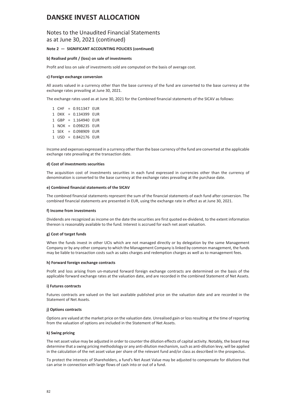### Notes to the Unaudited Financial Statements as at June 30, 2021 (continued)

### **Note 2 — SIGNIFICANT ACCOUNTING POLICIES (continued)**

#### **b) Realised profit / (loss) on sale of investments**

Profit and loss on sale of investments sold are computed on the basis of average cost.

#### **c) Foreign exchange conversion**

All assets valued in a currency other than the base currency of the fund are converted to the base currency at the exchange rates prevailing at June 30, 2021.

The exchange rates used as at June 30, 2021 for the Combined financial statements of the SICAV as follows:

1 CHF = 0.911347 EUR 1 DKK = 0.134399 EUR 1 GBP = 1.164940 EUR 1 NOK = 0.098235 EUR 1 SEK = 0.098909 EUR 1 USD = 0.842176 EUR

Income and expenses expressed in a currency other than the base currency of the fund are converted at the applicable exchange rate prevailing at the transaction date.

#### **d) Cost of investments securities**

The acquisition cost of investments securities in each fund expressed in currencies other than the currency of denomination is converted to the base currency at the exchange rates prevailing at the purchase date.

#### **e) Combined financial statements of the SICAV**

The combined financial statements represent the sum of the financial statements of each fund after conversion. The combined financial statements are presented in EUR, using the exchange rate in effect as at June 30, 2021.

#### **f) Income from investments**

Dividends are recognized as income on the date the securities are first quoted ex-dividend, to the extent information thereon is reasonably available to the fund. Interest is accrued for each net asset valuation.

#### **g) Cost of target funds**

When the funds invest in other UCIs which are not managed directly or by delegation by the same Management Company or by any other company to which the Management Company is linked by common management, the funds may be liable to transaction costs such as sales charges and redemption charges as well as to management fees.

#### **h) Forward foreign exchange contracts**

Profit and loss arising from un-matured forward foreign exchange contracts are determined on the basis of the applicable forward exchange rates at the valuation date, and are recorded in the combined Statement of Net Assets.

#### **i) Futures contracts**

Futures contracts are valued on the last available published price on the valuation date and are recorded in the Statement of Net Assets.

#### **j) Options contracts**

Options are valued at the market price on the valuation date. Unrealised gain or loss resulting at the time of reporting from the valuation of options are included in the Statement of Net Assets.

### **k) Swing pricing**

The net asset value may be adjusted in order to counter the dilution effects of capital activity. Notably, the board may determine that a swing pricing methodology or any anti-dilution mechanism, such as anti-dilution levy, will be applied in the calculation of the net asset value per share of the relevant fund and/or class as described in the prospectus.

To protect the interests of Shareholders, a fund's Net Asset Value may be adjusted to compensate for dilutions that can arise in connection with large flows of cash into or out of a fund.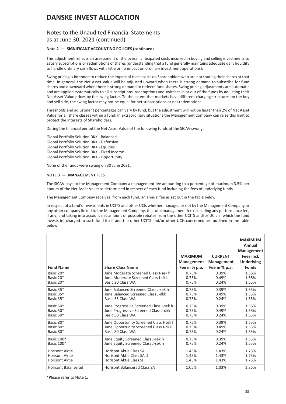### Notes to the Unaudited Financial Statements as at June 30, 2021 (continued)

### **Note 2 — SIGNIFICANT ACCOUNTING POLICIES (continued)**

This adjustment reflects an assessment of the overall anticipated costs incurred in buying and selling investments to satisfy subscriptions or redemptions of shares (understanding that a fund generally maintains adequate daily liquidity to handle ordinary cash flows with little or no impact on ordinary investment operations).

Swing pricing is intended to reduce the impact of these costs on Shareholders who are not trading their shares at that time. In general, the Net Asset Value will be adjusted upward when there is strong demand to subscribe for fund shares and downward when there is strong demand to redeem fund shares. Swing pricing adjustments are automatic and are applied systematically to all subscriptions, redemptions and switches in or out of the funds by adjusting their Net Asset Value prices by the swing factor. To the extent that markets have different charging structures on the buy and sell side, the swing factor may not be equal for net subscriptions or net redemptions.

Thresholds and adjustment percentages can vary by fund, but the adjustment will not be larger than 2% of Net Asset Value for all share classes within a fund. In extraordinary situations the Management Company can raise this limit to protect the interests of Shareholders.

During the financial period the Net Asset Value of the following funds of the SICAV swung:

Global Portfolio Solution DKK - Balanced Global Portfolio Solution DKK - Defensive Global Portfolio Solution DKK - Equities Global Portfolio Solution DKK - Fixed Income Global Portfolio Solution DKK - Opportunity

None of the funds were swung on 30 June 2021.

### **NOTE 3 — MANAGEMENT FEES**

The SICAV pays to the Management Company a management fee amounting to a percentage of maximum 3.5% per annum of the Net Asset Value as determined in respect of each fund including the fees of underlying funds.

The Management Company receives, from each fund, an annual fee as set out in the table below.

In respect of a fund's investments in UCITS and other UCIs whether managed or not by the Management Company or any other company linked to the Management Company, the total management fee (excluding any performance fee, if any, and taking into account net amount of possible rebates from the other UCITS and/or UCIs in which the fund invests in) charged to such fund itself and the other UCITS and/or other UCIs concerned are outlined in the table below:

| <b>Fund Name</b>           | <b>Share Class Name</b>                 | <b>MAXIMUM</b><br>Management<br>Fee in % p.a. | <b>CURRENT</b><br>Management<br>Fee in % p.a. | <b>MAXIMUM</b><br>Annual<br>Management<br>Fees incl.<br><b>Underlying</b><br><b>Funds</b> |
|----------------------------|-----------------------------------------|-----------------------------------------------|-----------------------------------------------|-------------------------------------------------------------------------------------------|
| Basic 20 <sup>*</sup>      | June Moderate Screened Class J-sek h    | 0.75%                                         | 0.39%                                         | 1.55%                                                                                     |
| Basic 20*                  | June Moderate Screened Class J-dkk      | 0.75%                                         | 0.49%                                         | 1.55%                                                                                     |
| Basic 20*                  | Basic 20 Class WA                       | 0.75%                                         | 0.24%                                         | 1.55%                                                                                     |
| Basic 35*                  | June Balanced Screened Class J-sek h    | 0.75%                                         | 0.39%                                         | 1.55%                                                                                     |
| Basic 35*                  | June Balanced Screened Class J-dkk      | 0.75%                                         | 0.49%                                         | 1.55%                                                                                     |
| Basic 35*                  | Basic 35 Class WA                       | 0.75%                                         | 0.24%                                         | 1.55%                                                                                     |
| Basic 50*                  | June Progressive Screened Class J-sek h | 0.75%                                         | 0.39%                                         | 1.55%                                                                                     |
| Basic 50*                  | June Progressive Screened Class J-dkk   | 0.75%                                         | 0.49%                                         | 1.55%                                                                                     |
| Basic 50*                  | Basic 50 Class WA                       | 0.75%                                         | 0.24%                                         | 1.55%                                                                                     |
| Basic 80*                  | June Opportunity Screened Class J-sek h | 0.75%                                         | 0.39%                                         | 1.55%                                                                                     |
| Basic 80*                  | June Opportunity Screened Class J-dkk   | 0.75%                                         | 0.49%                                         | 1.55%                                                                                     |
| Basic 80*                  | Basic 80 Class WA                       | 0.75%                                         | 0.24%                                         | 1.55%                                                                                     |
| Basic 100*                 | June Equity Screened Class J-sek h      | 0.75%                                         | 0.39%                                         | 1.55%                                                                                     |
| Basic 100*                 | June Equity Screened Class J-sek h      | 0.75%                                         | 0.24%                                         | 1.55%                                                                                     |
| <b>Horisont Aktie</b>      | <b>Horisont Aktie Class SA</b>          | 1.45%                                         | 1.43%                                         | 1.75%                                                                                     |
| <b>Horisont Aktie</b>      | Horisont Aktie Class SA d               | 1.45%                                         | 1.43%                                         | 1.75%                                                                                     |
| <b>Horisont Aktie</b>      | <b>Horisont Aktie Class SI</b>          | 1.45%                                         | 1.43%                                         | 1.75%                                                                                     |
| <b>Horisont Balanserad</b> | <b>Horisont Balanserad Class SA</b>     | 1.05%                                         | 1.03%                                         | 1.35%                                                                                     |

\*Please refer to Note 1.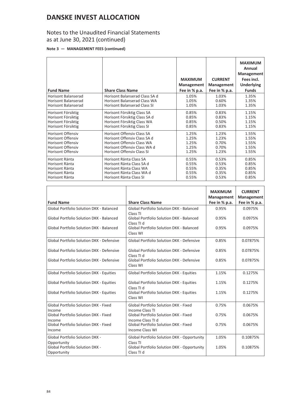## Notes to the Unaudited Financial Statements as at June 30, 2021 (continued)

### **Note 3 — MANAGEMENT FEES (continued)**

| <b>Fund Name</b>           | <b>Share Class Name</b>             | <b>MAXIMUM</b><br>Management<br>Fee in % p.a. | <b>CURRENT</b><br>Management<br>Fee in % p.a. | <b>MAXIMUM</b><br>Annual<br>Management<br>Fees incl.<br><b>Underlying</b><br><b>Funds</b> |
|----------------------------|-------------------------------------|-----------------------------------------------|-----------------------------------------------|-------------------------------------------------------------------------------------------|
| <b>Horisont Balanserad</b> | Horisont Balanserad Class SA d      | 1.05%                                         | 1.03%                                         | 1.35%                                                                                     |
| Horisont Balanserad        | Horisont Balanserad Class WA        | 1.05%                                         | 0.60%                                         | 1.35%                                                                                     |
| <b>Horisont Balanserad</b> | <b>Horisont Balanserad Class SI</b> | 1.05%                                         | 1.03%                                         | 1.35%                                                                                     |
| Horisont Försiktig         | Horisont Försiktig Class SA         | 0.85%                                         | 0.83%                                         | 1.15%                                                                                     |
| Horisont Försiktig         | Horisont Försiktig Class SA d       | 0.85%                                         | 0.83%                                         | 1.15%                                                                                     |
| Horisont Försiktig         | Horisont Försiktig Class WA         | 0.85%                                         | 0.50%                                         | 1.15%                                                                                     |
| Horisont Försiktig         | Horisont Försiktig Class SI         | 0.85%                                         | 0.83%                                         | 1.15%                                                                                     |
| <b>Horisont Offensiv</b>   | <b>Horisont Offensiv Class SA</b>   | 1.25%                                         | 1.23%                                         | 1.55%                                                                                     |
| <b>Horisont Offensiv</b>   | Horisont Offensiv Class SA d        | 1.25%                                         | 1.23%                                         | 1.55%                                                                                     |
| <b>Horisont Offensiv</b>   | <b>Horisont Offensiv Class WA</b>   | 1.25%                                         | 0.70%                                         | 1.55%                                                                                     |
| <b>Horisont Offensiv</b>   | Horisont Offensiy Class WA d        | 1.25%                                         | 0.70%                                         | 1.55%                                                                                     |
| <b>Horisont Offensiv</b>   | <b>Horisont Offensiv Class SI</b>   | 1.25%                                         | 1.23%                                         | 1.55%                                                                                     |
| Horisont Ränta             | Horisont Ränta Class SA             | 0.55%                                         | 0.53%                                         | 0.85%                                                                                     |
| Horisont Ränta             | Horisont Ränta Class SA d           | 0.55%                                         | 0.53%                                         | 0.85%                                                                                     |
| Horisont Ränta             | Horisont Ränta Class WA             | 0.55%                                         | 0.35%                                         | 0.85%                                                                                     |
| Horisont Ränta             | Horisont Ränta Class WA d           | 0.55%                                         | 0.35%                                         | 0.85%                                                                                     |
| Horisont Ränta             | Horisont Ränta Class SI             | 0.55%                                         | 0.53%                                         | 0.85%                                                                                     |

| <b>Fund Name</b>                                      | <b>Share Class Name</b>                                            | <b>MAXIMUM</b><br>Management<br>Fee in % p.a. | <b>CURRENT</b><br>Management<br>Fee in % p.a. |
|-------------------------------------------------------|--------------------------------------------------------------------|-----------------------------------------------|-----------------------------------------------|
| Global Portfolio Solution DKK - Balanced              | Global Portfolio Solution DKK - Balanced                           | 0.95%                                         | 0.0975%                                       |
| Global Portfolio Solution DKK - Balanced              | Class TI<br>Global Portfolio Solution DKK - Balanced               | 0.95%                                         | 0.0975%                                       |
| Global Portfolio Solution DKK - Balanced              | Class TI d<br>Global Portfolio Solution DKK - Balanced<br>Class WI | 0.95%                                         | 0.0975%                                       |
| Global Portfolio Solution DKK - Defensive             | Global Portfolio Solution DKK - Defensive                          | 0.85%                                         | 0.07875%                                      |
| Global Portfolio Solution DKK - Defensive             | Global Portfolio Solution DKK - Defensive<br>Class TI d            | 0.85%                                         | 0.07875%                                      |
| Global Portfolio Solution DKK - Defensive             | Global Portfolio Solution DKK - Defensive<br>Class WI              | 0.85%                                         | 0.07875%                                      |
| <b>Global Portfolio Solution DKK - Equities</b>       | <b>Global Portfolio Solution DKK - Equities</b>                    | 1.15%                                         | 0.1275%                                       |
| <b>Global Portfolio Solution DKK - Equities</b>       | Global Portfolio Solution DKK - Equities<br>Class TLd              | 1.15%                                         | 0.1275%                                       |
| <b>Global Portfolio Solution DKK - Equities</b>       | Global Portfolio Solution DKK - Equities<br>Class WI               | 1.15%                                         | 0.1275%                                       |
| Global Portfolio Solution DKK - Fixed<br>Income       | Global Portfolio Solution DKK - Fixed<br>Income Class TI           | 0.75%                                         | 0.0675%                                       |
| Global Portfolio Solution DKK - Fixed<br>Income       | <b>Global Portfolio Solution DKK - Fixed</b><br>Income Class TI d  | 0.75%                                         | 0.0675%                                       |
| Global Portfolio Solution DKK - Fixed<br>Income       | Global Portfolio Solution DKK - Fixed<br><b>Income Class WI</b>    | 0.75%                                         | 0.0675%                                       |
| <b>Global Portfolio Solution DKK -</b><br>Opportunity | Global Portfolio Solution DKK - Opportunity<br>Class TI            | 1.05%                                         | 0.10875%                                      |
| <b>Global Portfolio Solution DKK -</b><br>Opportunity | <b>Global Portfolio Solution DKK - Opportunity</b><br>Class TI d   | 1.05%                                         | 0.10875%                                      |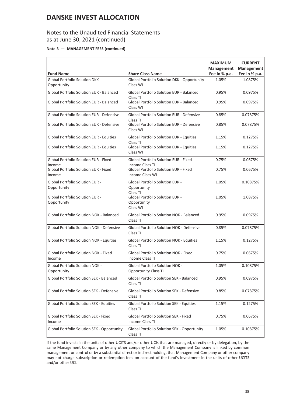## Notes to the Unaudited Financial Statements as at June 30, 2021 (continued)

### **Note 3 — MANAGEMENT FEES (continued)**

|                                                        |                                                                        | <b>MAXIMUM</b><br>Management | <b>CURRENT</b><br>Management |
|--------------------------------------------------------|------------------------------------------------------------------------|------------------------------|------------------------------|
| <b>Fund Name</b>                                       | <b>Share Class Name</b>                                                | Fee in % p.a.                | Fee in % p.a.                |
| Global Portfolio Solution DKK -<br>Opportunity         | Global Portfolio Solution DKK - Opportunity<br>Class WI                | 1.05%                        | 1.0875%                      |
| <b>Global Portfolio Solution EUR - Balanced</b>        | <b>Global Portfolio Solution EUR - Balanced</b><br>Class TI            | 0.95%                        | 0.0975%                      |
| <b>Global Portfolio Solution EUR - Balanced</b>        | Global Portfolio Solution EUR - Balanced<br>Class WI                   | 0.95%                        | 0.0975%                      |
| Global Portfolio Solution EUR - Defensive              | Global Portfolio Solution EUR - Defensive<br>Class TI                  | 0.85%                        | 0.07875%                     |
| Global Portfolio Solution EUR - Defensive              | Global Portfolio Solution EUR - Defensive<br>Class WI                  | 0.85%                        | 0.07875%                     |
| Global Portfolio Solution EUR - Equities               | Global Portfolio Solution EUR - Equities<br>Class TI                   | 1.15%                        | 0.1275%                      |
| Global Portfolio Solution EUR - Equities               | <b>Global Portfolio Solution EUR - Equities</b><br>Class WI            | 1.15%                        | 0.1275%                      |
| <b>Global Portfolio Solution EUR - Fixed</b><br>Income | Global Portfolio Solution EUR - Fixed<br><b>Income Class TI</b>        | 0.75%                        | 0.0675%                      |
| Global Portfolio Solution EUR - Fixed<br>Income        | Global Portfolio Solution EUR - Fixed<br><b>Income Class WI</b>        | 0.75%                        | 0.0675%                      |
| Global Portfolio Solution EUR -<br>Opportunity         | Global Portfolio Solution EUR -<br>Opportunity                         | 1.05%                        | 0.10875%                     |
| Global Portfolio Solution EUR -<br>Opportunity         | Class TI<br>Global Portfolio Solution EUR -<br>Opportunity<br>Class WI | 1.05%                        | 1.0875%                      |
| <b>Global Portfolio Solution NOK - Balanced</b>        | <b>Global Portfolio Solution NOK - Balanced</b><br>Class TI            | 0.95%                        | 0.0975%                      |
| Global Portfolio Solution NOK - Defensive              | Global Portfolio Solution NOK - Defensive<br>Class TI                  | 0.85%                        | 0.07875%                     |
| Global Portfolio Solution NOK - Equities               | <b>Global Portfolio Solution NOK - Equities</b><br>Class TI            | 1.15%                        | 0.1275%                      |
| Global Portfolio Solution NOK - Fixed<br>Income        | <b>Global Portfolio Solution NOK - Fixed</b><br>Income Class TI        | 0.75%                        | 0.0675%                      |
| Global Portfolio Solution NOK -<br>Opportunity         | Global Portfolio Solution NOK -<br><b>Opportunity Class TI</b>         | 1.05%                        | 0.10875%                     |
| Global Portfolio Solution SEK - Balanced               | <b>Global Portfolio Solution SEK - Balanced</b><br>Class TI            | 0.95%                        | 0.0975%                      |
| Global Portfolio Solution SEK - Defensive              | Global Portfolio Solution SEK - Defensive<br>Class TI                  | 0.85%                        | 0.07875%                     |
| Global Portfolio Solution SEK - Equities               | <b>Global Portfolio Solution SEK - Equities</b><br>Class TI            | 1.15%                        | 0.1275%                      |
| Global Portfolio Solution SEK - Fixed<br>Income        | Global Portfolio Solution SEK - Fixed<br><b>Income Class TI</b>        | 0.75%                        | 0.0675%                      |
| Global Portfolio Solution SEK - Opportunity            | Global Portfolio Solution SEK - Opportunity<br>Class TI                | 1.05%                        | 0.10875%                     |

If the fund invests in the units of other UCITS and/or other UCIs that are managed, directly or by delegation, by the same Management Company or by any other company to which the Management Company is linked by common management or control or by a substantial direct or indirect holding, that Management Company or other company may not charge subscription or redemption fees on account of the fund's investment in the units of other UCITS and/or other UCI.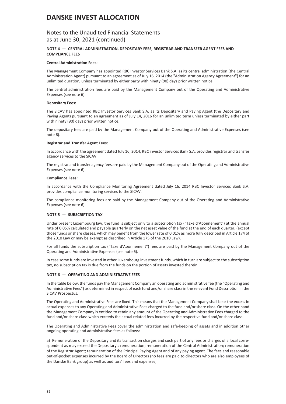### Notes to the Unaudited Financial Statements as at June 30, 2021 (continued)

### **NOTE 4 — CENTRAL ADMINISTRATION, DEPOSITARY FEES, REGISTRAR AND TRANSFER AGENT FEES AND COMPLIANCE FEES**

#### **Central Administration Fees:**

The Management Company has appointed RBC Investor Services Bank S.A. as its central administration (the Central Administration Agent) pursuant to an agreement as of July 16, 2014 (the "Administration Agency Agreement") for an unlimited duration, unless terminated by either party with ninety (90) days prior written notice.

The central administration fees are paid by the Management Company out of the Operating and Administrative Expenses (see note 6).

#### **Depositary Fees:**

The SICAV has appointed RBC Investor Services Bank S.A. as its Depositary and Paying Agent (the Depositary and Paying Agent) pursuant to an agreement as of July 14, 2016 for an unlimited term unless terminated by either part with ninety (90) days prior written notice.

The depositary fees are paid by the Management Company out of the Operating and Administrative Expenses (see note 6).

#### **Registrar and Transfer Agent Fees:**

In accordance with the agreement dated July 16, 2014, RBC investor Services Bank S.A. provides registrar and transfer agency services to the SICAV.

The registrar and transfer agency fees are paid by the Management Company out of the Operating and Administrative Expenses (see note 6).

#### **Compliance Fees:**

In accordance with the Compliance Monitoring Agreement dated July 16, 2014 RBC Investor Services Bank S.A. provides compliance monitoring services to the SICAV.

The compliance monitoring fees are paid by the Management Company out of the Operating and Administrative Expenses (see note 6).

### **NOTE 5 — SUBSCRIPTION TAX**

Under present Luxembourg law, the fund is subject only to a subscription tax ("Taxe d'Abonnement") at the annual rate of 0.05% calculated and payable quarterly on the net asset value of the fund at the end of each quarter, (except those funds or share classes, which may benefit from the lower rate of 0.01% as more fully described in Article 174 of the 2010 Law or may be exempt as described in Article 175 of the 2010 Law).

For all funds the subscription tax ("Taxe d'Abonnement") fees are paid by the Management Company out of the Operating and Administrative Expenses (see note 6).

In case some funds are invested in other Luxembourg investment funds, which in turn are subject to the subscription tax, no subscription tax is due from the funds on the portion of assets invested therein.

### **NOTE 6 — OPERATING AND ADMINISTRATIVE FEES**

In the table below, the funds pay the Management Company an operating and administrative fee (the "Operating and Administrative Fees") as determined in respect of each fund and/or share class in the relevant Fund Description in the SICAV Prospectus.

The Operating and Administrative Fees are fixed. This means that the Management Company shall bear the excess in actual expenses to any Operating and Administrative Fees charged to the fund and/or share class. On the other hand the Management Company is entitled to retain any amount of the Operating and Administrative Fees charged to the fund and/or share class which exceeds the actual related fees incurred by the respective fund and/or share class.

The Operating and Administrative Fees cover the administration and safe-keeping of assets and in addition other ongoing operating and administrative fees as follows:

a) Remuneration of the Depositary and its transaction charges and such part of any fees or charges of a local correspondent as may exceed the Depositary's remuneration; remuneration of the Central Administration; remuneration of the Registrar Agent; remuneration of the Principal Paying Agent and of any paying agent. The fees and reasonable out-of-pocket expenses incurred by the Board of Directors (no fees are paid to directors who are also employees of the Danske Bank group) as well as auditors' fees and expenses;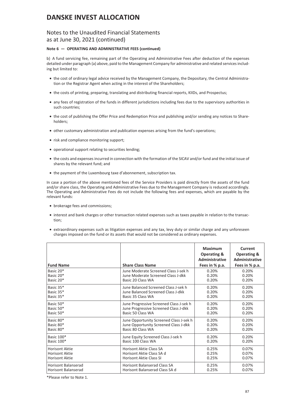### Notes to the Unaudited Financial Statements as at June 30, 2021 (continued)

### **Note 6 — OPERATING AND ADMINISTRATIVE FEES (continued)**

b) A fund servicing fee, remaining part of the Operating and Administrative Fees after deduction of the expenses detailed under paragraph (a) above, paid to the Management Company for administrative and related services including but limited to:

- the cost of ordinary legal advice received by the Management Company, the Depositary, the Central Administration or the Registrar Agent when acting in the interest of the Shareholders;
- the costs of printing, preparing, translating and distributing financial reports, KIIDs, and Prospectus;
- any fees of registration of the funds in different jurisdictions including fees due to the supervisory authorities in such countries;
- the cost of publishing the Offer Price and Redemption Price and publishing and/or sending any notices to Shareholders;
- other customary administration and publication expenses arising from the fund's operations;
- risk and compliance monitoring support;
- operational support relating to securities lending;
- the costs and expenses incurred in connection with the formation of the SICAV and/or fund and the initial issue of shares by the relevant fund; and
- the payment of the Luxembourg taxe d'abonnement, subscription tax.

In case a portion of the above mentioned fees of the Service Providers is paid directly from the assets of the fund and/or share class, the Operating and Administrative Fees due to the Management Company is reduced accordingly. The Operating and Administrative Fees do not include the following fees and expenses, which are payable by the relevant funds:

- brokerage fees and commissions;
- interest and bank charges or other transaction related expenses such as taxes payable in relation to the transaction;
- extraordinary expenses such as litigation expenses and any tax, levy duty or similar charge and any unforeseen charges imposed on the fund or its assets that would not be considered as ordinary expenses.

| <b>Fund Name</b>           | <b>Share Class Name</b>                 | <b>Maximum</b><br><b>Operating &amp;</b><br><b>Administrative</b><br>Fees in % p.a. | Current<br><b>Operating &amp;</b><br><b>Administrative</b><br>Fees in % p.a. |
|----------------------------|-----------------------------------------|-------------------------------------------------------------------------------------|------------------------------------------------------------------------------|
| Basic 20*                  | June Moderate Screened Class J-sek h    | 0.20%                                                                               | 0.20%                                                                        |
| Basic 20*                  | June Moderate Screened Class J-dkk      | 0.20%                                                                               | 0.20%                                                                        |
| Basic 20*                  | Basic 20 Class WA                       | 0.20%                                                                               | 0.20%                                                                        |
| Basic 35*                  | June Balanced Screened Class J-sek h    | 0.20%                                                                               | 0.20%                                                                        |
| Basic 35*                  | June Balanced Screened Class J-dkk      | 0.20%                                                                               | 0.20%                                                                        |
| Basic 35*                  | Basic 35 Class WA                       | 0.20%                                                                               | 0.20%                                                                        |
| Basic 50*                  | June Progressive Screened Class J-sek h | 0.20%                                                                               | 0.20%                                                                        |
| Basic 50*                  | June Progressive Screened Class J-dkk   | 0.20%                                                                               | 0.20%                                                                        |
| Basic 50*                  | Basic 50 Class WA                       | 0.20%                                                                               | 0.20%                                                                        |
| Basic 80*                  | June Opportunity Screened Class J-sek h | 0.20%                                                                               | 0.20%                                                                        |
| Basic 80*                  | June Opportunity Screened Class J-dkk   | 0.20%                                                                               | 0.20%                                                                        |
| Basic 80*                  | Basic 80 Class WA                       | 0.20%                                                                               | 0.20%                                                                        |
| Basic 100*                 | June Equity Screened Class J-sek h      | 0.20%                                                                               | 0.20%                                                                        |
| Basic 100*                 | Basic 100 Class WA                      | 0.20%                                                                               | 0.20%                                                                        |
| <b>Horisont Aktie</b>      | Horisont Aktie Class SA                 | 0.25%                                                                               | 0.07%                                                                        |
| <b>Horisont Aktie</b>      | Horisont Aktie Class SA d               | 0.25%                                                                               | 0.07%                                                                        |
| <b>Horisont Aktie</b>      | <b>Horisont Aktie Class SI</b>          | 0.25%                                                                               | 0.07%                                                                        |
| <b>Horisont Balanserad</b> | Horisont Balanserad Class SA            | 0.25%                                                                               | 0.07%                                                                        |
| <b>Horisont Balanserad</b> | Horisont Balanserad Class SA d          | 0.25%                                                                               | 0.07%                                                                        |

\*Please refer to Note 1.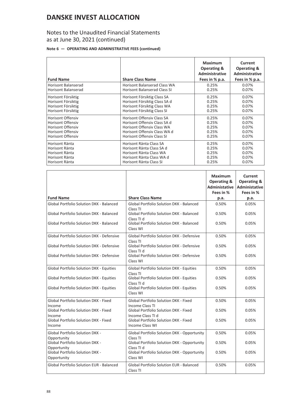## Notes to the Unaudited Financial Statements as at June 30, 2021 (continued)

### **Note 6 — OPERATING AND ADMINISTRATIVE FEES (continued)**

| <b>Fund Name</b>           | <b>Share Class Name</b>             | <b>Maximum</b><br><b>Operating &amp;</b><br><b>Administrative</b><br>Fees in % p.a. | Current<br><b>Operating &amp;</b><br>Administrative<br>Fees in % p.a. |
|----------------------------|-------------------------------------|-------------------------------------------------------------------------------------|-----------------------------------------------------------------------|
| <b>Horisont Balanserad</b> | Horisont Balanserad Class WA        | 0.25%                                                                               | 0.07%                                                                 |
| <b>Horisont Balanserad</b> | <b>Horisont Balanserad Class SI</b> | 0.25%                                                                               | 0.07%                                                                 |
| Horisont Försiktig         | Horisont Försiktig Class SA         | 0.25%                                                                               | 0.07%                                                                 |
| Horisont Försiktig         | Horisont Försiktig Class SA d       | 0.25%                                                                               | 0.07%                                                                 |
| Horisont Försiktig         | Horisont Försiktig Class WA         | 0.25%                                                                               | 0.07%                                                                 |
| Horisont Försiktig         | Horisont Försiktig Class SI         | 0.25%                                                                               | 0.07%                                                                 |
| <b>Horisont Offensiv</b>   | <b>Horisont Offensiv Class SA</b>   | 0.25%                                                                               | 0.07%                                                                 |
| <b>Horisont Offensiv</b>   | Horisont Offensiv Class SA d        | 0.25%                                                                               | 0.07%                                                                 |
| <b>Horisont Offensiv</b>   | Horisont Offensiy Class WA          | 0.25%                                                                               | 0.07%                                                                 |
| <b>Horisont Offensiv</b>   | Horisont Offensiv Class WA d        | 0.25%                                                                               | 0.07%                                                                 |
| <b>Horisont Offensiv</b>   | <b>Horisont Offensiv Class SI</b>   | 0.25%                                                                               | 0.07%                                                                 |
| Horisont Ränta             | Horisont Ränta Class SA             | 0.25%                                                                               | 0.07%                                                                 |
| Horisont Ränta             | Horisont Ränta Class SA d           | 0.25%                                                                               | 0.07%                                                                 |
| Horisont Ränta             | Horisont Ränta Class WA             | 0.25%                                                                               | 0.07%                                                                 |
| Horisont Ränta             | Horisont Ränta Class WA d           | 0.25%                                                                               | 0.07%                                                                 |
| Horisont Ränta             | Horisont Ränta Class SI             | 0.25%                                                                               | 0.07%                                                                 |

|                                                       |                                                                    | <b>Maximum</b><br><b>Operating &amp;</b><br><b>Administative</b><br>Fees in % | Current<br><b>Operating &amp;</b><br><b>Administative</b><br>Fees in % |
|-------------------------------------------------------|--------------------------------------------------------------------|-------------------------------------------------------------------------------|------------------------------------------------------------------------|
| <b>Fund Name</b>                                      | <b>Share Class Name</b>                                            | p.a.                                                                          | p.a.                                                                   |
| Global Portfolio Solution DKK - Balanced              | Global Portfolio Solution DKK - Balanced                           | 0.50%                                                                         | 0.05%                                                                  |
| Global Portfolio Solution DKK - Balanced              | Class TI<br>Global Portfolio Solution DKK - Balanced<br>Class TI d | 0.50%                                                                         | 0.05%                                                                  |
| Global Portfolio Solution DKK - Balanced              | Global Portfolio Solution DKK - Balanced<br>Class WI               | 0.50%                                                                         | 0.05%                                                                  |
| Global Portfolio Solution DKK - Defensive             | Global Portfolio Solution DKK - Defensive<br>Class TI              | 0.50%                                                                         | 0.05%                                                                  |
| Global Portfolio Solution DKK - Defensive             | Global Portfolio Solution DKK - Defensive<br>Class TI d            | 0.50%                                                                         | 0.05%                                                                  |
| Global Portfolio Solution DKK - Defensive             | Global Portfolio Solution DKK - Defensive<br>Class WI              | 0.50%                                                                         | 0.05%                                                                  |
| <b>Global Portfolio Solution DKK - Equities</b>       | <b>Global Portfolio Solution DKK - Equities</b><br>Class TI        | 0.50%                                                                         | 0.05%                                                                  |
| Global Portfolio Solution DKK - Equities              | Global Portfolio Solution DKK - Equities<br>Class TI d             | 0.50%                                                                         | 0.05%                                                                  |
| Global Portfolio Solution DKK - Equities              | Global Portfolio Solution DKK - Equities<br>Class WI               | 0.50%                                                                         | 0.05%                                                                  |
| Global Portfolio Solution DKK - Fixed<br>Income       | Global Portfolio Solution DKK - Fixed<br>Income Class TI           | 0.50%                                                                         | 0.05%                                                                  |
| Global Portfolio Solution DKK - Fixed<br>Income       | Global Portfolio Solution DKK - Fixed<br>Income Class TI d         | 0.50%                                                                         | 0.05%                                                                  |
| Global Portfolio Solution DKK - Fixed<br>Income       | Global Portfolio Solution DKK - Fixed<br>Income Class WI           | 0.50%                                                                         | 0.05%                                                                  |
| <b>Global Portfolio Solution DKK -</b><br>Opportunity | Global Portfolio Solution DKK - Opportunity<br>Class TI            | 0.50%                                                                         | 0.05%                                                                  |
| <b>Global Portfolio Solution DKK -</b><br>Opportunity | Global Portfolio Solution DKK - Opportunity<br>Class TI d          | 0.50%                                                                         | 0.05%                                                                  |
| Global Portfolio Solution DKK -<br>Opportunity        | Global Portfolio Solution DKK - Opportunity<br>Class WI            | 0.50%                                                                         | 0.05%                                                                  |
| Global Portfolio Solution EUR - Balanced              | Global Portfolio Solution EUR - Balanced<br>Class TI               | 0.50%                                                                         | 0.05%                                                                  |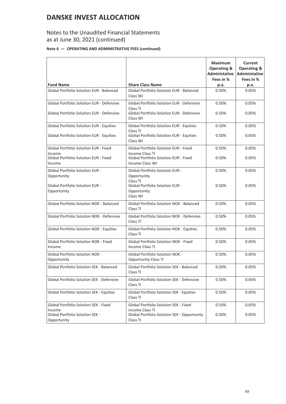## Notes to the Unaudited Financial Statements as at June 30, 2021 (continued)

### **Note 6 — OPERATING AND ADMINISTRATIVE FEES (continued)**

|                                                        |                                                                   | <b>Maximum</b><br><b>Operating &amp;</b><br><b>Administative</b><br>Fees in % | Current<br><b>Operating &amp;</b><br><b>Administative</b><br>Fees in % |
|--------------------------------------------------------|-------------------------------------------------------------------|-------------------------------------------------------------------------------|------------------------------------------------------------------------|
| <b>Fund Name</b>                                       | <b>Share Class Name</b>                                           | p.a.                                                                          | p.a.                                                                   |
| Global Portfolio Solution EUR - Balanced               | <b>Global Portfolio Solution EUR - Balanced</b><br>Class WI       | 0.50%                                                                         | 0.05%                                                                  |
| <b>Global Portfolio Solution EUR - Defensive</b>       | <b>Global Portfolio Solution EUR - Defensive</b><br>Class TI      | 0.50%                                                                         | 0.05%                                                                  |
| Global Portfolio Solution EUR - Defensive              | Global Portfolio Solution EUR - Defensive<br>Class WI             | 0.50%                                                                         | 0.05%                                                                  |
| Global Portfolio Solution EUR - Equities               | <b>Global Portfolio Solution EUR - Equities</b><br>Class TI       | 0.50%                                                                         | 0.05%                                                                  |
| <b>Global Portfolio Solution EUR - Equities</b>        | <b>Global Portfolio Solution EUR - Equities</b><br>Class WI       | 0.50%                                                                         | 0.05%                                                                  |
| <b>Global Portfolio Solution EUR - Fixed</b><br>Income | Global Portfolio Solution EUR - Fixed<br>Income Class TI          | 0.50%                                                                         | 0.05%                                                                  |
| Global Portfolio Solution EUR - Fixed<br>Income        | Global Portfolio Solution EUR - Fixed<br><b>Income Class WI</b>   | 0.50%                                                                         | 0.05%                                                                  |
| <b>Global Portfolio Solution EUR -</b><br>Opportunity  | Global Portfolio Solution EUR -<br>Opportunity<br>Class TI        | 0.50%                                                                         | 0.05%                                                                  |
| <b>Global Portfolio Solution EUR -</b><br>Opportunity  | <b>Global Portfolio Solution EUR -</b><br>Opportunity<br>Class WI | 0.50%                                                                         | 0.05%                                                                  |
| Global Portfolio Solution NOK - Balanced               | Global Portfolio Solution NOK - Balanced<br>Class TI              | 0.50%                                                                         | 0.05%                                                                  |
| <b>Global Portfolio Solution NOK - Defensive</b>       | <b>Global Portfolio Solution NOK - Defensive</b><br>Class TI      | 0.50%                                                                         | 0.05%                                                                  |
| Global Portfolio Solution NOK - Equities               | Global Portfolio Solution NOK - Equities<br>Class TI              | 0.50%                                                                         | 0.05%                                                                  |
| Global Portfolio Solution NOK - Fixed<br>Income        | Global Portfolio Solution NOK - Fixed<br>Income Class TI          | 0.50%                                                                         | 0.05%                                                                  |
| Global Portfolio Solution NOK -<br>Opportunity         | Global Portfolio Solution NOK -<br><b>Opportunity Class TI</b>    | 0.50%                                                                         | 0.05%                                                                  |
| <b>Global Portfolio Solution SEK - Balanced</b>        | Global Portfolio Solution SEK - Balanced<br>Class TI              | 0.50%                                                                         | 0.05%                                                                  |
| Global Portfolio Solution SEK - Defensive              | Global Portfolio Solution SEK - Defensive<br>Class TI             | 0.50%                                                                         | 0.05%                                                                  |
| Global Portfolio Solution SEK - Equities               | Global Portfolio Solution SEK - Equities<br>Class TI              | 0.50%                                                                         | 0.05%                                                                  |
| Global Portfolio Solution SEK - Fixed<br>Income        | Global Portfolio Solution SEK - Fixed<br>Income Class TI          | 0.50%                                                                         | 0.05%                                                                  |
| Global Portfolio Solution SEK -<br>Opportunity         | Global Portfolio Solution SEK - Opportunity<br>Class TI           | 0.50%                                                                         | 0.05%                                                                  |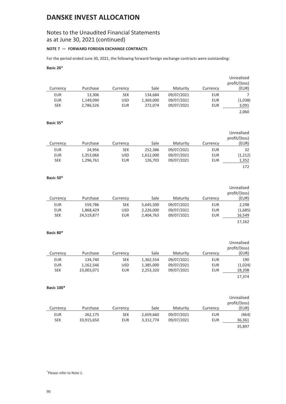## Notes to the Unaudited Financial Statements as at June 30, 2021 (continued)

### **NOTE 7 — FORWARD FOREIGN EXCHANGE CONTRACTS**

For the period ended June 30, 2021, the following forward foreign exchange contracts were outstanding:

### **Basic 20**\*

|            |           |            |           |            |            | Unrealised<br>profit/(loss) |
|------------|-----------|------------|-----------|------------|------------|-----------------------------|
| Currency   | Purchase  | Currency   | Sale      | Maturity   | Currency   | (EUR)                       |
| <b>EUR</b> | 13.306    | <b>SEK</b> | 134,684   | 09/07/2021 | EUR        |                             |
| <b>EUR</b> | 1,149,090 | <b>USD</b> | 1,369,000 | 09/07/2021 | <b>EUR</b> | (1,038)                     |
| <b>SEK</b> | 2,786,526 | EUR        | 272.074   | 09/07/2021 | EUR        | 3,091                       |
|            |           |            |           |            |            | 2,060                       |

### **Basic 35\***

|            |           |            |           |            |            | Unrealised    |
|------------|-----------|------------|-----------|------------|------------|---------------|
|            |           |            |           |            |            | profit/(loss) |
| Currency   | Purchase  | Currency   | Sale      | Maturity   | Currency   | (EUR)         |
| EUR        | 24.956    | <b>SEK</b> | 252,386   | 09/07/2021 | EUR        | 32            |
| <b>EUR</b> | 1,353,066 | <b>USD</b> | 1,612,000 | 09/07/2021 | <b>EUR</b> | (1, 212)      |
| <b>SEK</b> | 1,296,761 | <b>EUR</b> | 126,703   | 09/07/2021 | <b>EUR</b> | 1,352         |
|            |           |            |           |            |            | 172           |

### **Basic 50\***

| Currency   | Purchase   | Currency   | Sale      | Maturity   | Currency   | Unrealised<br>profit/(loss)<br>(EUR) |
|------------|------------|------------|-----------|------------|------------|--------------------------------------|
| EUR        | 559,786    | <b>SEK</b> | 5,645,500 | 09/07/2021 | EUR        | 2,298                                |
| <b>EUR</b> | 1,868,429  | <b>USD</b> | 2,226,000 | 09/07/2021 | <b>EUR</b> | (1,685)                              |
| <b>SEK</b> | 24,519,877 | EUR        | 2,404,763 | 09/07/2021 | <b>EUR</b> | 16,549                               |
|            |            |            |           |            |            | 17,162                               |

### **Basic 80\***

|            |            |            |           |            |            | Unrealised<br>profit/(loss) |
|------------|------------|------------|-----------|------------|------------|-----------------------------|
| Currency   | Purchase   | Currency   | Sale      | Maturity   | Currency   | (EUR)                       |
| EUR        | 134,740    | <b>SEK</b> | 1,362,554 | 09/07/2021 | EUR        | 190                         |
| <b>EUR</b> | 1,162,546  | <b>USD</b> | 1,385,000 | 09/07/2021 | <b>EUR</b> | (1,024)                     |
| <b>SEK</b> | 23,003,071 | EUR        | 2,253,320 | 09/07/2021 | EUR        | 18,208                      |
|            |            |            |           |            |            | 17.374                      |

### **Basic 100\***

| Currency   | Purchase   | Currency   | Sale      | Maturity   | Currency   | Unrealised<br>profit/(loss)<br>(EUR) |
|------------|------------|------------|-----------|------------|------------|--------------------------------------|
| EUR        | 262,175    | <b>SEK</b> | 2,659,660 | 09/07/2021 | <b>EUR</b> | (464)                                |
| <b>SEK</b> | 33,915,650 | EUR        | 3,312,774 | 09/07/2021 | <b>EUR</b> | 36,361                               |
|            |            |            |           |            |            | 35,897                               |

\* Please refer to Note 1.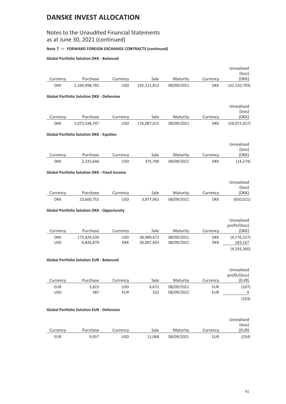## Notes to the Unaudited Financial Statements as at June 30, 2021 (continued)

### **Note 7 — FORWARD FOREIGN EXCHANGE CONTRACTS (continued)**

### **Global Portfolio Solution DKK - Balanced**

|                          |                                                     |                   |              |                          |                          | Unrealised<br>(loss)        |
|--------------------------|-----------------------------------------------------|-------------------|--------------|--------------------------|--------------------------|-----------------------------|
| Currency                 | Purchase                                            | Currency          | Sale         | Maturity                 | Currency                 | (DKK)                       |
| <b>DKK</b>               | 1,169,498,782                                       | <b>USD</b>        | 192,121,812  | 08/09/2021               | <b>DKK</b>               | (32, 210, 793)              |
|                          | <b>Global Portfolio Solution DKK - Defensive</b>    |                   |              |                          |                          |                             |
|                          |                                                     |                   |              |                          |                          | Unrealised<br>(loss)        |
| Currency                 | Purchase                                            | Currency          | Sale         | Maturity                 | Currency                 | (DKK)                       |
| <b>DKK</b>               | 1,073,338,747                                       | <b>USD</b>        | 176,087,015  | 08/09/2021               | <b>DKK</b>               | (28,072,427)                |
|                          | <b>Global Portfolio Solution DKK - Equities</b>     |                   |              |                          |                          |                             |
|                          |                                                     |                   |              |                          |                          | Unrealised<br>(loss)        |
| Currency                 | Purchase                                            | Currency          | Sale         | Maturity                 | Currency                 | (DKK)                       |
| <b>DKK</b>               | 2,335,646                                           | <b>USD</b>        | 375,700      | 08/09/2021               | <b>DKK</b>               | (14, 274)                   |
|                          | <b>Global Portfolio Solution DKK - Fixed Income</b> |                   |              |                          |                          |                             |
|                          |                                                     |                   |              |                          |                          | Unrealised                  |
| Currency                 | Purchase                                            | Currency          | Sale         | Maturity                 | Currency                 | (loss)<br>(DKK)             |
| <b>DKK</b>               | 23,600,752                                          | <b>USD</b>        | 3,877,062    | 08/09/2021               | <b>DKK</b>               | (650, 021)                  |
|                          |                                                     |                   |              |                          |                          |                             |
|                          | <b>Global Portfolio Solution DKK - Opportunity</b>  |                   |              |                          |                          |                             |
|                          |                                                     |                   |              |                          |                          | Unrealised<br>profit/(loss) |
| Currency                 | Purchase                                            | Currency          | Sale         | Maturity                 | Currency                 | (DKK)                       |
| <b>DKK</b>               | 173,424,539                                         | <b>USD</b>        | 28,489,672   | 08/09/2021               | <b>DKK</b>               | (4, 776, 527)               |
| <b>USD</b>               | 4,826,870                                           | <b>DKK</b>        | 30,007,603   | 08/09/2021               | <b>DKK</b>               | 183, 167<br>(4,593,360)     |
|                          |                                                     |                   |              |                          |                          |                             |
|                          | <b>Global Portfolio Solution EUR - Balanced</b>     |                   |              |                          |                          |                             |
|                          |                                                     |                   |              |                          |                          | Unrealised<br>profit/(loss) |
| Currency                 | Purchase                                            | Currency          | Sale         | Maturity                 | Currency                 | (EUR)                       |
| <b>EUR</b><br><b>USD</b> | 3,823<br>387                                        | <b>USD</b><br>EUR | 4,672<br>322 | 08/09/2021<br>08/09/2021 | <b>EUR</b><br><b>EUR</b> | (107)<br>4                  |
|                          |                                                     |                   |              |                          |                          | (103)                       |
|                          | <b>Global Portfolio Solution EUR - Defensive</b>    |                   |              |                          |                          |                             |
|                          |                                                     |                   |              |                          |                          |                             |
|                          |                                                     |                   |              |                          |                          | Unrealised                  |
| Currency                 | Purchase                                            | Currency          | Sale         | Maturity                 | Currency                 | (loss)<br>(EUR)             |
| <b>EUR</b>               | 9,057                                               | <b>USD</b>        | 11,068       | 08/09/2021               | <b>EUR</b>               | (254)                       |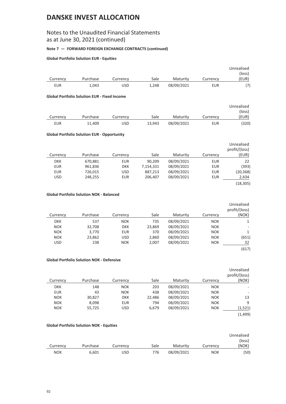## Notes to the Unaudited Financial Statements as at June 30, 2021 (continued)

### **Note 7 — FORWARD FOREIGN EXCHANGE CONTRACTS (continued)**

### **Global Portfolio Solution EUR - Equities**

|          |          |          |       |            |          | Unrealised |
|----------|----------|----------|-------|------------|----------|------------|
|          |          |          |       |            |          | (loss)     |
| Currency | Purchase | Currencv | Sale  | Maturity   | Currencv | (EUR)      |
| EUR      | 1,043    | USD      | 1.248 | 08/09/2021 | EUR      | (7)        |

#### **Global Portfolio Solution EUR - Fixed Income**

|            |          |            |        |            |          | Unrealised |
|------------|----------|------------|--------|------------|----------|------------|
|            |          |            |        |            |          | (loss)     |
| Currency   | Purchase | Currencv   | Sale   | Maturity   | Currencv | 'EUR)      |
| <b>EUR</b> | 11.409   | <b>USD</b> | 13,943 | 08/09/2021 | EUR      | (320)      |

### **Global Portfolio Solution EUR - Opportunity**

|            |          |            |           |            |            | Unrealised<br>profit/(loss) |
|------------|----------|------------|-----------|------------|------------|-----------------------------|
| Currency   | Purchase | Currency   | Sale      | Maturity   | Currency   | (EUR)                       |
| <b>DKK</b> | 670,881  | <b>EUR</b> | 90.209    | 08/09/2021 | <b>EUR</b> | 22                          |
| <b>EUR</b> | 961,836  | <b>DKK</b> | 7,154,331 | 08/09/2021 | <b>EUR</b> | (393)                       |
| <b>EUR</b> | 726,015  | <b>USD</b> | 887,213   | 08/09/2021 | <b>EUR</b> | (20, 368)                   |
| <b>USD</b> | 248,255  | <b>EUR</b> | 206.407   | 08/09/2021 | <b>EUR</b> | 2,434                       |
|            |          |            |           |            |            | (18, 305)                   |

### **Global Portfolio Solution NOK - Balanced**

|            |          |            |        |            |            | Unrealised    |
|------------|----------|------------|--------|------------|------------|---------------|
|            |          |            |        |            |            | profit/(loss) |
| Currency   | Purchase | Currency   | Sale   | Maturity   | Currency   | (NOK)         |
| <b>DKK</b> | 537      | <b>NOK</b> | 735    | 08/09/2021 | <b>NOK</b> | 1             |
| <b>NOK</b> | 32,708   | <b>DKK</b> | 23,869 | 08/09/2021 | <b>NOK</b> | ٠             |
| <b>NOK</b> | 3,770    | <b>EUR</b> | 370    | 08/09/2021 | <b>NOK</b> | 1             |
| <b>NOK</b> | 23,862   | <b>USD</b> | 2,860  | 08/09/2021 | <b>NOK</b> | (651)         |
| <b>USD</b> | 238      | <b>NOK</b> | 2,007  | 08/09/2021 | <b>NOK</b> | 32            |
|            |          |            |        |            |            | (617)         |

### **Global Portfolio Solution NOK - Defensive**

|            |          |            |        |            |            | Unrealised    |
|------------|----------|------------|--------|------------|------------|---------------|
|            |          |            |        |            |            | profit/(loss) |
| Currency   | Purchase | Currency   | Sale   | Maturity   | Currency   | (NOK)         |
| <b>DKK</b> | 148      | <b>NOK</b> | 203    | 08/09/2021 | <b>NOK</b> |               |
| <b>EUR</b> | 43       | <b>NOK</b> | 438    | 08/09/2021 | <b>NOK</b> |               |
| <b>NOK</b> | 30,827   | <b>DKK</b> | 22,486 | 08/09/2021 | <b>NOK</b> | 13            |
| <b>NOK</b> | 8,098    | <b>EUR</b> | 794    | 08/09/2021 | <b>NOK</b> | 9             |
| <b>NOK</b> | 55,725   | <b>USD</b> | 6,679  | 08/09/2021 | <b>NOK</b> | (1, 521)      |
|            |          |            |        |            |            | (1, 499)      |

### **Global Portfolio Solution NOK - Equities**

|            |          |          |      |            |            | Unrealised |
|------------|----------|----------|------|------------|------------|------------|
|            |          |          |      |            |            | (loss)     |
| Currency   | Purchase | Currency | Sale | Maturity   | Currencv   | (NOK)      |
| <b>NOK</b> | 6,601    | USD      | 776  | 08/09/2021 | <b>NOK</b> | (50)       |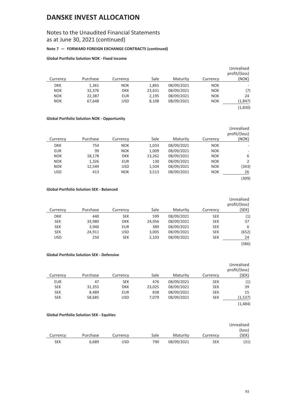## Notes to the Unaudited Financial Statements as at June 30, 2021 (continued)

### **Note 7 — FORWARD FOREIGN EXCHANGE CONTRACTS (continued)**

### **Global Portfolio Solution NOK - Fixed Income**

| Currency   | Purchase | Currency   | Sale   | Maturity   | Currency   | Unrealised<br>profit/(loss)<br>(NOK) |
|------------|----------|------------|--------|------------|------------|--------------------------------------|
|            |          |            |        |            |            |                                      |
| <b>DKK</b> | 1,361    | <b>NOK</b> | 1,865  | 08/09/2021 | <b>NOK</b> |                                      |
| <b>NOK</b> | 32,376   | <b>DKK</b> | 23,631 | 08/09/2021 | <b>NOK</b> | (7)                                  |
| <b>NOK</b> | 22,387   | EUR        | 2,195  | 08/09/2021 | <b>NOK</b> | 24                                   |
| <b>NOK</b> | 67.648   | <b>USD</b> | 8,108  | 08/09/2021 | <b>NOK</b> | (1,847)                              |
|            |          |            |        |            |            | (1,830)                              |

### **Global Portfolio Solution NOK - Opportunity**

|            |          |            |        |            |            | Unrealised<br>profit/(loss) |
|------------|----------|------------|--------|------------|------------|-----------------------------|
| Currency   | Purchase | Currency   | Sale   | Maturity   | Currency   | (NOK)                       |
| <b>DKK</b> | 754      | <b>NOK</b> | 1,033  | 08/09/2021 | <b>NOK</b> |                             |
| <b>EUR</b> | 99       | <b>NOK</b> | 1,009  | 08/09/2021 | <b>NOK</b> |                             |
| <b>NOK</b> | 18,178   | <b>DKK</b> | 13,262 | 08/09/2021 | <b>NOK</b> | 6                           |
| <b>NOK</b> | 1,326    | <b>EUR</b> | 130    | 08/09/2021 | <b>NOK</b> | 2                           |
| <b>NOK</b> | 12,549   | <b>USD</b> | 1,504  | 08/09/2021 | <b>NOK</b> | (343)                       |
| <b>USD</b> | 413      | <b>NOK</b> | 3,513  | 08/09/2021 | <b>NOK</b> | 26                          |
|            |          |            |        |            |            | (309)                       |

### **Global Portfolio Solution SEK - Balanced**

|            |          |            |        |            |            | Unrealised    |
|------------|----------|------------|--------|------------|------------|---------------|
|            |          |            |        |            |            | profit/(loss) |
| Currency   | Purchase | Currency   | Sale   | Maturity   | Currency   | (SEK)         |
| <b>DKK</b> | 440      | <b>SEK</b> | 599    | 08/09/2021 | <b>SEK</b> | (1)           |
| <b>SEK</b> | 33,980   | <b>DKK</b> | 24,956 | 08/09/2021 | <b>SEK</b> | 37            |
| <b>SEK</b> | 3,940    | <b>EUR</b> | 389    | 08/09/2021 | <b>SEK</b> | 6             |
| <b>SEK</b> | 24,911   | <b>USD</b> | 3,005  | 08/09/2021 | <b>SEK</b> | (652)         |
| <b>USD</b> | 250      | <b>SEK</b> | 2,103  | 08/09/2021 | <b>SEK</b> | 24            |
|            |          |            |        |            |            | (586)         |

### **Global Portfolio Solution SEK - Defensive**

|            |          |            |        |            |            | Unrealised<br>profit/(loss) |
|------------|----------|------------|--------|------------|------------|-----------------------------|
| Currency   | Purchase | Currency   | Sale   | Maturity   | Currency   | (SEK)                       |
| <b>EUR</b> | 47       | <b>SEK</b> | 476    | 08/09/2021 | <b>SEK</b> | (1)                         |
| <b>SEK</b> | 31,355   | <b>DKK</b> | 23,025 | 08/09/2021 | <b>SEK</b> | 39                          |
| <b>SEK</b> | 8,489    | <b>EUR</b> | 838    | 08/09/2021 | <b>SEK</b> | 15                          |
| <b>SEK</b> | 58,685   | <b>USD</b> | 7,079  | 08/09/2021 | <b>SEK</b> | (1, 537)                    |
|            |          |            |        |            |            | (1,484)                     |

#### **Global Portfolio Solution SEK - Equities**

|            |          |          |      |            |            | Unrealised |
|------------|----------|----------|------|------------|------------|------------|
|            |          |          |      |            |            | (loss)     |
| Currency   | Purchase | Currency | Sale | Maturity   | Currency   | (SEK)      |
| <b>SEK</b> | 6,689    | USD      | 790  | 08/09/2021 | <b>SEK</b> | (31)       |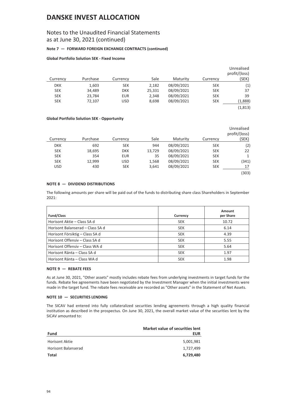## Notes to the Unaudited Financial Statements as at June 30, 2021 (continued)

### **Note 7 — FORWARD FOREIGN EXCHANGE CONTRACTS (continued)**

#### **Global Portfolio Solution SEK - Fixed Income**

| Currency   | Purchase | Currency   | Sale   | Maturity   | Currency   | Unrealised<br>profit/(loss)<br>(SEK) |
|------------|----------|------------|--------|------------|------------|--------------------------------------|
|            |          |            |        |            |            |                                      |
| <b>DKK</b> | 1,603    | <b>SEK</b> | 2,182  | 08/09/2021 | <b>SEK</b> | (1)                                  |
| <b>SEK</b> | 34,489   | <b>DKK</b> | 25,331 | 08/09/2021 | <b>SEK</b> | 37                                   |
| <b>SEK</b> | 23,784   | <b>EUR</b> | 2,348  | 08/09/2021 | <b>SEK</b> | 39                                   |
| <b>SEK</b> | 72,107   | <b>USD</b> | 8,698  | 08/09/2021 | <b>SEK</b> | (1,888)                              |
|            |          |            |        |            |            | (1, 813)                             |

### **Global Portfolio Solution SEK - Opportunity**

|            |          |            |        |            |            | Unrealised<br>profit/(loss) |
|------------|----------|------------|--------|------------|------------|-----------------------------|
| Currency   | Purchase | Currency   | Sale   | Maturity   | Currency   | (SEK)                       |
| <b>DKK</b> | 692      | <b>SEK</b> | 944    | 08/09/2021 | <b>SEK</b> | (2)                         |
| <b>SEK</b> | 18,695   | <b>DKK</b> | 13,729 | 08/09/2021 | <b>SEK</b> | 22                          |
| <b>SEK</b> | 354      | <b>EUR</b> | 35     | 08/09/2021 | <b>SEK</b> | 1                           |
| <b>SEK</b> | 12,999   | <b>USD</b> | 1,568  | 08/09/2021 | <b>SEK</b> | (341)                       |
| <b>USD</b> | 430      | <b>SEK</b> | 3,641  | 08/09/2021 | <b>SEK</b> | 17                          |
|            |          |            |        |            |            | (303)                       |

### **NOTE 8 — DIVIDEND DISTRIBUTIONS**

The following amounts per share will be paid out of the funds to distributing share class Shareholders in September 2021:

| <b>Fund/Class</b>                | Currency   | Amount<br>per Share |
|----------------------------------|------------|---------------------|
| Horisont Aktie - Class SA d      | <b>SEK</b> | 10.72               |
| Horisont Balanserad - Class SA d | <b>SEK</b> | 6.14                |
| Horisont Försiktig – Class SA d  | <b>SEK</b> | 4.39                |
| Horisont Offensiy - Class SA d   | <b>SEK</b> | 5.55                |
| Horisont Offensiv - Class WA d   | <b>SEK</b> | 5.64                |
| Horisont Ränta – Class SA d      | <b>SEK</b> | 1.97                |
| Horisont Ränta – Class WA d      | <b>SEK</b> | 1.98                |

### **NOTE 9 — REBATE FEES**

As at June 30, 2021, "Other assets" mostly includes rebate fees from underlying investments in target funds for the funds. Rebate fee agreements have been negotiated by the Investment Manager when the initial investments were made in the target fund. The rebate fees receivable are recorded as "Other assets" in the Statement of Net Assets.

### **NOTE 10 — SECURITIES LENDING**

The SICAV had entered into fully collateralized securities lending agreements through a high quality financial institution as described in the prospectus. On June 30, 2021, the overall market value of the securities lent by the SICAV amounted to:

|                            | Market value of securities lent |
|----------------------------|---------------------------------|
| Fund                       | <b>EUR</b>                      |
| <b>Horisont Aktie</b>      | 5,001,981                       |
| <b>Horisont Balanserad</b> | 1,727,499                       |
| Total                      | 6,729,480                       |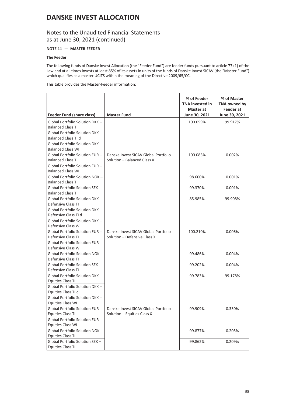## Notes to the Unaudited Financial Statements as at June 30, 2021 (continued)

### **NOTE 11 — MASTER-FEEDER**

### **The Feeder**

The following funds of Danske Invest Allocation (the "Feeder Fund") are feeder funds pursuant to article 77 (1) of the Law and at all times invests at least 85% of its assets in units of the funds of Danske Invest SICAV (the "Master Fund") which qualifies as a master UCITS within the meaning of the Directive 2009/65/CC.

This table provides the Master-Feeder information:

| <b>Feeder Fund (share class)</b>                            | <b>Master Fund</b>                                                  | % of Feeder<br><b>TNA invested in</b><br>Master at<br>June 30, 2021 | % of Master<br>TNA owned by<br>Feeder at<br>June 30, 2021 |
|-------------------------------------------------------------|---------------------------------------------------------------------|---------------------------------------------------------------------|-----------------------------------------------------------|
| Global Portfolio Solution DKK -                             |                                                                     | 100.059%                                                            | 99.917%                                                   |
| <b>Balanced Class TI</b>                                    |                                                                     |                                                                     |                                                           |
| Global Portfolio Solution DKK -                             |                                                                     |                                                                     |                                                           |
| Balanced Class TI d                                         |                                                                     |                                                                     |                                                           |
| Global Portfolio Solution DKK -                             |                                                                     |                                                                     |                                                           |
| <b>Balanced Class WI</b>                                    |                                                                     |                                                                     |                                                           |
| Global Portfolio Solution EUR -                             | Danske Invest SICAV Global Portfolio                                | 100.083%                                                            | 0.002%                                                    |
| <b>Balanced Class TI</b>                                    | Solution - Balanced Class X                                         |                                                                     |                                                           |
| Global Portfolio Solution EUR-                              |                                                                     |                                                                     |                                                           |
| <b>Balanced Class WI</b>                                    |                                                                     |                                                                     |                                                           |
| Global Portfolio Solution NOK-                              |                                                                     | 98.600%                                                             | 0.001%                                                    |
| <b>Balanced Class TI</b>                                    |                                                                     |                                                                     |                                                           |
| Global Portfolio Solution SEK-                              |                                                                     | 99.370%                                                             | 0.001%                                                    |
| <b>Balanced Class TI</b>                                    |                                                                     |                                                                     |                                                           |
| Global Portfolio Solution DKK -                             |                                                                     | 85.985%                                                             | 99.908%                                                   |
| Defensive Class TI                                          |                                                                     |                                                                     |                                                           |
| Global Portfolio Solution DKK -                             |                                                                     |                                                                     |                                                           |
| Defensive Class TI d                                        |                                                                     |                                                                     |                                                           |
| Global Portfolio Solution DKK -                             |                                                                     |                                                                     |                                                           |
| Defensive Class WI                                          |                                                                     |                                                                     |                                                           |
| Global Portfolio Solution EUR-                              | Danske Invest SICAV Global Portfolio                                | 100.210%                                                            | 0.006%                                                    |
| Defensive Class TI                                          | Solution - Defensive Class X                                        |                                                                     |                                                           |
| Global Portfolio Solution EUR-                              |                                                                     |                                                                     |                                                           |
| Defensive Class WI                                          |                                                                     |                                                                     |                                                           |
| Global Portfolio Solution NOK -                             |                                                                     | 99.486%                                                             | 0.004%                                                    |
| Defensive Class TI                                          |                                                                     |                                                                     |                                                           |
| Global Portfolio Solution SEK -                             |                                                                     | 99.202%                                                             | 0.004%                                                    |
| Defensive Class TI                                          |                                                                     |                                                                     |                                                           |
| Global Portfolio Solution DKK -                             |                                                                     | 99.783%                                                             | 99.178%                                                   |
| Equities Class TI                                           |                                                                     |                                                                     |                                                           |
| Global Portfolio Solution DKK -                             |                                                                     |                                                                     |                                                           |
| Equities Class TI d                                         |                                                                     |                                                                     |                                                           |
| Global Portfolio Solution DKK -<br><b>Equities Class WI</b> |                                                                     |                                                                     |                                                           |
|                                                             |                                                                     |                                                                     |                                                           |
| Global Portfolio Solution EUR –<br>Equities Class TI        | Danske Invest SICAV Global Portfolio<br>Solution - Equities Class X | 99.909%                                                             | 0.330%                                                    |
| Global Portfolio Solution EUR-                              |                                                                     |                                                                     |                                                           |
| <b>Equities Class WI</b>                                    |                                                                     |                                                                     |                                                           |
| Global Portfolio Solution NOK-                              |                                                                     | 99.877%                                                             | 0.205%                                                    |
| Equities Class TI                                           |                                                                     |                                                                     |                                                           |
| Global Portfolio Solution SEK -                             |                                                                     | 99.862%                                                             | 0.209%                                                    |
| Equities Class TI                                           |                                                                     |                                                                     |                                                           |
|                                                             |                                                                     |                                                                     |                                                           |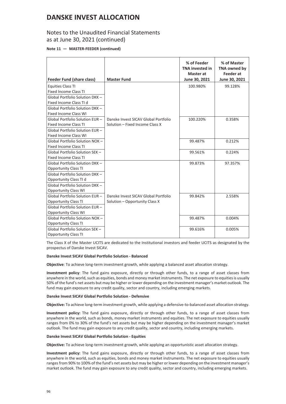## Notes to the Unaudited Financial Statements as at June 30, 2021 (continued)

### **Note 11 — MASTER-FEEDER (continued)**

| Feeder Fund (share class)       | <b>Master Fund</b>                   | % of Feeder<br><b>TNA invested in</b><br>Master at<br>June 30, 2021 | % of Master<br>TNA owned by<br><b>Feeder</b> at<br>June 30, 2021 |
|---------------------------------|--------------------------------------|---------------------------------------------------------------------|------------------------------------------------------------------|
| Equities Class TI               |                                      | 100.980%                                                            | 99.128%                                                          |
| <b>Fixed Income Class TI</b>    |                                      |                                                                     |                                                                  |
| Global Portfolio Solution DKK - |                                      |                                                                     |                                                                  |
| Fixed Income Class TI d         |                                      |                                                                     |                                                                  |
| Global Portfolio Solution DKK - |                                      |                                                                     |                                                                  |
| <b>Fixed Income Class WI</b>    |                                      |                                                                     |                                                                  |
| Global Portfolio Solution EUR-  | Danske Invest SICAV Global Portfolio | 100.220%                                                            | 0.358%                                                           |
| <b>Fixed Income Class TI</b>    | Solution - Fixed Income Class X      |                                                                     |                                                                  |
| Global Portfolio Solution EUR-  |                                      |                                                                     |                                                                  |
| <b>Fixed Income Class WI</b>    |                                      |                                                                     |                                                                  |
| Global Portfolio Solution NOK-  |                                      | 99.487%                                                             | 0.212%                                                           |
| <b>Fixed Income Class TI</b>    |                                      |                                                                     |                                                                  |
| Global Portfolio Solution SEK-  |                                      | 99.561%                                                             | 0.224%                                                           |
| <b>Fixed Income Class TI</b>    |                                      |                                                                     |                                                                  |
| Global Portfolio Solution DKK - |                                      | 99.873%                                                             | 97.357%                                                          |
| <b>Opportunity Class TI</b>     |                                      |                                                                     |                                                                  |
| Global Portfolio Solution DKK - |                                      |                                                                     |                                                                  |
| Opportunity Class TI d          |                                      |                                                                     |                                                                  |
| Global Portfolio Solution DKK - |                                      |                                                                     |                                                                  |
| <b>Opportunity Class WI</b>     |                                      |                                                                     |                                                                  |
| Global Portfolio Solution EUR-  | Danske Invest SICAV Global Portfolio | 99.842%                                                             | 2.558%                                                           |
| <b>Opportunity Class TI</b>     | Solution - Opportunity Class X       |                                                                     |                                                                  |
| Global Portfolio Solution EUR-  |                                      |                                                                     |                                                                  |
| <b>Opportunity Class WI</b>     |                                      |                                                                     |                                                                  |
| Global Portfolio Solution NOK-  |                                      | 99.487%                                                             | 0.004%                                                           |
| <b>Opportunity Class TI</b>     |                                      |                                                                     |                                                                  |
| Global Portfolio Solution SEK - |                                      | 99.616%                                                             | 0.005%                                                           |
| <b>Opportunity Class TI</b>     |                                      |                                                                     |                                                                  |

The Class X of the Master UCITS are dedicated to the Institutional investors and feeder UCITS as designated by the prospectus of Danske Invest SICAV.

#### **Danske Invest SICAV Global Portfolio Solution - Balanced**

**Objective**: To achieve long-term investment growth, while applying a balanced asset allocation strategy.

**Investment policy**: The fund gains exposure, directly or through other funds, to a range of asset classes from anywhere in the world, such as equities, bonds and money market instruments. The net exposure to equities is usually 50% of the fund's net assets but may be higher or lower depending on the investment manager's market outlook. The fund may gain exposure to any credit quality, sector and country, including emerging markets.

#### **Danske Invest SICAV Global Portfolio Solution - Defensive**

**Objective:** To achieve long-term investment growth, while applying a defensive-to-balanced asset allocation strategy.

**Investment policy:** The fund gains exposure, directly or through other funds, to a range of asset classes from anywhere in the world, such as bonds, money market instruments and equities. The net exposure to equities usually ranges from 0% to 30% of the fund's net assets but may be higher depending on the investment manager's market outlook. The fund may gain exposure to any credit quality, sector and country, including emerging markets.

#### **Danske Invest SICAV Global Portfolio Solution - Equities**

**Objective:** To achieve long-term investment growth, while applying an opportunistic asset allocation strategy.

**Investment policy:** The fund gains exposure, directly or through other funds, to a range of asset classes from anywhere in the world, such as equities, bonds and money market instruments. The net exposure to equities usually ranges from 90% to 100% of the fund's net assets but may be higher or lower depending on the investment manager's market outlook. The fund may gain exposure to any credit quality, sector and country, including emerging markets.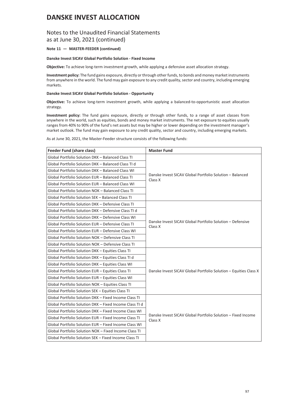### Notes to the Unaudited Financial Statements as at June 30, 2021 (continued)

### **Note 11 — MASTER-FEEDER (continued)**

#### **Danske Invest SICAV Global Portfolio Solution - Fixed Income**

**Objective:** To achieve long-term investment growth, while applying a defensive asset allocation strategy.

**Investment policy:** The fund gains exposure, directly or through other funds, to bonds and money market instruments from anywhere in the world. The fund may gain exposure to any credit quality, sector and country, including emerging markets.

### **Danske Invest SICAV Global Portfolio Solution - Opportunity**

**Objective:** To achieve long-term investment growth, while applying a balanced-to-opportunistic asset allocation strategy.

**Investment policy:** The fund gains exposure, directly or through other funds, to a range of asset classes from anywhere in the world, such as equities, bonds and money market instruments. The net exposure to equities usually ranges from 40% to 90% of the fund's net assets but may be higher or lower depending on the investment manager's market outlook. The fund may gain exposure to any credit quality, sector and country, including emerging markets.

As at June 30, 2021, the Master-Feeder structure consists of the following funds:

| <b>Feeder Fund (share class)</b>                        | <b>Master Fund</b>                                                      |  |  |
|---------------------------------------------------------|-------------------------------------------------------------------------|--|--|
| Global Portfolio Solution DKK - Balanced Class TI       |                                                                         |  |  |
| Global Portfolio Solution DKK - Balanced Class TLd      |                                                                         |  |  |
| Global Portfolio Solution DKK - Balanced Class WI       |                                                                         |  |  |
| Global Portfolio Solution EUR - Balanced Class TI       | Danske Invest SICAV Global Portfolio Solution - Balanced<br>Class X     |  |  |
| Global Portfolio Solution EUR - Balanced Class WI       |                                                                         |  |  |
| Global Portfolio Solution NOK - Balanced Class TI       |                                                                         |  |  |
| Global Portfolio Solution SEK - Balanced Class TI       |                                                                         |  |  |
| Global Portfolio Solution DKK - Defensive Class TI      |                                                                         |  |  |
| Global Portfolio Solution DKK - Defensive Class TI d    |                                                                         |  |  |
| Global Portfolio Solution DKK - Defensive Class WI      |                                                                         |  |  |
| Global Portfolio Solution EUR - Defensive Class TI      | Danske Invest SICAV Global Portfolio Solution - Defensive<br>Class X    |  |  |
| Global Portfolio Solution EUR - Defensive Class WI      |                                                                         |  |  |
| Global Portfolio Solution NOK - Defensive Class TI      |                                                                         |  |  |
| Global Portfolio Solution NOK - Defensive Class TI      |                                                                         |  |  |
| Global Portfolio Solution DKK - Equities Class TI       |                                                                         |  |  |
| Global Portfolio Solution DKK - Equities Class TI d     |                                                                         |  |  |
| Global Portfolio Solution DKK - Equities Class WI       |                                                                         |  |  |
| Global Portfolio Solution EUR - Equities Class TI       | Danske Invest SICAV Global Portfolio Solution - Equities Class X        |  |  |
| Global Portfolio Solution EUR - Equities Class WI       |                                                                         |  |  |
| Global Portfolio Solution NOK - Equities Class TI       |                                                                         |  |  |
| Global Portfolio Solution SEK - Equities Class TI       |                                                                         |  |  |
| Global Portfolio Solution DKK - Fixed Income Class TI   |                                                                         |  |  |
| Global Portfolio Solution DKK - Fixed Income Class TI d |                                                                         |  |  |
| Global Portfolio Solution DKK - Fixed Income Class WI   |                                                                         |  |  |
| Global Portfolio Solution EUR - Fixed Income Class TI   | Danske Invest SICAV Global Portfolio Solution - Fixed Income<br>Class X |  |  |
| Global Portfolio Solution EUR - Fixed Income Class WI   |                                                                         |  |  |
| Global Portfolio Solution NOK - Fixed Income Class TI   |                                                                         |  |  |
| Global Portfolio Solution SEK - Fixed Income Class TI   |                                                                         |  |  |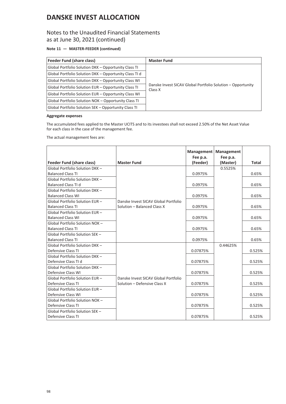## Notes to the Unaudited Financial Statements as at June 30, 2021 (continued)

### **Note 11 — MASTER-FEEDER (continued)**

| <b>Feeder Fund (share class)</b>                       | <b>Master Fund</b>                                                     |
|--------------------------------------------------------|------------------------------------------------------------------------|
| Global Portfolio Solution DKK - Opportunity Class TI   |                                                                        |
| Global Portfolio Solution DKK - Opportunity Class TI d |                                                                        |
| Global Portfolio Solution DKK - Opportunity Class WI   |                                                                        |
| Global Portfolio Solution EUR - Opportunity Class TI   | Danske Invest SICAV Global Portfolio Solution – Opportunity<br>Class X |
| Global Portfolio Solution EUR – Opportunity Class WI   |                                                                        |
| Global Portfolio Solution NOK - Opportunity Class TI   |                                                                        |
| Global Portfolio Solution SEK - Opportunity Class TI   |                                                                        |

### **Aggregate expenses**

The accumulated fees applied to the Master UCITS and to its investees shall not exceed 2.50% of the Net Asset Value for each class in the case of the management fee.

The actual management fees are:

|                                                       |                                      | Management<br>Fee p.a. | <b>Management</b><br>Fee p.a. |              |
|-------------------------------------------------------|--------------------------------------|------------------------|-------------------------------|--------------|
| Feeder Fund (share class)                             | <b>Master Fund</b>                   | (Feeder)               | (Master)                      | <b>Total</b> |
| Global Portfolio Solution DKK -                       |                                      |                        | 0.5525%                       |              |
| <b>Balanced Class TI</b>                              |                                      | 0.0975%                |                               | 0.65%        |
| Global Portfolio Solution DKK -                       |                                      |                        |                               |              |
| <b>Balanced Class TI d</b>                            |                                      | 0.0975%                |                               | 0.65%        |
| Global Portfolio Solution DKK -                       |                                      |                        |                               |              |
| <b>Balanced Class WI</b>                              |                                      | 0.0975%                |                               | 0.65%        |
| Global Portfolio Solution EUR-                        | Danske Invest SICAV Global Portfolio |                        |                               |              |
| <b>Balanced Class TI</b>                              | Solution - Balanced Class X          | 0.0975%                |                               | 0.65%        |
| Global Portfolio Solution EUR-                        |                                      |                        |                               |              |
| <b>Balanced Class WI</b>                              |                                      | 0.0975%                |                               | 0.65%        |
| Global Portfolio Solution NOK-                        |                                      |                        |                               |              |
| <b>Balanced Class TI</b>                              |                                      | 0.0975%                |                               | 0.65%        |
| Global Portfolio Solution SEK -                       |                                      |                        |                               |              |
| <b>Balanced Class TI</b>                              |                                      | 0.0975%                |                               | 0.65%        |
| Global Portfolio Solution DKK -                       |                                      |                        | 0.44625%                      |              |
| Defensive Class TI<br>Global Portfolio Solution DKK - |                                      | 0.07875%               |                               | 0.525%       |
| Defensive Class TI d                                  |                                      | 0.07875%               |                               | 0.525%       |
| Global Portfolio Solution DKK -                       |                                      |                        |                               |              |
| Defensive Class WI                                    |                                      | 0.07875%               |                               | 0.525%       |
| Global Portfolio Solution EUR-                        | Danske Invest SICAV Global Portfolio |                        |                               |              |
| Defensive Class TI                                    | Solution - Defensive Class X         | 0.07875%               |                               | 0.525%       |
| Global Portfolio Solution EUR-                        |                                      |                        |                               |              |
| Defensive Class WI                                    |                                      | 0.07875%               |                               | 0.525%       |
| Global Portfolio Solution NOK-                        |                                      |                        |                               |              |
| Defensive Class TI                                    |                                      | 0.07875%               |                               | 0.525%       |
| Global Portfolio Solution SEK -                       |                                      |                        |                               |              |
| Defensive Class TI                                    |                                      | 0.07875%               |                               | 0.525%       |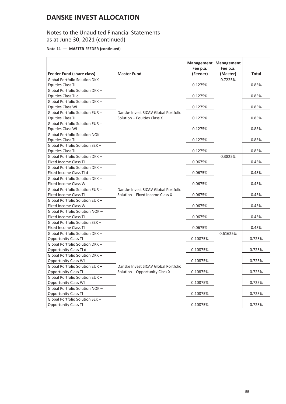## Notes to the Unaudited Financial Statements as at June 30, 2021 (continued)

### **Note 11 — MASTER-FEEDER (continued)**

|                                                                     |                                      |          | Management   Management |              |
|---------------------------------------------------------------------|--------------------------------------|----------|-------------------------|--------------|
|                                                                     |                                      | Fee p.a. | Fee p.a.                | <b>Total</b> |
| <b>Feeder Fund (share class)</b><br>Global Portfolio Solution DKK - | <b>Master Fund</b>                   | (Feeder) | (Master)<br>0.7225%     |              |
| Equities Class TI                                                   |                                      | 0.1275%  |                         | 0.85%        |
|                                                                     |                                      |          |                         |              |
| Global Portfolio Solution DKK -<br>Equities Class TI d              |                                      | 0.1275%  |                         | 0.85%        |
| Global Portfolio Solution DKK-                                      |                                      |          |                         |              |
| <b>Equities Class WI</b>                                            |                                      | 0.1275%  |                         | 0.85%        |
| Global Portfolio Solution EUR-                                      | Danske Invest SICAV Global Portfolio |          |                         |              |
| Equities Class TI                                                   | Solution - Equities Class X          | 0.1275%  |                         | 0.85%        |
| Global Portfolio Solution EUR-                                      |                                      |          |                         |              |
| <b>Equities Class WI</b>                                            |                                      | 0.1275%  |                         | 0.85%        |
| Global Portfolio Solution NOK-                                      |                                      |          |                         |              |
| Equities Class TI                                                   |                                      | 0.1275%  |                         | 0.85%        |
| Global Portfolio Solution SEK -                                     |                                      |          |                         |              |
| Equities Class TI                                                   |                                      | 0.1275%  |                         | 0.85%        |
| Global Portfolio Solution DKK-                                      |                                      |          | 0.3825%                 |              |
| Fixed Income Class TI                                               |                                      | 0.0675%  |                         | 0.45%        |
| Global Portfolio Solution DKK -                                     |                                      |          |                         |              |
| Fixed Income Class TI d                                             |                                      | 0.0675%  |                         | 0.45%        |
| Global Portfolio Solution DKK-                                      |                                      |          |                         |              |
| <b>Fixed Income Class WI</b>                                        |                                      | 0.0675%  |                         | 0.45%        |
| Global Portfolio Solution EUR-                                      | Danske Invest SICAV Global Portfolio |          |                         |              |
| <b>Fixed Income Class TI</b>                                        | Solution - Fixed Income Class X      | 0.0675%  |                         | 0.45%        |
| Global Portfolio Solution EUR-                                      |                                      |          |                         |              |
| <b>Fixed Income Class WI</b>                                        |                                      | 0.0675%  |                         | 0.45%        |
| Global Portfolio Solution NOK-                                      |                                      |          |                         |              |
| <b>Fixed Income Class TI</b>                                        |                                      | 0.0675%  |                         | 0.45%        |
| Global Portfolio Solution SEK-                                      |                                      |          |                         |              |
| <b>Fixed Income Class TI</b>                                        |                                      | 0.0675%  |                         | 0.45%        |
| Global Portfolio Solution DKK-                                      |                                      |          | 0.61625%                |              |
| Opportunity Class TI                                                |                                      | 0.10875% |                         | 0.725%       |
| Global Portfolio Solution DKK -                                     |                                      |          |                         |              |
| Opportunity Class TI d                                              |                                      | 0.10875% |                         | 0.725%       |
| Global Portfolio Solution DKK-                                      |                                      |          |                         |              |
| <b>Opportunity Class WI</b>                                         |                                      | 0.10875% |                         | 0.725%       |
| Global Portfolio Solution EUR-                                      | Danske Invest SICAV Global Portfolio |          |                         |              |
| <b>Opportunity Class TI</b>                                         | Solution - Opportunity Class X       | 0.10875% |                         | 0.725%       |
| Global Portfolio Solution EUR-                                      |                                      |          |                         |              |
| <b>Opportunity Class WI</b>                                         |                                      | 0.10875% |                         | 0.725%       |
| Global Portfolio Solution NOK-                                      |                                      |          |                         |              |
| <b>Opportunity Class TI</b>                                         |                                      | 0.10875% |                         | 0.725%       |
| Global Portfolio Solution SEK-                                      |                                      |          |                         |              |
| <b>Opportunity Class TI</b>                                         |                                      | 0.10875% |                         | 0.725%       |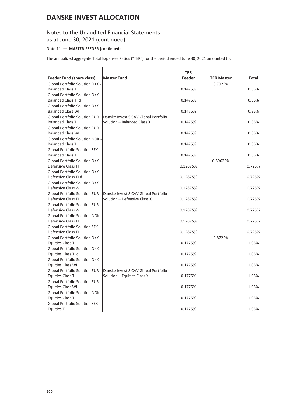## Notes to the Unaudited Financial Statements as at June 30, 2021 (continued)

### **Note 11 — MASTER-FEEDER (continued)**

The annualized aggregate Total Expenses Ratios ("TER") for the period ended June 30, 2021 amounted to:

|                                        |                                                                      | <b>TER</b> |                   |        |
|----------------------------------------|----------------------------------------------------------------------|------------|-------------------|--------|
| Feeder Fund (share class)              | Master Fund                                                          | Feeder     | <b>TER Master</b> | Total  |
| Global Portfolio Solution DKK -        |                                                                      |            | 0.7025%           |        |
| <b>Balanced Class TI</b>               |                                                                      | 0.1475%    |                   | 0.85%  |
| <b>Global Portfolio Solution DKK -</b> |                                                                      |            |                   |        |
| Balanced Class TI d                    |                                                                      | 0.1475%    |                   | 0.85%  |
| Global Portfolio Solution DKK -        |                                                                      |            |                   |        |
| <b>Balanced Class WI</b>               |                                                                      | 0.1475%    |                   | 0.85%  |
|                                        | Global Portfolio Solution EUR - Danske Invest SICAV Global Portfolio |            |                   |        |
| <b>Balanced Class TI</b>               | Solution - Balanced Class X                                          | 0.1475%    |                   | 0.85%  |
| <b>Global Portfolio Solution EUR -</b> |                                                                      |            |                   |        |
| <b>Balanced Class WI</b>               |                                                                      | 0.1475%    |                   | 0.85%  |
| <b>Global Portfolio Solution NOK -</b> |                                                                      |            |                   |        |
| <b>Balanced Class TI</b>               |                                                                      | 0.1475%    |                   | 0.85%  |
| <b>Global Portfolio Solution SEK -</b> |                                                                      |            |                   |        |
| <b>Balanced Class TI</b>               |                                                                      | 0.1475%    |                   | 0.85%  |
| <b>Global Portfolio Solution DKK -</b> |                                                                      |            | 0.59625%          |        |
| Defensive Class TI                     |                                                                      | 0.12875%   |                   | 0.725% |
| <b>Global Portfolio Solution DKK -</b> |                                                                      |            |                   |        |
| Defensive Class TI d                   |                                                                      | 0.12875%   |                   | 0.725% |
| <b>Global Portfolio Solution DKK -</b> |                                                                      |            |                   |        |
| Defensive Class WI                     |                                                                      | 0.12875%   |                   | 0.725% |
|                                        | Global Portfolio Solution EUR - Danske Invest SICAV Global Portfolio |            |                   |        |
| Defensive Class TI                     | Solution - Defensive Class X                                         | 0.12875%   |                   | 0.725% |
| <b>Global Portfolio Solution EUR -</b> |                                                                      |            |                   |        |
| Defensive Class WI                     |                                                                      | 0.12875%   |                   | 0.725% |
| <b>Global Portfolio Solution NOK -</b> |                                                                      |            |                   |        |
| Defensive Class TI                     |                                                                      | 0.12875%   |                   | 0.725% |
| Global Portfolio Solution SEK -        |                                                                      |            |                   |        |
| Defensive Class TI                     |                                                                      | 0.12875%   |                   | 0.725% |
| <b>Global Portfolio Solution DKK -</b> |                                                                      |            | 0.8725%           |        |
| <b>Equities Class TI</b>               |                                                                      | 0.1775%    |                   | 1.05%  |
| Global Portfolio Solution DKK -        |                                                                      |            |                   |        |
| Equities Class TI d                    |                                                                      | 0.1775%    |                   | 1.05%  |
| Global Portfolio Solution DKK -        |                                                                      |            |                   |        |
| <b>Equities Class WI</b>               |                                                                      | 0.1775%    |                   | 1.05%  |
|                                        | Global Portfolio Solution EUR - Danske Invest SICAV Global Portfolio |            |                   |        |
| Equities Class TI                      | Solution – Equities Class X                                          | 0.1775%    |                   | 1.05%  |
| <b>Global Portfolio Solution EUR -</b> |                                                                      |            |                   |        |
| <b>Equities Class WI</b>               |                                                                      | 0.1775%    |                   | 1.05%  |
| <b>Global Portfolio Solution NOK -</b> |                                                                      |            |                   |        |
| Equities Class TI                      |                                                                      | 0.1775%    |                   | 1.05%  |
| Global Portfolio Solution SEK -        |                                                                      |            |                   |        |
| <b>Equities TI</b>                     |                                                                      | 0.1775%    |                   | 1.05%  |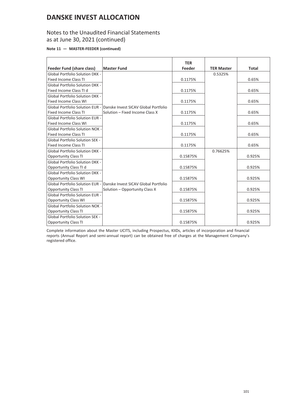## Notes to the Unaudited Financial Statements as at June 30, 2021 (continued)

**Note 11 — MASTER-FEEDER (continued)**

|                                        |                                                                      | <b>TER</b> |                   |              |
|----------------------------------------|----------------------------------------------------------------------|------------|-------------------|--------------|
| <b>Feeder Fund (share class)</b>       | <b>Master Fund</b>                                                   | Feeder     | <b>TER Master</b> | <b>Total</b> |
| <b>Global Portfolio Solution DKK -</b> |                                                                      |            | 0.5325%           |              |
| <b>Fixed Income Class TI</b>           |                                                                      | 0.1175%    |                   | 0.65%        |
| <b>Global Portfolio Solution DKK -</b> |                                                                      |            |                   |              |
| Fixed Income Class TI d                |                                                                      | 0.1175%    |                   | 0.65%        |
| <b>Global Portfolio Solution DKK -</b> |                                                                      |            |                   |              |
| <b>Fixed Income Class WI</b>           |                                                                      | 0.1175%    |                   | 0.65%        |
|                                        | Global Portfolio Solution EUR - Danske Invest SICAV Global Portfolio |            |                   |              |
| <b>Fixed Income Class TI</b>           | Solution - Fixed Income Class X                                      | 0.1175%    |                   | 0.65%        |
| <b>Global Portfolio Solution EUR -</b> |                                                                      |            |                   |              |
| <b>Fixed Income Class WI</b>           |                                                                      | 0.1175%    |                   | 0.65%        |
| <b>Global Portfolio Solution NOK -</b> |                                                                      |            |                   |              |
| <b>Fixed Income Class TI</b>           |                                                                      | 0.1175%    |                   | 0.65%        |
| <b>Global Portfolio Solution SEK -</b> |                                                                      |            |                   |              |
| <b>Fixed Income Class TI</b>           |                                                                      | 0.1175%    |                   | 0.65%        |
| <b>Global Portfolio Solution DKK -</b> |                                                                      |            | 0.76625%          |              |
| <b>Opportunity Class TI</b>            |                                                                      | 0.15875%   |                   | 0.925%       |
| <b>Global Portfolio Solution DKK -</b> |                                                                      |            |                   |              |
| Opportunity Class TI d                 |                                                                      | 0.15875%   |                   | 0.925%       |
| <b>Global Portfolio Solution DKK -</b> |                                                                      |            |                   |              |
| <b>Opportunity Class WI</b>            |                                                                      | 0.15875%   |                   | 0.925%       |
|                                        | Global Portfolio Solution EUR - Danske Invest SICAV Global Portfolio |            |                   |              |
| <b>Opportunity Class TI</b>            | Solution - Opportunity Class X                                       | 0.15875%   |                   | 0.925%       |
| <b>Global Portfolio Solution EUR -</b> |                                                                      |            |                   |              |
| <b>Opportunity Class WI</b>            |                                                                      | 0.15875%   |                   | 0.925%       |
| <b>Global Portfolio Solution NOK -</b> |                                                                      |            |                   |              |
| <b>Opportunity Class TI</b>            |                                                                      | 0.15875%   |                   | 0.925%       |
| <b>Global Portfolio Solution SEK -</b> |                                                                      |            |                   |              |
| <b>Opportunity Class TI</b>            |                                                                      | 0.15875%   |                   | 0.925%       |

Complete information about the Master UCITS, including Prospectus, KIIDs, articles of incorporation and financial reports (Annual Report and semi-annual report) can be obtained free of charges at the Management Company's registered office.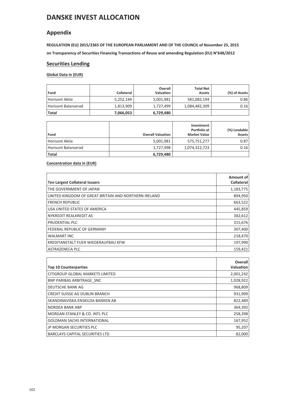## **Appendix**

**REGULATION (EU) 2015/2365 OF THE EUROPEAN PARLIAMENT AND OF THE COUNCIL of November 25, 2015 on Transparency of Securities Financing Transactions of Reuse and amending Regulation (EU) N°648/2012**

### **Securities Lending**

### **Global Data in (EUR)**

| Fund                | <b>Collateral</b> | Overall<br>Valuation | <b>Total Net</b><br><b>Assets</b> | (%) of Assets |
|---------------------|-------------------|----------------------|-----------------------------------|---------------|
| Horisont Aktie      | 5,252,144         | 5,001,981            | 581,082,194                       | 0.86          |
| Horisont Balanserad | 1,813,909         | 1,727,499            | 1,084,482,309                     | 0.16          |
| <b>Total</b>        | 7,066,053         | 6,729,480            |                                   |               |

| Fund                | <b>Overall Valuation</b> | Investment<br>Portfolio at<br><b>Market Value</b> | (%) Lendable<br>Assets |
|---------------------|--------------------------|---------------------------------------------------|------------------------|
| Horisont Aktie      | 5,001,981                | 575,751,277                                       | 0.87                   |
| Horisont Balanserad | 1,727,498                | 1,074,322,723                                     | 0.16                   |
| <b>Total</b>        | 6,729,480                |                                                   |                        |

### **Concentration data in (EUR)**

| Ten Largest Collateral Issuers                       | Amount of<br><b>Collateral</b> |
|------------------------------------------------------|--------------------------------|
| THE GOVERNMENT OF JAPAN                              | 1,183,775                      |
| UNITED KINGDOM OF GREAT BRITAIN AND NORTHERN IRELAND | 894,950                        |
| <b>FRENCH REPUBLIC</b>                               | 663,522                        |
| USA UNITED STATES OF AMERICA                         | 445,859                        |
| NYKREDIT REALKREDIT AS                               | 382,612                        |
| <b>PRUDENTIAL PLC</b>                                | 315,676                        |
| <b>FEDERAL REPUBLIC OF GERMANY</b>                   | 307,400                        |
| <b>WALMART INC</b>                                   | 218,470                        |
| KREDITANSTALT FUER WIEDERAUFBAU KFW                  | 197,990                        |
| ASTRAZENECA PLC                                      | 159,421                        |

| <b>Top 10 Counterparties</b>       | Overall<br>Valuation |
|------------------------------------|----------------------|
| CITIGROUP GLOBAL MARKETS LIMITED   | 2,001,242            |
| BNP PARIBAS ARBITRAGE SNC          | 1,028,922            |
| <b>DEUTSCHE BANK AG</b>            | 968,809              |
| CREDIT SUISSE AG DUBLIN BRANCH     | 931,909              |
| SKANDINAVISKA ENSKILDA BANKEN AB   | 822,489              |
| <b>NORDEA BANK ABP</b>             | 364,392              |
| MORGAN STANLEY & CO. INTL PLC      | 258,398              |
| <b>GOLDMAN SACHS INTERNATIONAL</b> | 167,952              |
| JP MORGAN SECURITIES PLC           | 95,207               |
| BARCLAYS CAPITAL SECURITIES LTD    | 82,000               |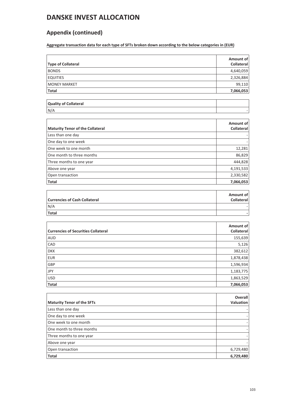## **Appendix (continued)**

**Aggregate transaction data for each type of SFTs broken down according to the below categories in (EUR)**

| Type of Collateral    | Amount of<br><b>Collateral</b> |
|-----------------------|--------------------------------|
| <b>BONDS</b>          | 4,640,059                      |
| <b>EQUITIES</b>       | 2,326,884                      |
| <b>MONEY MARKET</b>   | 99,110                         |
| <b>Total</b>          | 7,066,053                      |
|                       |                                |
| Quality of Collateral |                                |

| N/A |  |
|-----|--|
|-----|--|

| <b>Maturity Tenor of the Collateral</b> | Amount of<br><b>Collateral</b> |
|-----------------------------------------|--------------------------------|
| Less than one day                       |                                |
| One day to one week                     |                                |
| One week to one month                   | 12,281                         |
| One month to three months               | 86,829                         |
| Three months to one year                | 444,828                        |
| Above one year                          | 4,191,533                      |
| Open transaction                        | 2,330,582                      |
| <b>Total</b>                            | 7,066,053                      |

| <b>Currencies of Cash Collateral</b> | Amount of<br><b>Collateral</b> |
|--------------------------------------|--------------------------------|
| N/A                                  |                                |
| Total                                |                                |

| <b>Currencies of Securities Collateral</b> | Amount of<br>Collateral |
|--------------------------------------------|-------------------------|
| <b>AUD</b>                                 | 155,639                 |
| <b>CAD</b>                                 | 5,126                   |
| <b>DKK</b>                                 | 382,612                 |
| EUR                                        | 1,878,438               |
| <b>GBP</b>                                 | 1,596,934               |
| JPY                                        | 1,183,775               |
| <b>USD</b>                                 | 1,863,529               |
| <b>Total</b>                               | 7,066,053               |

| <b>Maturity Tenor of the SFTs</b> | Overall<br>Valuation |
|-----------------------------------|----------------------|
| Less than one day                 |                      |
| One day to one week               |                      |
| One week to one month             |                      |
| One month to three months         |                      |
| Three months to one year          |                      |
| Above one year                    |                      |
| Open transaction                  | 6,729,480            |
| <b>Total</b>                      | 6,729,480            |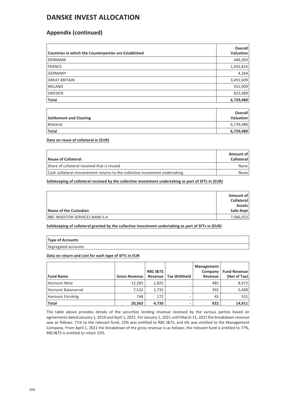## **Appendix (continued)**

| Countries in which the Counterparties are Established | <b>Overall</b><br><b>Valuation</b> |
|-------------------------------------------------------|------------------------------------|
| <b>DENMARK</b>                                        | 446,393                            |
| <b>FRANCE</b>                                         | 1,032,816                          |
| <b>GERMANY</b>                                        | 4,264                              |
| <b>GREAT BRITAIN</b>                                  | 3,491,609                          |
| <b>IRELAND</b>                                        | 931,909                            |
| <b>SWEDEN</b>                                         | 822,489                            |
| Total                                                 | 6,729,480                          |

| Settlement and Clearing | <b>Overall</b><br>Valuation |
|-------------------------|-----------------------------|
| <b>Bilateral</b>        | 6,729,480                   |
| Total                   | 6,729,480                   |

**Data on reuse of collateral in (EUR)**

| Reuse of Collateral                                                           | Amount of<br><b>Collateral</b> |
|-------------------------------------------------------------------------------|--------------------------------|
| Share of collateral received that is reused                                   | None                           |
| Cash collateral reinvestment returns to the collective investment undertaking | None                           |

**Safekeeping of collateral received by the collective investment undertaking as part of SFTs in (EUR)**

| Name of the Custodian                  | Amount of<br><b>Collateral</b><br><b>Assets</b><br>Safe-Kept |
|----------------------------------------|--------------------------------------------------------------|
| <b>RBC INVESTOR SERVICES BANK S.A.</b> | 7,066,053                                                    |

**Safekeeping of collateral granted by the collective investment undertaking as part of SFTs in (EUR)**

### **Type of Accounts**

Segregated accounts

### **Data on return and cost for each type of SFTs in EUR**

| <b>Fund Name</b>    | <b>Gross Revenue</b> | <b>RBC I&amp;TS</b><br>Revenue | <b>Tax Withheld</b> | Management<br>Company<br>Revenue | <b>Fund Revenue</b><br>(Net of Tax) |
|---------------------|----------------------|--------------------------------|---------------------|----------------------------------|-------------------------------------|
| Horisont Aktie      | 12,283               | 2.825                          |                     | 485                              | 8,972                               |
| Horisont Balanserad | 7,532                | 1,733                          |                     | 392                              | 5,408                               |
| Horisont Försiktig  | 748                  | 172                            |                     | 45                               | 531                                 |
| <b>Total</b>        | 20,563               | 4.730                          |                     | 922                              | 14,911                              |

The table above provides details of the securities lending revenue received by the various parties based on agreements dated January 1, 2019 and April 1, 2021. For January 1, 2021 until March 31, 2021 the breakdown revenue was as follows: 71% to the relevant fund, 23% was entitled to RBC I&TS, and 6% was entitled to the Management Company. From April 1, 2021 the breakdown of the gross revenue is as follows; the relevant fund is entitled to 77%, RBCI&TS is entitled to retain 23%.